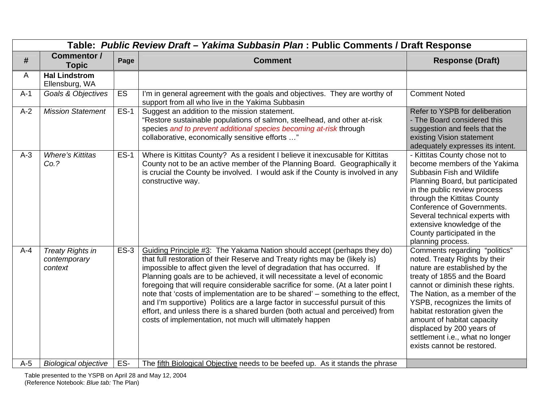|       | Table: Public Review Draft - Yakima Subbasin Plan : Public Comments / Draft Response |             |                                                                                                                                                                                                                                                                                                                                                                                                                                                                                                                                                                                                                                                                                                                       |                                                                                                                                                                                                                                                                                                                                                                                                      |  |  |  |
|-------|--------------------------------------------------------------------------------------|-------------|-----------------------------------------------------------------------------------------------------------------------------------------------------------------------------------------------------------------------------------------------------------------------------------------------------------------------------------------------------------------------------------------------------------------------------------------------------------------------------------------------------------------------------------------------------------------------------------------------------------------------------------------------------------------------------------------------------------------------|------------------------------------------------------------------------------------------------------------------------------------------------------------------------------------------------------------------------------------------------------------------------------------------------------------------------------------------------------------------------------------------------------|--|--|--|
| #     | <b>Commentor /</b><br><b>Topic</b>                                                   | Page        | <b>Comment</b>                                                                                                                                                                                                                                                                                                                                                                                                                                                                                                                                                                                                                                                                                                        | <b>Response (Draft)</b>                                                                                                                                                                                                                                                                                                                                                                              |  |  |  |
| A     | <b>Hal Lindstrom</b><br>Ellensburg, WA                                               |             |                                                                                                                                                                                                                                                                                                                                                                                                                                                                                                                                                                                                                                                                                                                       |                                                                                                                                                                                                                                                                                                                                                                                                      |  |  |  |
| $A-1$ | Goals & Objectives                                                                   | ES          | I'm in general agreement with the goals and objectives. They are worthy of<br>support from all who live in the Yakima Subbasin                                                                                                                                                                                                                                                                                                                                                                                                                                                                                                                                                                                        | <b>Comment Noted</b>                                                                                                                                                                                                                                                                                                                                                                                 |  |  |  |
| $A-2$ | <b>Mission Statement</b>                                                             | <b>ES-1</b> | Suggest an addition to the mission statement.<br>"Restore sustainable populations of salmon, steelhead, and other at-risk<br>species and to prevent additional species becoming at-risk through<br>collaborative, economically sensitive efforts "                                                                                                                                                                                                                                                                                                                                                                                                                                                                    | Refer to YSPB for deliberation<br>- The Board considered this<br>suggestion and feels that the<br>existing Vision statement<br>adequately expresses its intent.                                                                                                                                                                                                                                      |  |  |  |
| $A-3$ | <b>Where's Kittitas</b><br>Co.?                                                      | $ES-1$      | Where is Kittitas County? As a resident I believe it inexcusable for Kittitas<br>County not to be an active member of the Planning Board. Geographically it<br>is crucial the County be involved. I would ask if the County is involved in any<br>constructive way.                                                                                                                                                                                                                                                                                                                                                                                                                                                   | - Kittitas County chose not to<br>become members of the Yakima<br>Subbasin Fish and Wildlife<br>Planning Board, but participated<br>in the public review process<br>through the Kittitas County<br><b>Conference of Governments.</b><br>Several technical experts with<br>extensive knowledge of the<br>County participated in the<br>planning process.                                              |  |  |  |
| $A-4$ | <b>Treaty Rights in</b><br>contemporary<br>context                                   | $ES-3$      | Guiding Principle #3: The Yakama Nation should accept (perhaps they do)<br>that full restoration of their Reserve and Treaty rights may be (likely is)<br>impossible to affect given the level of degradation that has occurred. If<br>Planning goals are to be achieved, it will necessitate a level of economic<br>foregoing that will require considerable sacrifice for some. (At a later point I<br>note that 'costs of implementation are to be shared' – something to the effect,<br>and I'm supportive) Politics are a large factor in successful pursuit of this<br>effort, and unless there is a shared burden (both actual and perceived) from<br>costs of implementation, not much will ultimately happen | Comments regarding "politics"<br>noted. Treaty Rights by their<br>nature are established by the<br>treaty of 1855 and the Board<br>cannot or diminish these rights.<br>The Nation, as a member of the<br>YSPB, recognizes the limits of<br>habitat restoration given the<br>amount of habitat capacity<br>displaced by 200 years of<br>settlement i.e., what no longer<br>exists cannot be restored. |  |  |  |
| $A-5$ | <b>Biological objective</b>                                                          | ES-         | The fifth Biological Objective needs to be beefed up. As it stands the phrase                                                                                                                                                                                                                                                                                                                                                                                                                                                                                                                                                                                                                                         |                                                                                                                                                                                                                                                                                                                                                                                                      |  |  |  |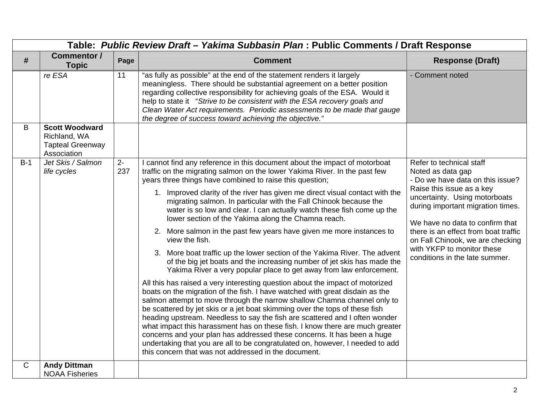|       | Table: Public Review Draft - Yakima Subbasin Plan : Public Comments / Draft Response |             |                                                                                                                                                                                                                                                                                                                                                                                                                                                                                                                                                                                                                                                                                                             |                                                                                                                |  |  |  |
|-------|--------------------------------------------------------------------------------------|-------------|-------------------------------------------------------------------------------------------------------------------------------------------------------------------------------------------------------------------------------------------------------------------------------------------------------------------------------------------------------------------------------------------------------------------------------------------------------------------------------------------------------------------------------------------------------------------------------------------------------------------------------------------------------------------------------------------------------------|----------------------------------------------------------------------------------------------------------------|--|--|--|
| #     | <b>Commentor /</b><br><b>Topic</b>                                                   | Page        | <b>Comment</b>                                                                                                                                                                                                                                                                                                                                                                                                                                                                                                                                                                                                                                                                                              | <b>Response (Draft)</b>                                                                                        |  |  |  |
|       | re ESA                                                                               | 11          | "as fully as possible" at the end of the statement renders it largely<br>meaningless. There should be substantial agreement on a better position<br>regarding collective responsibility for achieving goals of the ESA. Would it<br>help to state it "Strive to be consistent with the ESA recovery goals and<br>Clean Water Act requirements. Periodic assessments to be made that gauge<br>the degree of success toward achieving the objective."                                                                                                                                                                                                                                                         | - Comment noted                                                                                                |  |  |  |
| B     | <b>Scott Woodward</b><br>Richland, WA<br><b>Tapteal Greenway</b><br>Association      |             |                                                                                                                                                                                                                                                                                                                                                                                                                                                                                                                                                                                                                                                                                                             |                                                                                                                |  |  |  |
| $B-1$ | Jet Skis / Salmon<br>life cycles                                                     | $2-$<br>237 | I cannot find any reference in this document about the impact of motorboat<br>traffic on the migrating salmon on the lower Yakima River. In the past few<br>years three things have combined to raise this question;<br>1. Improved clarity of the river has given me direct visual contact with the                                                                                                                                                                                                                                                                                                                                                                                                        | Refer to technical staff<br>Noted as data gap<br>- Do we have data on this issue?<br>Raise this issue as a key |  |  |  |
|       |                                                                                      |             | migrating salmon. In particular with the Fall Chinook because the<br>water is so low and clear. I can actually watch these fish come up the<br>lower section of the Yakima along the Chamna reach.                                                                                                                                                                                                                                                                                                                                                                                                                                                                                                          | uncertainty. Using motorboats<br>during important migration times.<br>We have no data to confirm that          |  |  |  |
|       |                                                                                      |             | 2. More salmon in the past few years have given me more instances to<br>view the fish.                                                                                                                                                                                                                                                                                                                                                                                                                                                                                                                                                                                                                      | there is an effect from boat traffic<br>on Fall Chinook, we are checking                                       |  |  |  |
|       |                                                                                      |             | 3. More boat traffic up the lower section of the Yakima River. The advent<br>of the big jet boats and the increasing number of jet skis has made the<br>Yakima River a very popular place to get away from law enforcement.                                                                                                                                                                                                                                                                                                                                                                                                                                                                                 | with YKFP to monitor these<br>conditions in the late summer.                                                   |  |  |  |
|       |                                                                                      |             | All this has raised a very interesting question about the impact of motorized<br>boats on the migration of the fish. I have watched with great disdain as the<br>salmon attempt to move through the narrow shallow Chamna channel only to<br>be scattered by jet skis or a jet boat skimming over the tops of these fish<br>heading upstream. Needless to say the fish are scattered and I often wonder<br>what impact this harassment has on these fish. I know there are much greater<br>concerns and your plan has addressed these concerns. It has been a huge<br>undertaking that you are all to be congratulated on, however, I needed to add<br>this concern that was not addressed in the document. |                                                                                                                |  |  |  |
| C     | <b>Andy Dittman</b><br><b>NOAA Fisheries</b>                                         |             |                                                                                                                                                                                                                                                                                                                                                                                                                                                                                                                                                                                                                                                                                                             |                                                                                                                |  |  |  |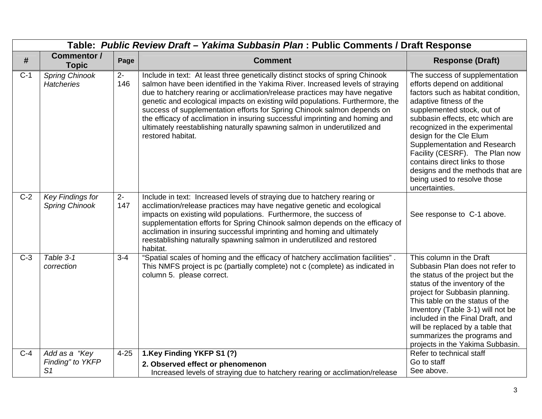|                  | Table: Public Review Draft - Yakima Subbasin Plan : Public Comments / Draft Response |                       |                                                                                                                                                                                                                                                                                                                                                                                                                                                                                                                                                                                           |                                                                                                                                                                                                                                                                                                                                                                                                                                                        |  |  |
|------------------|--------------------------------------------------------------------------------------|-----------------------|-------------------------------------------------------------------------------------------------------------------------------------------------------------------------------------------------------------------------------------------------------------------------------------------------------------------------------------------------------------------------------------------------------------------------------------------------------------------------------------------------------------------------------------------------------------------------------------------|--------------------------------------------------------------------------------------------------------------------------------------------------------------------------------------------------------------------------------------------------------------------------------------------------------------------------------------------------------------------------------------------------------------------------------------------------------|--|--|
| #                | <b>Commentor /</b><br><b>Topic</b>                                                   | Page                  | <b>Comment</b>                                                                                                                                                                                                                                                                                                                                                                                                                                                                                                                                                                            | <b>Response (Draft)</b>                                                                                                                                                                                                                                                                                                                                                                                                                                |  |  |
| $C-1$            | <b>Spring Chinook</b><br><b>Hatcheries</b>                                           | $2-$<br>146           | Include in text: At least three genetically distinct stocks of spring Chinook<br>salmon have been identified in the Yakima River. Increased levels of straying<br>due to hatchery rearing or acclimation/release practices may have negative<br>genetic and ecological impacts on existing wild populations. Furthermore, the<br>success of supplementation efforts for Spring Chinook salmon depends on<br>the efficacy of acclimation in insuring successful imprinting and homing and<br>ultimately reestablishing naturally spawning salmon in underutilized and<br>restored habitat. | The success of supplementation<br>efforts depend on additional<br>factors such as habitat condition,<br>adaptive fitness of the<br>supplemented stock, out of<br>subbasin effects, etc which are<br>recognized in the experimental<br>design for the Cle Elum<br>Supplementation and Research<br>Facility (CESRF). The Plan now<br>contains direct links to those<br>designs and the methods that are<br>being used to resolve those<br>uncertainties. |  |  |
| $\overline{C-2}$ | Key Findings for<br><b>Spring Chinook</b>                                            | $\overline{2}$<br>147 | Include in text: Increased levels of straying due to hatchery rearing or<br>acclimation/release practices may have negative genetic and ecological<br>impacts on existing wild populations. Furthermore, the success of<br>supplementation efforts for Spring Chinook salmon depends on the efficacy of<br>acclimation in insuring successful imprinting and homing and ultimately<br>reestablishing naturally spawning salmon in underutilized and restored<br>habitat.                                                                                                                  | See response to C-1 above.                                                                                                                                                                                                                                                                                                                                                                                                                             |  |  |
| $C-3$            | Table 3-1<br>correction                                                              | $3 - 4$               | "Spatial scales of homing and the efficacy of hatchery acclimation facilities".<br>This NMFS project is pc (partially complete) not c (complete) as indicated in<br>column 5. please correct.                                                                                                                                                                                                                                                                                                                                                                                             | This column in the Draft<br>Subbasin Plan does not refer to<br>the status of the project but the<br>status of the inventory of the<br>project for Subbasin planning.<br>This table on the status of the<br>Inventory (Table 3-1) will not be<br>included in the Final Draft, and<br>will be replaced by a table that<br>summarizes the programs and<br>projects in the Yakima Subbasin.                                                                |  |  |
| $C-4$            | Add as a "Key<br>Finding" to YKFP<br>S <sub>1</sub>                                  | $4 - 25$              | 1.Key Finding YKFP S1 (?)<br>2. Observed effect or phenomenon<br>Increased levels of straying due to hatchery rearing or acclimation/release                                                                                                                                                                                                                                                                                                                                                                                                                                              | Refer to technical staff<br>Go to staff<br>See above.                                                                                                                                                                                                                                                                                                                                                                                                  |  |  |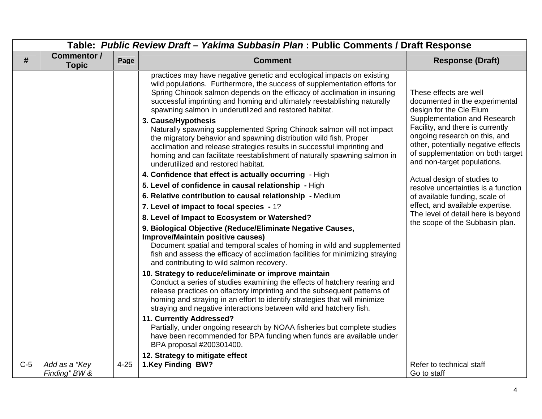|       | Table: Public Review Draft - Yakima Subbasin Plan : Public Comments / Draft Response |          |                                                                                                                                                                                                                                                                                                                                                                                              |                                                                                                                                                                              |  |  |
|-------|--------------------------------------------------------------------------------------|----------|----------------------------------------------------------------------------------------------------------------------------------------------------------------------------------------------------------------------------------------------------------------------------------------------------------------------------------------------------------------------------------------------|------------------------------------------------------------------------------------------------------------------------------------------------------------------------------|--|--|
| #     | Commentor /<br><b>Topic</b>                                                          | Page     | <b>Comment</b>                                                                                                                                                                                                                                                                                                                                                                               | <b>Response (Draft)</b>                                                                                                                                                      |  |  |
|       |                                                                                      |          | practices may have negative genetic and ecological impacts on existing<br>wild populations. Furthermore, the success of supplementation efforts for<br>Spring Chinook salmon depends on the efficacy of acclimation in insuring<br>successful imprinting and homing and ultimately reestablishing naturally<br>spawning salmon in underutilized and restored habitat.<br>3. Cause/Hypothesis | These effects are well<br>documented in the experimental<br>design for the Cle Elum<br>Supplementation and Research                                                          |  |  |
|       |                                                                                      |          | Naturally spawning supplemented Spring Chinook salmon will not impact<br>the migratory behavior and spawning distribution wild fish. Proper<br>acclimation and release strategies results in successful imprinting and<br>homing and can facilitate reestablishment of naturally spawning salmon in<br>underutilized and restored habitat.                                                   | Facility, and there is currently<br>ongoing research on this, and<br>other, potentially negative effects<br>of supplementation on both target<br>and non-target populations. |  |  |
|       |                                                                                      |          | 4. Confidence that effect is actually occurring - High                                                                                                                                                                                                                                                                                                                                       | Actual design of studies to                                                                                                                                                  |  |  |
|       |                                                                                      |          | 5. Level of confidence in causal relationship - High                                                                                                                                                                                                                                                                                                                                         | resolve uncertainties is a function                                                                                                                                          |  |  |
|       |                                                                                      |          | 6. Relative contribution to causal relationship - Medium                                                                                                                                                                                                                                                                                                                                     | of available funding, scale of                                                                                                                                               |  |  |
|       |                                                                                      |          | 7. Level of impact to focal species - 1?                                                                                                                                                                                                                                                                                                                                                     | effect, and available expertise.                                                                                                                                             |  |  |
|       |                                                                                      |          | 8. Level of Impact to Ecosystem or Watershed?                                                                                                                                                                                                                                                                                                                                                | The level of detail here is beyond<br>the scope of the Subbasin plan.                                                                                                        |  |  |
|       |                                                                                      |          | 9. Biological Objective (Reduce/Eliminate Negative Causes,<br><b>Improve/Maintain positive causes)</b><br>Document spatial and temporal scales of homing in wild and supplemented<br>fish and assess the efficacy of acclimation facilities for minimizing straying<br>and contributing to wild salmon recovery.                                                                             |                                                                                                                                                                              |  |  |
|       |                                                                                      |          | 10. Strategy to reduce/eliminate or improve maintain<br>Conduct a series of studies examining the effects of hatchery rearing and<br>release practices on olfactory imprinting and the subsequent patterns of<br>homing and straying in an effort to identify strategies that will minimize<br>straying and negative interactions between wild and hatchery fish.                            |                                                                                                                                                                              |  |  |
|       |                                                                                      |          | 11. Currently Addressed?<br>Partially, under ongoing research by NOAA fisheries but complete studies<br>have been recommended for BPA funding when funds are available under<br>BPA proposal #200301400.                                                                                                                                                                                     |                                                                                                                                                                              |  |  |
|       |                                                                                      |          | 12. Strategy to mitigate effect                                                                                                                                                                                                                                                                                                                                                              |                                                                                                                                                                              |  |  |
| $C-5$ | Add as a "Key<br>Finding" BW &                                                       | $4 - 25$ | 1.Key Finding BW?                                                                                                                                                                                                                                                                                                                                                                            | Refer to technical staff<br>Go to staff                                                                                                                                      |  |  |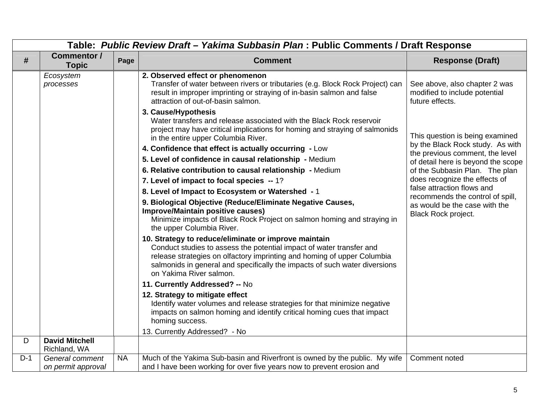|       | Table: Public Review Draft - Yakima Subbasin Plan : Public Comments / Draft Response |           |                                                                                                                                                                                                                                                                                                                  |                                                                                   |  |
|-------|--------------------------------------------------------------------------------------|-----------|------------------------------------------------------------------------------------------------------------------------------------------------------------------------------------------------------------------------------------------------------------------------------------------------------------------|-----------------------------------------------------------------------------------|--|
| #     | <b>Commentor /</b><br><b>Topic</b>                                                   | Page      | <b>Comment</b>                                                                                                                                                                                                                                                                                                   | <b>Response (Draft)</b>                                                           |  |
|       | Ecosystem<br>processes                                                               |           | 2. Observed effect or phenomenon<br>Transfer of water between rivers or tributaries (e.g. Block Rock Project) can<br>result in improper imprinting or straying of in-basin salmon and false<br>attraction of out-of-basin salmon.                                                                                | See above, also chapter 2 was<br>modified to include potential<br>future effects. |  |
|       |                                                                                      |           | 3. Cause/Hypothesis<br>Water transfers and release associated with the Black Rock reservoir<br>project may have critical implications for homing and straying of salmonids<br>in the entire upper Columbia River.                                                                                                | This question is being examined                                                   |  |
|       |                                                                                      |           | 4. Confidence that effect is actually occurring - Low                                                                                                                                                                                                                                                            | by the Black Rock study. As with<br>the previous comment, the level               |  |
|       |                                                                                      |           | 5. Level of confidence in causal relationship - Medium                                                                                                                                                                                                                                                           | of detail here is beyond the scope                                                |  |
|       |                                                                                      |           | 6. Relative contribution to causal relationship - Medium                                                                                                                                                                                                                                                         | of the Subbasin Plan. The plan                                                    |  |
|       |                                                                                      |           | 7. Level of impact to focal species -- 1?                                                                                                                                                                                                                                                                        | does recognize the effects of                                                     |  |
|       |                                                                                      |           | 8. Level of Impact to Ecosystem or Watershed - 1                                                                                                                                                                                                                                                                 | false attraction flows and<br>recommends the control of spill,                    |  |
|       |                                                                                      |           | 9. Biological Objective (Reduce/Eliminate Negative Causes,<br><b>Improve/Maintain positive causes)</b><br>Minimize impacts of Black Rock Project on salmon homing and straying in<br>the upper Columbia River.                                                                                                   | as would be the case with the<br>Black Rock project.                              |  |
|       |                                                                                      |           | 10. Strategy to reduce/eliminate or improve maintain<br>Conduct studies to assess the potential impact of water transfer and<br>release strategies on olfactory imprinting and homing of upper Columbia<br>salmonids in general and specifically the impacts of such water diversions<br>on Yakima River salmon. |                                                                                   |  |
|       |                                                                                      |           | 11. Currently Addressed? -- No                                                                                                                                                                                                                                                                                   |                                                                                   |  |
|       |                                                                                      |           | 12. Strategy to mitigate effect<br>Identify water volumes and release strategies for that minimize negative<br>impacts on salmon homing and identify critical homing cues that impact<br>homing success.                                                                                                         |                                                                                   |  |
|       |                                                                                      |           | 13. Currently Addressed? - No                                                                                                                                                                                                                                                                                    |                                                                                   |  |
| D     | <b>David Mitchell</b><br>Richland, WA                                                |           |                                                                                                                                                                                                                                                                                                                  |                                                                                   |  |
| $D-1$ | General comment<br>on permit approval                                                | <b>NA</b> | Much of the Yakima Sub-basin and Riverfront is owned by the public. My wife<br>and I have been working for over five years now to prevent erosion and                                                                                                                                                            | Comment noted                                                                     |  |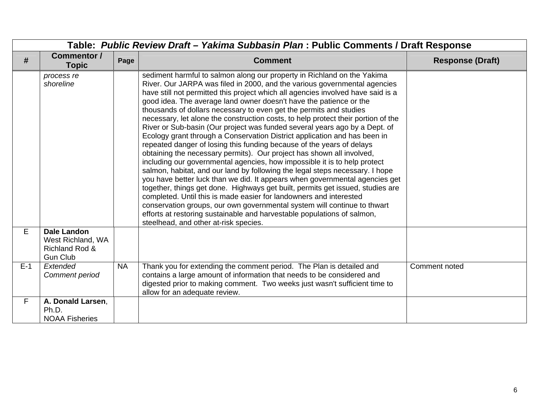| Table: Public Review Draft - Yakima Subbasin Plan: Public Comments / Draft Response<br>Commentor /<br>#<br><b>Topic</b> | Page      | <b>Comment</b>                                                                                                                                                                                                                                                                                                                                                                                                                                                                                                                                                                                                                                                                                                                                                                                                                                                                                                                                                                                                                                                                                                                                                                                                                                                                                                                                                                             | <b>Response (Draft)</b> |
|-------------------------------------------------------------------------------------------------------------------------|-----------|--------------------------------------------------------------------------------------------------------------------------------------------------------------------------------------------------------------------------------------------------------------------------------------------------------------------------------------------------------------------------------------------------------------------------------------------------------------------------------------------------------------------------------------------------------------------------------------------------------------------------------------------------------------------------------------------------------------------------------------------------------------------------------------------------------------------------------------------------------------------------------------------------------------------------------------------------------------------------------------------------------------------------------------------------------------------------------------------------------------------------------------------------------------------------------------------------------------------------------------------------------------------------------------------------------------------------------------------------------------------------------------------|-------------------------|
| process re<br>shoreline                                                                                                 |           | sediment harmful to salmon along our property in Richland on the Yakima<br>River. Our JARPA was filed in 2000, and the various governmental agencies<br>have still not permitted this project which all agencies involved have said is a<br>good idea. The average land owner doesn't have the patience or the<br>thousands of dollars necessary to even get the permits and studies<br>necessary, let alone the construction costs, to help protect their portion of the<br>River or Sub-basin (Our project was funded several years ago by a Dept. of<br>Ecology grant through a Conservation District application and has been in<br>repeated danger of losing this funding because of the years of delays<br>obtaining the necessary permits). Our project has shown all involved,<br>including our governmental agencies, how impossible it is to help protect<br>salmon, habitat, and our land by following the legal steps necessary. I hope<br>you have better luck than we did. It appears when governmental agencies get<br>together, things get done. Highways get built, permits get issued, studies are<br>completed. Until this is made easier for landowners and interested<br>conservation groups, our own governmental system will continue to thwart<br>efforts at restoring sustainable and harvestable populations of salmon,<br>steelhead, and other at-risk species. |                         |
| E<br><b>Dale Landon</b><br>West Richland, WA<br>Richland Rod &<br><b>Gun Club</b>                                       |           |                                                                                                                                                                                                                                                                                                                                                                                                                                                                                                                                                                                                                                                                                                                                                                                                                                                                                                                                                                                                                                                                                                                                                                                                                                                                                                                                                                                            |                         |
| $E-1$<br>Extended<br>Comment period                                                                                     | <b>NA</b> | Thank you for extending the comment period. The Plan is detailed and<br>contains a large amount of information that needs to be considered and<br>digested prior to making comment. Two weeks just wasn't sufficient time to<br>allow for an adequate review.                                                                                                                                                                                                                                                                                                                                                                                                                                                                                                                                                                                                                                                                                                                                                                                                                                                                                                                                                                                                                                                                                                                              | Comment noted           |
| A. Donald Larsen,<br>F.<br>Ph.D.<br><b>NOAA Fisheries</b>                                                               |           |                                                                                                                                                                                                                                                                                                                                                                                                                                                                                                                                                                                                                                                                                                                                                                                                                                                                                                                                                                                                                                                                                                                                                                                                                                                                                                                                                                                            |                         |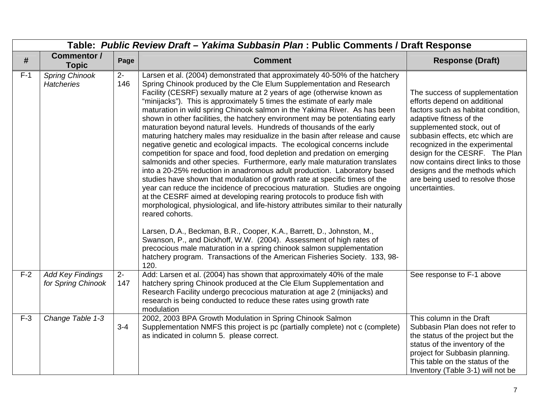|       | Table: Public Review Draft - Yakima Subbasin Plan : Public Comments / Draft Response |              |                                                                                                                                                                                                                                                                                                                                                                                                                                                                                                                                                                                                                                                                                                                                                                                                                                                                                                                                                                                                                                                                                                                                                                                                                                                                                                                                                                                                                                                    |                                                                                                                                                                                                                                                                                                                                                                                                  |  |  |
|-------|--------------------------------------------------------------------------------------|--------------|----------------------------------------------------------------------------------------------------------------------------------------------------------------------------------------------------------------------------------------------------------------------------------------------------------------------------------------------------------------------------------------------------------------------------------------------------------------------------------------------------------------------------------------------------------------------------------------------------------------------------------------------------------------------------------------------------------------------------------------------------------------------------------------------------------------------------------------------------------------------------------------------------------------------------------------------------------------------------------------------------------------------------------------------------------------------------------------------------------------------------------------------------------------------------------------------------------------------------------------------------------------------------------------------------------------------------------------------------------------------------------------------------------------------------------------------------|--------------------------------------------------------------------------------------------------------------------------------------------------------------------------------------------------------------------------------------------------------------------------------------------------------------------------------------------------------------------------------------------------|--|--|
| #     | <b>Commentor /</b><br><b>Topic</b>                                                   | Page         | <b>Comment</b>                                                                                                                                                                                                                                                                                                                                                                                                                                                                                                                                                                                                                                                                                                                                                                                                                                                                                                                                                                                                                                                                                                                                                                                                                                                                                                                                                                                                                                     | <b>Response (Draft)</b>                                                                                                                                                                                                                                                                                                                                                                          |  |  |
| $F-1$ | <b>Spring Chinook</b><br><b>Hatcheries</b>                                           | $2-$<br>146  | Larsen et al. (2004) demonstrated that approximately 40-50% of the hatchery<br>Spring Chinook produced by the Cle Elum Supplementation and Research<br>Facility (CESRF) sexually mature at 2 years of age (otherwise known as<br>"minijacks"). This is approximately 5 times the estimate of early male<br>maturation in wild spring Chinook salmon in the Yakima River. As has been<br>shown in other facilities, the hatchery environment may be potentiating early<br>maturation beyond natural levels. Hundreds of thousands of the early<br>maturing hatchery males may residualize in the basin after release and cause<br>negative genetic and ecological impacts. The ecological concerns include<br>competition for space and food, food depletion and predation on emerging<br>salmonids and other species. Furthermore, early male maturation translates<br>into a 20-25% reduction in anadromous adult production. Laboratory based<br>studies have shown that modulation of growth rate at specific times of the<br>year can reduce the incidence of precocious maturation. Studies are ongoing<br>at the CESRF aimed at developing rearing protocols to produce fish with<br>morphological, physiological, and life-history attributes similar to their naturally<br>reared cohorts.<br>Larsen, D.A., Beckman, B.R., Cooper, K.A., Barrett, D., Johnston, M.,<br>Swanson, P., and Dickhoff, W.W. (2004). Assessment of high rates of | The success of supplementation<br>efforts depend on additional<br>factors such as habitat condition,<br>adaptive fitness of the<br>supplemented stock, out of<br>subbasin effects, etc which are<br>recognized in the experimental<br>design for the CESRF. The Plan<br>now contains direct links to those<br>designs and the methods which<br>are being used to resolve those<br>uncertainties. |  |  |
|       |                                                                                      |              | precocious male maturation in a spring chinook salmon supplementation<br>hatchery program. Transactions of the American Fisheries Society. 133, 98-<br>120.                                                                                                                                                                                                                                                                                                                                                                                                                                                                                                                                                                                                                                                                                                                                                                                                                                                                                                                                                                                                                                                                                                                                                                                                                                                                                        |                                                                                                                                                                                                                                                                                                                                                                                                  |  |  |
| $F-2$ | <b>Add Key Findings</b><br>for Spring Chinook                                        | $2 -$<br>147 | Add: Larsen et al. (2004) has shown that approximately 40% of the male<br>hatchery spring Chinook produced at the Cle Elum Supplementation and<br>Research Facility undergo precocious maturation at age 2 (minijacks) and<br>research is being conducted to reduce these rates using growth rate<br>modulation                                                                                                                                                                                                                                                                                                                                                                                                                                                                                                                                                                                                                                                                                                                                                                                                                                                                                                                                                                                                                                                                                                                                    | See response to F-1 above                                                                                                                                                                                                                                                                                                                                                                        |  |  |
| $F-3$ | Change Table 1-3                                                                     | $3 - 4$      | 2002, 2003 BPA Growth Modulation in Spring Chinook Salmon<br>Supplementation NMFS this project is pc (partially complete) not c (complete)<br>as indicated in column 5. please correct.                                                                                                                                                                                                                                                                                                                                                                                                                                                                                                                                                                                                                                                                                                                                                                                                                                                                                                                                                                                                                                                                                                                                                                                                                                                            | This column in the Draft<br>Subbasin Plan does not refer to<br>the status of the project but the<br>status of the inventory of the<br>project for Subbasin planning.<br>This table on the status of the<br>Inventory (Table 3-1) will not be                                                                                                                                                     |  |  |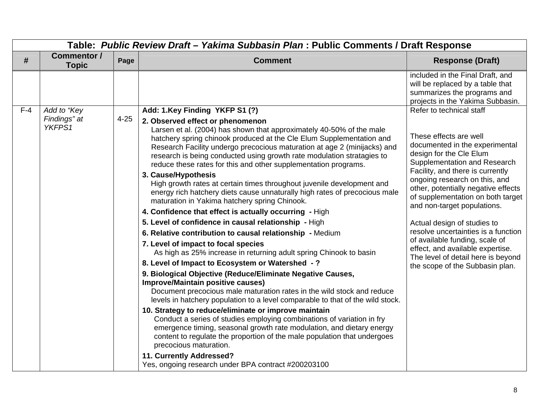|       |                             | Table: Public Review Draft - Yakima Subbasin Plan : Public Comments / Draft Response |                                                                                                                                                                                                                                                                                                                                                                                                                                                                                                                                                                                                                                                                                                                                                                                                                                                                                                                                                                                                                                                                                                                                                                                                                                                                                                                                                                                                                                                                                                                                                                                 |                                                                                                                                                                                                                                                                                                                                                                                                                                                                                                                          |
|-------|-----------------------------|--------------------------------------------------------------------------------------|---------------------------------------------------------------------------------------------------------------------------------------------------------------------------------------------------------------------------------------------------------------------------------------------------------------------------------------------------------------------------------------------------------------------------------------------------------------------------------------------------------------------------------------------------------------------------------------------------------------------------------------------------------------------------------------------------------------------------------------------------------------------------------------------------------------------------------------------------------------------------------------------------------------------------------------------------------------------------------------------------------------------------------------------------------------------------------------------------------------------------------------------------------------------------------------------------------------------------------------------------------------------------------------------------------------------------------------------------------------------------------------------------------------------------------------------------------------------------------------------------------------------------------------------------------------------------------|--------------------------------------------------------------------------------------------------------------------------------------------------------------------------------------------------------------------------------------------------------------------------------------------------------------------------------------------------------------------------------------------------------------------------------------------------------------------------------------------------------------------------|
| #     | Commentor /<br><b>Topic</b> | Page                                                                                 | <b>Comment</b>                                                                                                                                                                                                                                                                                                                                                                                                                                                                                                                                                                                                                                                                                                                                                                                                                                                                                                                                                                                                                                                                                                                                                                                                                                                                                                                                                                                                                                                                                                                                                                  | <b>Response (Draft)</b>                                                                                                                                                                                                                                                                                                                                                                                                                                                                                                  |
|       |                             |                                                                                      |                                                                                                                                                                                                                                                                                                                                                                                                                                                                                                                                                                                                                                                                                                                                                                                                                                                                                                                                                                                                                                                                                                                                                                                                                                                                                                                                                                                                                                                                                                                                                                                 | included in the Final Draft, and<br>will be replaced by a table that<br>summarizes the programs and<br>projects in the Yakima Subbasin.                                                                                                                                                                                                                                                                                                                                                                                  |
| $F-4$ | Add to "Key                 |                                                                                      | Add: 1.Key Finding YKFP S1 (?)                                                                                                                                                                                                                                                                                                                                                                                                                                                                                                                                                                                                                                                                                                                                                                                                                                                                                                                                                                                                                                                                                                                                                                                                                                                                                                                                                                                                                                                                                                                                                  | Refer to technical staff                                                                                                                                                                                                                                                                                                                                                                                                                                                                                                 |
|       | Findings" at<br>YKFPS1      | $4 - 25$                                                                             | 2. Observed effect or phenomenon<br>Larsen et al. (2004) has shown that approximately 40-50% of the male<br>hatchery spring chinook produced at the Cle Elum Supplementation and<br>Research Facility undergo precocious maturation at age 2 (minijacks) and<br>research is being conducted using growth rate modulation stratagies to<br>reduce these rates for this and other supplementation programs.<br>3. Cause/Hypothesis<br>High growth rates at certain times throughout juvenile development and<br>energy rich hatchery diets cause unnaturally high rates of precocious male<br>maturation in Yakima hatchery spring Chinook.<br>4. Confidence that effect is actually occurring - High<br>5. Level of confidence in causal relationship - High<br>6. Relative contribution to causal relationship - Medium<br>7. Level of impact to focal species<br>As high as 25% increase in returning adult spring Chinook to basin<br>8. Level of Impact to Ecosystem or Watershed - ?<br>9. Biological Objective (Reduce/Eliminate Negative Causes,<br><b>Improve/Maintain positive causes)</b><br>Document precocious male maturation rates in the wild stock and reduce<br>levels in hatchery population to a level comparable to that of the wild stock.<br>10. Strategy to reduce/eliminate or improve maintain<br>Conduct a series of studies employing combinations of variation in fry<br>emergence timing, seasonal growth rate modulation, and dietary energy<br>content to regulate the proportion of the male population that undergoes<br>precocious maturation. | These effects are well<br>documented in the experimental<br>design for the Cle Elum<br>Supplementation and Research<br>Facility, and there is currently<br>ongoing research on this, and<br>other, potentially negative effects<br>of supplementation on both target<br>and non-target populations.<br>Actual design of studies to<br>resolve uncertainties is a function<br>of available funding, scale of<br>effect, and available expertise.<br>The level of detail here is beyond<br>the scope of the Subbasin plan. |
|       |                             |                                                                                      | 11. Currently Addressed?<br>Yes, ongoing research under BPA contract #200203100                                                                                                                                                                                                                                                                                                                                                                                                                                                                                                                                                                                                                                                                                                                                                                                                                                                                                                                                                                                                                                                                                                                                                                                                                                                                                                                                                                                                                                                                                                 |                                                                                                                                                                                                                                                                                                                                                                                                                                                                                                                          |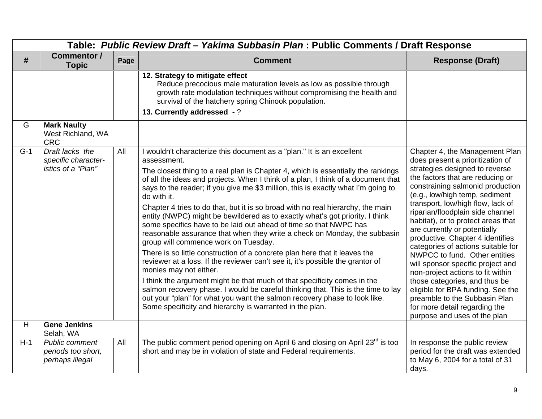|       | Table: Public Review Draft - Yakima Subbasin Plan : Public Comments / Draft Response |      |                                                                                                                                                                                                                                                                                                                                                                                                                                                                                                                                                                                                                                                                                                                                                                                                                                                                                                                                                                                                                                                                                                                                                                                                                                   |                                                                                                                                                                                                                                                                                                                                                                                                                                                                                                                                                                                                                                                                                                                            |  |  |
|-------|--------------------------------------------------------------------------------------|------|-----------------------------------------------------------------------------------------------------------------------------------------------------------------------------------------------------------------------------------------------------------------------------------------------------------------------------------------------------------------------------------------------------------------------------------------------------------------------------------------------------------------------------------------------------------------------------------------------------------------------------------------------------------------------------------------------------------------------------------------------------------------------------------------------------------------------------------------------------------------------------------------------------------------------------------------------------------------------------------------------------------------------------------------------------------------------------------------------------------------------------------------------------------------------------------------------------------------------------------|----------------------------------------------------------------------------------------------------------------------------------------------------------------------------------------------------------------------------------------------------------------------------------------------------------------------------------------------------------------------------------------------------------------------------------------------------------------------------------------------------------------------------------------------------------------------------------------------------------------------------------------------------------------------------------------------------------------------------|--|--|
| #     | <b>Commentor /</b><br><b>Topic</b>                                                   | Page | <b>Comment</b>                                                                                                                                                                                                                                                                                                                                                                                                                                                                                                                                                                                                                                                                                                                                                                                                                                                                                                                                                                                                                                                                                                                                                                                                                    | <b>Response (Draft)</b>                                                                                                                                                                                                                                                                                                                                                                                                                                                                                                                                                                                                                                                                                                    |  |  |
| G     | <b>Mark Naulty</b>                                                                   |      | 12. Strategy to mitigate effect<br>Reduce precocious male maturation levels as low as possible through<br>growth rate modulation techniques without compromising the health and<br>survival of the hatchery spring Chinook population.<br>13. Currently addressed - ?                                                                                                                                                                                                                                                                                                                                                                                                                                                                                                                                                                                                                                                                                                                                                                                                                                                                                                                                                             |                                                                                                                                                                                                                                                                                                                                                                                                                                                                                                                                                                                                                                                                                                                            |  |  |
|       | West Richland, WA<br><b>CRC</b>                                                      |      |                                                                                                                                                                                                                                                                                                                                                                                                                                                                                                                                                                                                                                                                                                                                                                                                                                                                                                                                                                                                                                                                                                                                                                                                                                   |                                                                                                                                                                                                                                                                                                                                                                                                                                                                                                                                                                                                                                                                                                                            |  |  |
| $G-1$ | Draft lacks the<br>specific character-<br>istics of a "Plan"                         | All  | I wouldn't characterize this document as a "plan." It is an excellent<br>assessment.<br>The closest thing to a real plan is Chapter 4, which is essentially the rankings<br>of all the ideas and projects. When I think of a plan, I think of a document that<br>says to the reader; if you give me \$3 million, this is exactly what I'm going to<br>do with it.<br>Chapter 4 tries to do that, but it is so broad with no real hierarchy, the main<br>entity (NWPC) might be bewildered as to exactly what's got priority. I think<br>some specifics have to be laid out ahead of time so that NWPC has<br>reasonable assurance that when they write a check on Monday, the subbasin<br>group will commence work on Tuesday.<br>There is so little construction of a concrete plan here that it leaves the<br>reviewer at a loss. If the reviewer can't see it, it's possible the grantor of<br>monies may not either.<br>I think the argument might be that much of that specificity comes in the<br>salmon recovery phase. I would be careful thinking that. This is the time to lay<br>out your "plan" for what you want the salmon recovery phase to look like.<br>Some specificity and hierarchy is warranted in the plan. | Chapter 4, the Management Plan<br>does present a prioritization of<br>strategies designed to reverse<br>the factors that are reducing or<br>constraining salmonid production<br>(e.g., low/high temp, sediment<br>transport, low/high flow, lack of<br>riparian/floodplain side channel<br>habitat), or to protect areas that<br>are currently or potentially<br>productive. Chapter 4 identifies<br>categories of actions suitable for<br>NWPCC to fund. Other entities<br>will sponsor specific project and<br>non-project actions to fit within<br>those categories, and thus be<br>eligible for BPA funding. See the<br>preamble to the Subbasin Plan<br>for more detail regarding the<br>purpose and uses of the plan |  |  |
| H     | <b>Gene Jenkins</b><br>Selah, WA                                                     |      |                                                                                                                                                                                                                                                                                                                                                                                                                                                                                                                                                                                                                                                                                                                                                                                                                                                                                                                                                                                                                                                                                                                                                                                                                                   |                                                                                                                                                                                                                                                                                                                                                                                                                                                                                                                                                                                                                                                                                                                            |  |  |
| $H-1$ | <b>Public comment</b><br>periods too short,<br>perhaps illegal                       | All  | The public comment period opening on April 6 and closing on April 23 <sup>rd</sup> is too<br>short and may be in violation of state and Federal requirements.                                                                                                                                                                                                                                                                                                                                                                                                                                                                                                                                                                                                                                                                                                                                                                                                                                                                                                                                                                                                                                                                     | In response the public review<br>period for the draft was extended<br>to May 6, 2004 for a total of 31<br>days.                                                                                                                                                                                                                                                                                                                                                                                                                                                                                                                                                                                                            |  |  |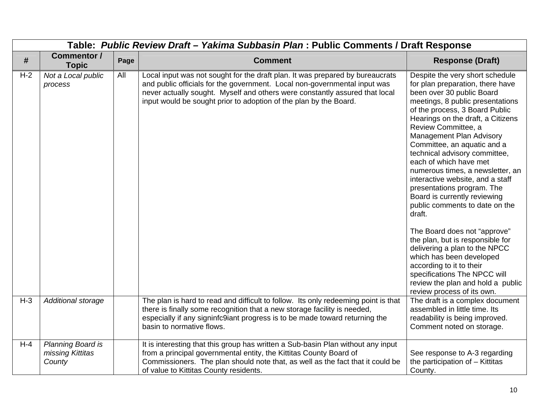|       |                                                 |      | Table: Public Review Draft - Yakima Subbasin Plan : Public Comments / Draft Response                                                                                                                                                                                                                           |                                                                                                                                                                                                                                                                                                                                                                                                                                                                                                                                                                                                                                                                                                                                                                                                                   |
|-------|-------------------------------------------------|------|----------------------------------------------------------------------------------------------------------------------------------------------------------------------------------------------------------------------------------------------------------------------------------------------------------------|-------------------------------------------------------------------------------------------------------------------------------------------------------------------------------------------------------------------------------------------------------------------------------------------------------------------------------------------------------------------------------------------------------------------------------------------------------------------------------------------------------------------------------------------------------------------------------------------------------------------------------------------------------------------------------------------------------------------------------------------------------------------------------------------------------------------|
| #     | <b>Commentor /</b><br><b>Topic</b>              | Page | <b>Comment</b>                                                                                                                                                                                                                                                                                                 | <b>Response (Draft)</b>                                                                                                                                                                                                                                                                                                                                                                                                                                                                                                                                                                                                                                                                                                                                                                                           |
| $H-2$ | Not a Local public<br>process                   | All  | Local input was not sought for the draft plan. It was prepared by bureaucrats<br>and public officials for the government. Local non-governmental input was<br>never actually sought. Myself and others were constantly assured that local<br>input would be sought prior to adoption of the plan by the Board. | Despite the very short schedule<br>for plan preparation, there have<br>been over 30 public Board<br>meetings, 8 public presentations<br>of the process, 3 Board Public<br>Hearings on the draft, a Citizens<br>Review Committee, a<br><b>Management Plan Advisory</b><br>Committee, an aquatic and a<br>technical advisory committee,<br>each of which have met<br>numerous times, a newsletter, an<br>interactive website, and a staff<br>presentations program. The<br>Board is currently reviewing<br>public comments to date on the<br>draft.<br>The Board does not "approve"<br>the plan, but is responsible for<br>delivering a plan to the NPCC<br>which has been developed<br>according to it to their<br>specifications The NPCC will<br>review the plan and hold a public<br>review process of its own. |
| $H-3$ | Additional storage                              |      | The plan is hard to read and difficult to follow. Its only redeeming point is that<br>there is finally some recognition that a new storage facility is needed,<br>especially if any signinfc9iant progress is to be made toward returning the<br>basin to normative flows.                                     | The draft is a complex document<br>assembled in little time. Its<br>readability is being improved.<br>Comment noted on storage.                                                                                                                                                                                                                                                                                                                                                                                                                                                                                                                                                                                                                                                                                   |
| $H-4$ | Planning Board is<br>missing Kittitas<br>County |      | It is interesting that this group has written a Sub-basin Plan without any input<br>from a principal governmental entity, the Kittitas County Board of<br>Commissioners. The plan should note that, as well as the fact that it could be<br>of value to Kittitas County residents.                             | See response to A-3 regarding<br>the participation of - Kittitas<br>County.                                                                                                                                                                                                                                                                                                                                                                                                                                                                                                                                                                                                                                                                                                                                       |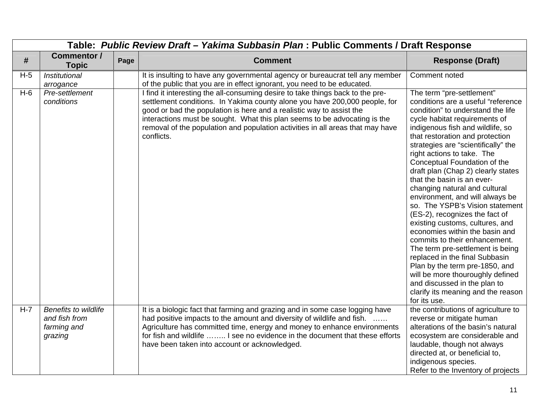|       | Table: Public Review Draft - Yakima Subbasin Plan : Public Comments / Draft Response |      |                                                                                                                                                                                                                                                                                                                                                                                                                   |                                                                                                                                                                                                                                                                                                                                                                                                                                                                                                                                                                                                                                                                                                                                                                                                                                                                        |  |  |
|-------|--------------------------------------------------------------------------------------|------|-------------------------------------------------------------------------------------------------------------------------------------------------------------------------------------------------------------------------------------------------------------------------------------------------------------------------------------------------------------------------------------------------------------------|------------------------------------------------------------------------------------------------------------------------------------------------------------------------------------------------------------------------------------------------------------------------------------------------------------------------------------------------------------------------------------------------------------------------------------------------------------------------------------------------------------------------------------------------------------------------------------------------------------------------------------------------------------------------------------------------------------------------------------------------------------------------------------------------------------------------------------------------------------------------|--|--|
| #     | <b>Commentor /</b><br><b>Topic</b>                                                   | Page | <b>Comment</b>                                                                                                                                                                                                                                                                                                                                                                                                    | <b>Response (Draft)</b>                                                                                                                                                                                                                                                                                                                                                                                                                                                                                                                                                                                                                                                                                                                                                                                                                                                |  |  |
| $H-5$ | Institutional<br>arrogance                                                           |      | It is insulting to have any governmental agency or bureaucrat tell any member<br>of the public that you are in effect ignorant, you need to be educated.                                                                                                                                                                                                                                                          | Comment noted                                                                                                                                                                                                                                                                                                                                                                                                                                                                                                                                                                                                                                                                                                                                                                                                                                                          |  |  |
| $H-6$ | Pre-settlement<br>conditions                                                         |      | I find it interesting the all-consuming desire to take things back to the pre-<br>settlement conditions. In Yakima county alone you have 200,000 people, for<br>good or bad the population is here and a realistic way to assist the<br>interactions must be sought. What this plan seems to be advocating is the<br>removal of the population and population activities in all areas that may have<br>conflicts. | The term "pre-settlement"<br>conditions are a useful "reference<br>condition" to understand the life<br>cycle habitat requirements of<br>indigenous fish and wildlife, so<br>that restoration and protection<br>strategies are "scientifically" the<br>right actions to take. The<br>Conceptual Foundation of the<br>draft plan (Chap 2) clearly states<br>that the basin is an ever-<br>changing natural and cultural<br>environment, and will always be<br>so. The YSPB's Vision statement<br>(ES-2), recognizes the fact of<br>existing customs, cultures, and<br>economies within the basin and<br>commits to their enhancement.<br>The term pre-settlement is being<br>replaced in the final Subbasin<br>Plan by the term pre-1850, and<br>will be more thouroughly defined<br>and discussed in the plan to<br>clarify its meaning and the reason<br>for its use. |  |  |
| $H-7$ | <b>Benefits to wildlife</b><br>and fish from<br>farming and<br>grazing               |      | It is a biologic fact that farming and grazing and in some case logging have<br>had positive impacts to the amount and diversity of wildlife and fish.<br>Agriculture has committed time, energy and money to enhance environments<br>for fish and wildlife  I see no evidence in the document that these efforts<br>have been taken into account or acknowledged.                                                | the contributions of agriculture to<br>reverse or mitigate human<br>alterations of the basin's natural<br>ecosystem are considerable and<br>laudable, though not always<br>directed at, or beneficial to,<br>indigenous species.<br>Refer to the Inventory of projects                                                                                                                                                                                                                                                                                                                                                                                                                                                                                                                                                                                                 |  |  |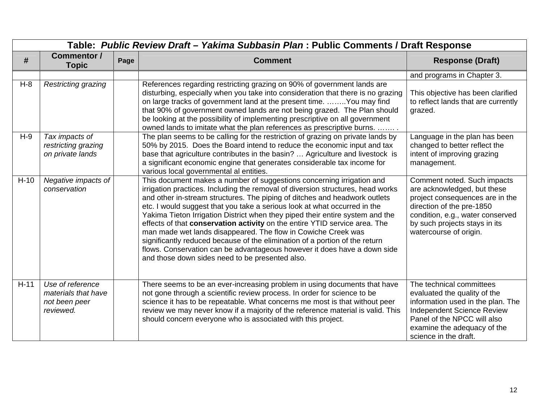|        | Table: Public Review Draft - Yakima Subbasin Plan: Public Comments / Draft Response |      |                                                                                                                                                                                                                                                                                                                                                                                                                                                                                                                                                                                                                                                                                                                                                                   |                                                                                                                                                                                                                           |  |  |
|--------|-------------------------------------------------------------------------------------|------|-------------------------------------------------------------------------------------------------------------------------------------------------------------------------------------------------------------------------------------------------------------------------------------------------------------------------------------------------------------------------------------------------------------------------------------------------------------------------------------------------------------------------------------------------------------------------------------------------------------------------------------------------------------------------------------------------------------------------------------------------------------------|---------------------------------------------------------------------------------------------------------------------------------------------------------------------------------------------------------------------------|--|--|
| #      | <b>Commentor /</b><br><b>Topic</b>                                                  | Page | <b>Comment</b>                                                                                                                                                                                                                                                                                                                                                                                                                                                                                                                                                                                                                                                                                                                                                    | <b>Response (Draft)</b>                                                                                                                                                                                                   |  |  |
|        |                                                                                     |      |                                                                                                                                                                                                                                                                                                                                                                                                                                                                                                                                                                                                                                                                                                                                                                   | and programs in Chapter 3.                                                                                                                                                                                                |  |  |
| $H-8$  | <b>Restricting grazing</b>                                                          |      | References regarding restricting grazing on 90% of government lands are<br>disturbing, especially when you take into consideration that there is no grazing<br>on large tracks of government land at the present time.  You may find<br>that 90% of government owned lands are not being grazed. The Plan should<br>be looking at the possibility of implementing prescriptive on all government<br>owned lands to imitate what the plan references as prescriptive burns.                                                                                                                                                                                                                                                                                        | This objective has been clarified<br>to reflect lands that are currently<br>grazed.                                                                                                                                       |  |  |
| $H-9$  | Tax impacts of<br>restricting grazing<br>on private lands                           |      | The plan seems to be calling for the restriction of grazing on private lands by<br>50% by 2015. Does the Board intend to reduce the economic input and tax<br>base that agriculture contributes in the basin?  Agriculture and livestock is<br>a significant economic engine that generates considerable tax income for<br>various local governmental al entities.                                                                                                                                                                                                                                                                                                                                                                                                | Language in the plan has been<br>changed to better reflect the<br>intent of improving grazing<br>management.                                                                                                              |  |  |
| $H-10$ | Negative impacts of<br>conservation                                                 |      | This document makes a number of suggestions concerning irrigation and<br>irrigation practices. Including the removal of diversion structures, head works<br>and other in-stream structures. The piping of ditches and headwork outlets<br>etc. I would suggest that you take a serious look at what occurred in the<br>Yakima Tieton Irrigation District when they piped their entire system and the<br>effects of that conservation activity on the entire YTID service area. The<br>man made wet lands disappeared. The flow in Cowiche Creek was<br>significantly reduced because of the elimination of a portion of the return<br>flows. Conservation can be advantageous however it does have a down side<br>and those down sides need to be presented also. | Comment noted. Such impacts<br>are acknowledged, but these<br>project consequences are in the<br>direction of the pre-1850<br>condition, e.g., water conserved<br>by such projects stays in its<br>watercourse of origin. |  |  |
| $H-11$ | Use of reference<br>materials that have<br>not been peer<br>reviewed.               |      | There seems to be an ever-increasing problem in using documents that have<br>not gone through a scientific review process. In order for science to be<br>science it has to be repeatable. What concerns me most is that without peer<br>review we may never know if a majority of the reference material is valid. This<br>should concern everyone who is associated with this project.                                                                                                                                                                                                                                                                                                                                                                           | The technical committees<br>evaluated the quality of the<br>information used in the plan. The<br><b>Independent Science Review</b><br>Panel of the NPCC will also<br>examine the adequacy of the<br>science in the draft. |  |  |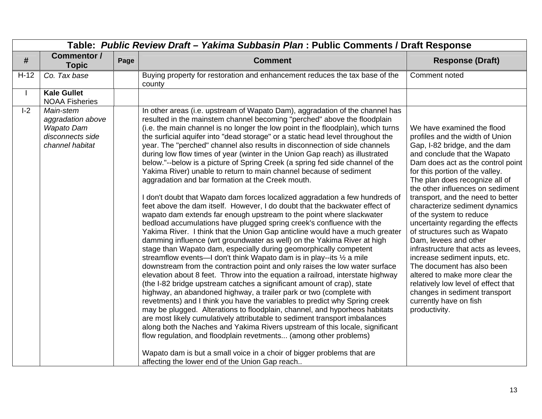|        | Table: Public Review Draft - Yakima Subbasin Plan : Public Comments / Draft Response       |      |                                                                                                                                                                                                                                                                                                                                                                                                                                                                                                                                                                                                                                                                                                                                                                                                                                                                                                                                                                                                                                                                                                                                                                                                                                                                                                                                                                                                                                                                                                                                                                                                                                                                                                                                                                                                                                                                                                                                                                                                                                                                                                                                                                                  |                                                                                                                                                                                                                                                                                                                                                                                                                                                                                                                                                                                                                                                                                                                                          |  |
|--------|--------------------------------------------------------------------------------------------|------|----------------------------------------------------------------------------------------------------------------------------------------------------------------------------------------------------------------------------------------------------------------------------------------------------------------------------------------------------------------------------------------------------------------------------------------------------------------------------------------------------------------------------------------------------------------------------------------------------------------------------------------------------------------------------------------------------------------------------------------------------------------------------------------------------------------------------------------------------------------------------------------------------------------------------------------------------------------------------------------------------------------------------------------------------------------------------------------------------------------------------------------------------------------------------------------------------------------------------------------------------------------------------------------------------------------------------------------------------------------------------------------------------------------------------------------------------------------------------------------------------------------------------------------------------------------------------------------------------------------------------------------------------------------------------------------------------------------------------------------------------------------------------------------------------------------------------------------------------------------------------------------------------------------------------------------------------------------------------------------------------------------------------------------------------------------------------------------------------------------------------------------------------------------------------------|------------------------------------------------------------------------------------------------------------------------------------------------------------------------------------------------------------------------------------------------------------------------------------------------------------------------------------------------------------------------------------------------------------------------------------------------------------------------------------------------------------------------------------------------------------------------------------------------------------------------------------------------------------------------------------------------------------------------------------------|--|
| #      | <b>Commentor /</b><br><b>Topic</b>                                                         | Page | <b>Comment</b>                                                                                                                                                                                                                                                                                                                                                                                                                                                                                                                                                                                                                                                                                                                                                                                                                                                                                                                                                                                                                                                                                                                                                                                                                                                                                                                                                                                                                                                                                                                                                                                                                                                                                                                                                                                                                                                                                                                                                                                                                                                                                                                                                                   | <b>Response (Draft)</b>                                                                                                                                                                                                                                                                                                                                                                                                                                                                                                                                                                                                                                                                                                                  |  |
| $H-12$ | Co. Tax base                                                                               |      | Buying property for restoration and enhancement reduces the tax base of the<br>county                                                                                                                                                                                                                                                                                                                                                                                                                                                                                                                                                                                                                                                                                                                                                                                                                                                                                                                                                                                                                                                                                                                                                                                                                                                                                                                                                                                                                                                                                                                                                                                                                                                                                                                                                                                                                                                                                                                                                                                                                                                                                            | Comment noted                                                                                                                                                                                                                                                                                                                                                                                                                                                                                                                                                                                                                                                                                                                            |  |
|        | <b>Kale Gullet</b><br><b>NOAA Fisheries</b>                                                |      |                                                                                                                                                                                                                                                                                                                                                                                                                                                                                                                                                                                                                                                                                                                                                                                                                                                                                                                                                                                                                                                                                                                                                                                                                                                                                                                                                                                                                                                                                                                                                                                                                                                                                                                                                                                                                                                                                                                                                                                                                                                                                                                                                                                  |                                                                                                                                                                                                                                                                                                                                                                                                                                                                                                                                                                                                                                                                                                                                          |  |
| $I-2$  | Main-stem<br>aggradation above<br><b>Wapato Dam</b><br>disconnects side<br>channel habitat |      | In other areas (i.e. upstream of Wapato Dam), aggradation of the channel has<br>resulted in the mainstem channel becoming "perched" above the floodplain<br>(i.e. the main channel is no longer the low point in the floodplain), which turns<br>the surficial aquifer into "dead storage" or a static head level throughout the<br>year. The "perched" channel also results in disconnection of side channels<br>during low flow times of year (winter in the Union Gap reach) as illustrated<br>below."--below is a picture of Spring Creek (a spring fed side channel of the<br>Yakima River) unable to return to main channel because of sediment<br>aggradation and bar formation at the Creek mouth.<br>I don't doubt that Wapato dam forces localized aggradation a few hundreds of<br>feet above the dam itself. However, I do doubt that the backwater effect of<br>wapato dam extends far enough upstream to the point where slackwater<br>bedload accumulations have plugged spring creek's confluence with the<br>Yakima River. I think that the Union Gap anticline would have a much greater<br>damming influence (wrt groundwater as well) on the Yakima River at high<br>stage than Wapato dam, especially during geomorphically competent<br>streamflow events-I don't think Wapato dam is in play--its 1/2 a mile<br>downstream from the contraction point and only raises the low water surface<br>elevation about 8 feet. Throw into the equation a railroad, interstate highway<br>(the I-82 bridge upstream catches a significant amount of crap), state<br>highway, an abandoned highway, a trailer park or two (complete with<br>revetments) and I think you have the variables to predict why Spring creek<br>may be plugged. Alterations to floodplain, channel, and hyporheos habitats<br>are most likely cumulatively attributable to sediment transport imbalances<br>along both the Naches and Yakima Rivers upstream of this locale, significant<br>flow regulation, and floodplain revetments (among other problems)<br>Wapato dam is but a small voice in a choir of bigger problems that are<br>affecting the lower end of the Union Gap reach | We have examined the flood<br>profiles and the width of Union<br>Gap, I-82 bridge, and the dam<br>and conclude that the Wapato<br>Dam does act as the control point<br>for this portion of the valley.<br>The plan does recognize all of<br>the other influences on sediment<br>transport, and the need to better<br>characterize sediment dynamics<br>of the system to reduce<br>uncertainty regarding the effects<br>of structures such as Wapato<br>Dam, levees and other<br>infrastructure that acts as levees,<br>increase sediment inputs, etc.<br>The document has also been<br>altered to make more clear the<br>relatively low level of effect that<br>changes in sediment transport<br>currently have on fish<br>productivity. |  |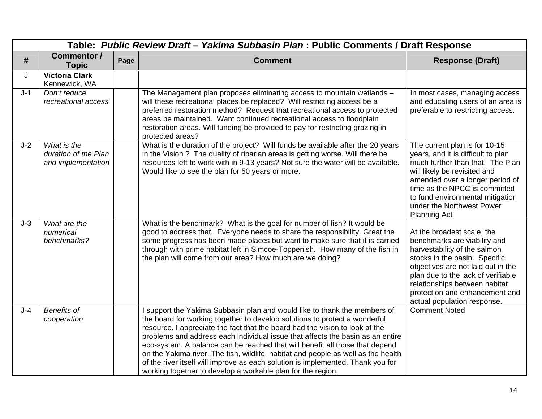|       | Table: Public Review Draft - Yakima Subbasin Plan : Public Comments / Draft Response |      |                                                                                                                                                                                                                                                                                                                                                                                                                                                                                                                                                                                                                                                  |                                                                                                                                                                                                                                                                                                           |  |
|-------|--------------------------------------------------------------------------------------|------|--------------------------------------------------------------------------------------------------------------------------------------------------------------------------------------------------------------------------------------------------------------------------------------------------------------------------------------------------------------------------------------------------------------------------------------------------------------------------------------------------------------------------------------------------------------------------------------------------------------------------------------------------|-----------------------------------------------------------------------------------------------------------------------------------------------------------------------------------------------------------------------------------------------------------------------------------------------------------|--|
| #     | <b>Commentor /</b><br><b>Topic</b>                                                   | Page | <b>Comment</b>                                                                                                                                                                                                                                                                                                                                                                                                                                                                                                                                                                                                                                   | <b>Response (Draft)</b>                                                                                                                                                                                                                                                                                   |  |
| J     | <b>Victoria Clark</b><br>Kennewick, WA                                               |      |                                                                                                                                                                                                                                                                                                                                                                                                                                                                                                                                                                                                                                                  |                                                                                                                                                                                                                                                                                                           |  |
| $J-1$ | Don't reduce<br>recreational access                                                  |      | The Management plan proposes eliminating access to mountain wetlands -<br>will these recreational places be replaced? Will restricting access be a<br>preferred restoration method? Request that recreational access to protected<br>areas be maintained. Want continued recreational access to floodplain<br>restoration areas. Will funding be provided to pay for restricting grazing in<br>protected areas?                                                                                                                                                                                                                                  | In most cases, managing access<br>and educating users of an area is<br>preferable to restricting access.                                                                                                                                                                                                  |  |
| $J-2$ | What is the<br>duration of the Plan<br>and implementation                            |      | What is the duration of the project? Will funds be available after the 20 years<br>in the Vision ? The quality of riparian areas is getting worse. Will there be<br>resources left to work with in 9-13 years? Not sure the water will be available.<br>Would like to see the plan for 50 years or more.                                                                                                                                                                                                                                                                                                                                         | The current plan is for 10-15<br>years, and it is difficult to plan<br>much further than that. The Plan<br>will likely be revisited and<br>amended over a longer period of<br>time as the NPCC is committed<br>to fund environmental mitigation<br>under the Northwest Power<br><b>Planning Act</b>       |  |
| $J-3$ | What are the<br>numerical<br>benchmarks?                                             |      | What is the benchmark? What is the goal for number of fish? It would be<br>good to address that. Everyone needs to share the responsibility. Great the<br>some progress has been made places but want to make sure that it is carried<br>through with prime habitat left in Simcoe-Toppenish. How many of the fish in<br>the plan will come from our area? How much are we doing?                                                                                                                                                                                                                                                                | At the broadest scale, the<br>benchmarks are viability and<br>harvestability of the salmon<br>stocks in the basin. Specific<br>objectives are not laid out in the<br>plan due to the lack of verifiable<br>relationships between habitat<br>protection and enhancement and<br>actual population response. |  |
| $J-4$ | <b>Benefits of</b><br>cooperation                                                    |      | I support the Yakima Subbasin plan and would like to thank the members of<br>the board for working together to develop solutions to protect a wonderful<br>resource. I appreciate the fact that the board had the vision to look at the<br>problems and address each individual issue that affects the basin as an entire<br>eco-system. A balance can be reached that will benefit all those that depend<br>on the Yakima river. The fish, wildlife, habitat and people as well as the health<br>of the river itself will improve as each solution is implemented. Thank you for<br>working together to develop a workable plan for the region. | <b>Comment Noted</b>                                                                                                                                                                                                                                                                                      |  |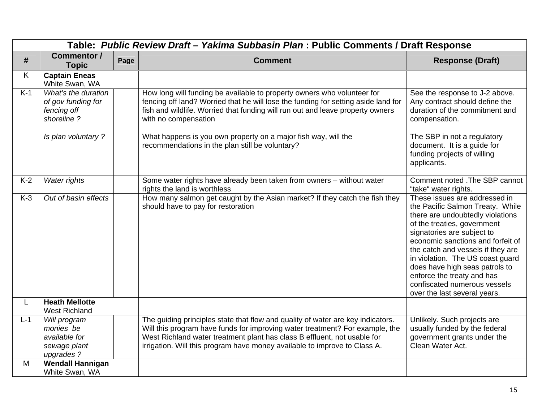|            | Table: Public Review Draft - Yakima Subbasin Plan : Public Comments / Draft Response                |      |                                                                                                                                                                                                                                                                                                                          |                                                                                                                                                                                                                                                                                                                                                                                                                  |  |  |
|------------|-----------------------------------------------------------------------------------------------------|------|--------------------------------------------------------------------------------------------------------------------------------------------------------------------------------------------------------------------------------------------------------------------------------------------------------------------------|------------------------------------------------------------------------------------------------------------------------------------------------------------------------------------------------------------------------------------------------------------------------------------------------------------------------------------------------------------------------------------------------------------------|--|--|
| #          | <b>Commentor /</b><br><b>Topic</b>                                                                  | Page | <b>Comment</b>                                                                                                                                                                                                                                                                                                           | <b>Response (Draft)</b>                                                                                                                                                                                                                                                                                                                                                                                          |  |  |
| Κ          | <b>Captain Eneas</b><br>White Swan, WA                                                              |      |                                                                                                                                                                                                                                                                                                                          |                                                                                                                                                                                                                                                                                                                                                                                                                  |  |  |
| $K-1$      | What's the duration<br>of gov funding for<br>fencing off<br>shoreline?                              |      | How long will funding be available to property owners who volunteer for<br>fencing off land? Worried that he will lose the funding for setting aside land for<br>fish and wildlife. Worried that funding will run out and leave property owners<br>with no compensation                                                  | See the response to J-2 above.<br>Any contract should define the<br>duration of the commitment and<br>compensation.                                                                                                                                                                                                                                                                                              |  |  |
|            | Is plan voluntary?                                                                                  |      | What happens is you own property on a major fish way, will the<br>recommendations in the plan still be voluntary?                                                                                                                                                                                                        | The SBP in not a regulatory<br>document. It is a guide for<br>funding projects of willing<br>applicants.                                                                                                                                                                                                                                                                                                         |  |  |
| $K-2$      | Water rights                                                                                        |      | Some water rights have already been taken from owners - without water<br>rights the land is worthless                                                                                                                                                                                                                    | Comment noted . The SBP cannot<br>"take" water rights.                                                                                                                                                                                                                                                                                                                                                           |  |  |
| $K-3$      | Out of basin effects                                                                                |      | How many salmon get caught by the Asian market? If they catch the fish they<br>should have to pay for restoration                                                                                                                                                                                                        | These issues are addressed in<br>the Pacific Salmon Treaty. While<br>there are undoubtedly violations<br>of the treaties, government<br>signatories are subject to<br>economic sanctions and forfeit of<br>the catch and vessels if they are<br>in violation. The US coast guard<br>does have high seas patrols to<br>enforce the treaty and has<br>confiscated numerous vessels<br>over the last several years. |  |  |
| L          | <b>Heath Mellotte</b><br><b>West Richland</b>                                                       |      |                                                                                                                                                                                                                                                                                                                          |                                                                                                                                                                                                                                                                                                                                                                                                                  |  |  |
| $L-1$<br>M | Will program<br>monies be<br>available for<br>sewage plant<br>upgrades ?<br><b>Wendall Hannigan</b> |      | The guiding principles state that flow and quality of water are key indicators.<br>Will this program have funds for improving water treatment? For example, the<br>West Richland water treatment plant has class B effluent, not usable for<br>irrigation. Will this program have money available to improve to Class A. | Unlikely. Such projects are<br>usually funded by the federal<br>government grants under the<br>Clean Water Act.                                                                                                                                                                                                                                                                                                  |  |  |
|            | White Swan, WA                                                                                      |      |                                                                                                                                                                                                                                                                                                                          |                                                                                                                                                                                                                                                                                                                                                                                                                  |  |  |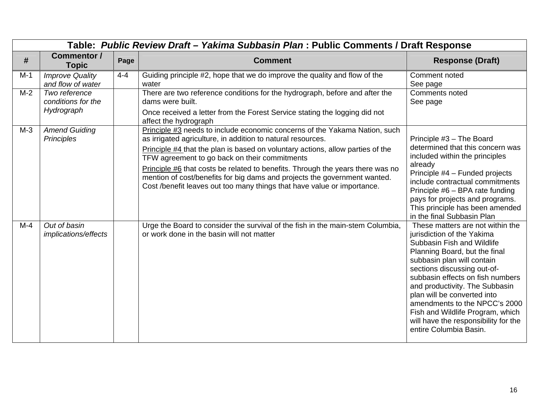|       | Table: Public Review Draft - Yakima Subbasin Plan : Public Comments / Draft Response |         |                                                                                                                                                                                                                                                                                                                                                                                                                                                                                                                        |                                                                                                                                                                                                                                                                                                                                                                                                                                        |  |  |
|-------|--------------------------------------------------------------------------------------|---------|------------------------------------------------------------------------------------------------------------------------------------------------------------------------------------------------------------------------------------------------------------------------------------------------------------------------------------------------------------------------------------------------------------------------------------------------------------------------------------------------------------------------|----------------------------------------------------------------------------------------------------------------------------------------------------------------------------------------------------------------------------------------------------------------------------------------------------------------------------------------------------------------------------------------------------------------------------------------|--|--|
| #     | Commentor /<br><b>Topic</b>                                                          | Page    | <b>Comment</b>                                                                                                                                                                                                                                                                                                                                                                                                                                                                                                         | <b>Response (Draft)</b>                                                                                                                                                                                                                                                                                                                                                                                                                |  |  |
| $M-1$ | <b>Improve Quality</b><br>and flow of water                                          | $4 - 4$ | Guiding principle #2, hope that we do improve the quality and flow of the<br>water                                                                                                                                                                                                                                                                                                                                                                                                                                     | Comment noted<br>See page                                                                                                                                                                                                                                                                                                                                                                                                              |  |  |
| $M-2$ | Two reference<br>conditions for the<br>Hydrograph                                    |         | There are two reference conditions for the hydrograph, before and after the<br>dams were built.<br>Once received a letter from the Forest Service stating the logging did not<br>affect the hydrograph                                                                                                                                                                                                                                                                                                                 | Comments noted<br>See page                                                                                                                                                                                                                                                                                                                                                                                                             |  |  |
| $M-3$ | <b>Amend Guiding</b><br>Principles                                                   |         | Principle #3 needs to include economic concerns of the Yakama Nation, such<br>as irrigated agriculture, in addition to natural resources.<br>Principle #4 that the plan is based on voluntary actions, allow parties of the<br>TFW agreement to go back on their commitments<br>Principle #6 that costs be related to benefits. Through the years there was no<br>mention of cost/benefits for big dams and projects the government wanted.<br>Cost /benefit leaves out too many things that have value or importance. | Principle #3 - The Board<br>determined that this concern was<br>included within the principles<br>already<br>Principle #4 - Funded projects<br>include contractual commitments<br>Principle #6 - BPA rate funding<br>pays for projects and programs.<br>This principle has been amended<br>in the final Subbasin Plan                                                                                                                  |  |  |
| $M-4$ | Out of basin<br>implications/effects                                                 |         | Urge the Board to consider the survival of the fish in the main-stem Columbia,<br>or work done in the basin will not matter                                                                                                                                                                                                                                                                                                                                                                                            | These matters are not within the<br>jurisdiction of the Yakima<br>Subbasin Fish and Wildlife<br>Planning Board, but the final<br>subbasin plan will contain<br>sections discussing out-of-<br>subbasin effects on fish numbers<br>and productivity. The Subbasin<br>plan will be converted into<br>amendments to the NPCC's 2000<br>Fish and Wildlife Program, which<br>will have the responsibility for the<br>entire Columbia Basin. |  |  |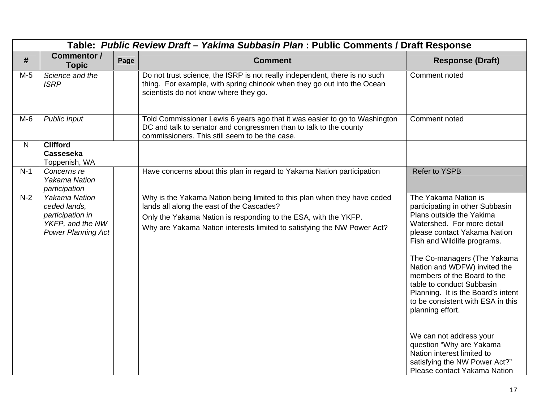|       | Table: Public Review Draft - Yakima Subbasin Plan : Public Comments / Draft Response                      |      |                                                                                                                                                                                                                                                                     |                                                                                                                                                                                                                                                                                                                                                                                                                                                                                                                                                                  |  |  |
|-------|-----------------------------------------------------------------------------------------------------------|------|---------------------------------------------------------------------------------------------------------------------------------------------------------------------------------------------------------------------------------------------------------------------|------------------------------------------------------------------------------------------------------------------------------------------------------------------------------------------------------------------------------------------------------------------------------------------------------------------------------------------------------------------------------------------------------------------------------------------------------------------------------------------------------------------------------------------------------------------|--|--|
| #     | <b>Commentor /</b><br><b>Topic</b>                                                                        | Page | <b>Comment</b>                                                                                                                                                                                                                                                      | <b>Response (Draft)</b>                                                                                                                                                                                                                                                                                                                                                                                                                                                                                                                                          |  |  |
| $M-5$ | Science and the<br><b>ISRP</b>                                                                            |      | Do not trust science, the ISRP is not really independent, there is no such<br>thing. For example, with spring chinook when they go out into the Ocean<br>scientists do not know where they go.                                                                      | Comment noted                                                                                                                                                                                                                                                                                                                                                                                                                                                                                                                                                    |  |  |
| $M-6$ | <b>Public Input</b>                                                                                       |      | Told Commissioner Lewis 6 years ago that it was easier to go to Washington<br>DC and talk to senator and congressmen than to talk to the county<br>commissioners. This still seem to be the case.                                                                   | Comment noted                                                                                                                                                                                                                                                                                                                                                                                                                                                                                                                                                    |  |  |
| N.    | <b>Clifford</b><br><b>Casseseka</b><br>Toppenish, WA                                                      |      |                                                                                                                                                                                                                                                                     |                                                                                                                                                                                                                                                                                                                                                                                                                                                                                                                                                                  |  |  |
| $N-1$ | Concerns re<br><b>Yakama Nation</b><br>participation                                                      |      | Have concerns about this plan in regard to Yakama Nation participation                                                                                                                                                                                              | <b>Refer to YSPB</b>                                                                                                                                                                                                                                                                                                                                                                                                                                                                                                                                             |  |  |
| $N-2$ | <b>Yakama Nation</b><br>ceded lands,<br>participation in<br>YKFP, and the NW<br><b>Power Planning Act</b> |      | Why is the Yakama Nation being limited to this plan when they have ceded<br>lands all along the east of the Cascades?<br>Only the Yakama Nation is responding to the ESA, with the YKFP.<br>Why are Yakama Nation interests limited to satisfying the NW Power Act? | The Yakama Nation is<br>participating in other Subbasin<br>Plans outside the Yakima<br>Watershed. For more detail<br>please contact Yakama Nation<br>Fish and Wildlife programs.<br>The Co-managers (The Yakama<br>Nation and WDFW) invited the<br>members of the Board to the<br>table to conduct Subbasin<br>Planning. It is the Board's intent<br>to be consistent with ESA in this<br>planning effort.<br>We can not address your<br>question "Why are Yakama<br>Nation interest limited to<br>satisfying the NW Power Act?"<br>Please contact Yakama Nation |  |  |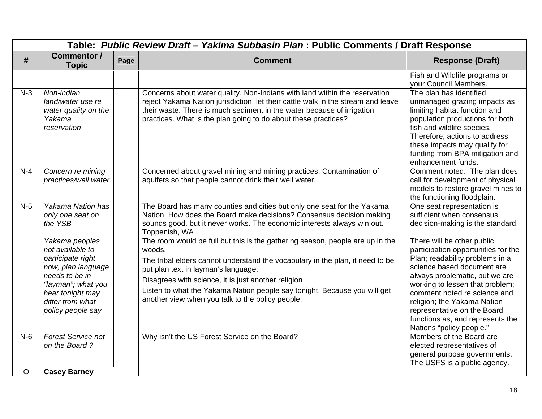|         | Table: Public Review Draft - Yakima Subbasin Plan : Public Comments / Draft Response                                                                                               |      |                                                                                                                                                                                                                                                                                                                                                                                                         |                                                                                                                                                                                                                                                                                                                                                                       |  |
|---------|------------------------------------------------------------------------------------------------------------------------------------------------------------------------------------|------|---------------------------------------------------------------------------------------------------------------------------------------------------------------------------------------------------------------------------------------------------------------------------------------------------------------------------------------------------------------------------------------------------------|-----------------------------------------------------------------------------------------------------------------------------------------------------------------------------------------------------------------------------------------------------------------------------------------------------------------------------------------------------------------------|--|
| #       | <b>Commentor /</b><br><b>Topic</b>                                                                                                                                                 | Page | <b>Comment</b>                                                                                                                                                                                                                                                                                                                                                                                          | <b>Response (Draft)</b>                                                                                                                                                                                                                                                                                                                                               |  |
|         |                                                                                                                                                                                    |      |                                                                                                                                                                                                                                                                                                                                                                                                         | Fish and Wildlife programs or<br>your Council Members.                                                                                                                                                                                                                                                                                                                |  |
| $N-3$   | Non-indian<br>land/water use re<br>water quality on the<br>Yakama<br>reservation                                                                                                   |      | Concerns about water quality. Non-Indians with land within the reservation<br>reject Yakama Nation jurisdiction, let their cattle walk in the stream and leave<br>their waste. There is much sediment in the water because of irrigation<br>practices. What is the plan going to do about these practices?                                                                                              | The plan has identified<br>unmanaged grazing impacts as<br>limiting habitat function and<br>population productions for both<br>fish and wildlife species.<br>Therefore, actions to address<br>these impacts may qualify for<br>funding from BPA mitigation and<br>enhancement funds.                                                                                  |  |
| $N-4$   | Concern re mining<br>practices/well water                                                                                                                                          |      | Concerned about gravel mining and mining practices. Contamination of<br>aquifers so that people cannot drink their well water.                                                                                                                                                                                                                                                                          | Comment noted. The plan does<br>call for development of physical<br>models to restore gravel mines to<br>the functioning floodplain.                                                                                                                                                                                                                                  |  |
| $N-5$   | Yakama Nation has<br>only one seat on<br>the YSB                                                                                                                                   |      | The Board has many counties and cities but only one seat for the Yakama<br>Nation. How does the Board make decisions? Consensus decision making<br>sounds good, but it never works. The economic interests always win out.<br>Toppenish, WA                                                                                                                                                             | One seat representation is<br>sufficient when consensus<br>decision-making is the standard.                                                                                                                                                                                                                                                                           |  |
|         | Yakama peoples<br>not available to<br>participate right<br>now; plan language<br>needs to be in<br>"layman"; what you<br>hear tonight may<br>differ from what<br>policy people say |      | The room would be full but this is the gathering season, people are up in the<br>woods.<br>The tribal elders cannot understand the vocabulary in the plan, it need to be<br>put plan text in layman's language.<br>Disagrees with science, it is just another religion<br>Listen to what the Yakama Nation people say tonight. Because you will get<br>another view when you talk to the policy people. | There will be other public<br>participation opportunities for the<br>Plan; readability problems in a<br>science based document are<br>always problematic, but we are<br>working to lessen that problem;<br>comment noted re science and<br>religion; the Yakama Nation<br>representative on the Board<br>functions as, and represents the<br>Nations "policy people." |  |
| $N-6$   | <b>Forest Service not</b><br>on the Board?                                                                                                                                         |      | Why isn't the US Forest Service on the Board?                                                                                                                                                                                                                                                                                                                                                           | Members of the Board are<br>elected representatives of<br>general purpose governments.<br>The USFS is a public agency.                                                                                                                                                                                                                                                |  |
| $\circ$ | <b>Casey Barney</b>                                                                                                                                                                |      |                                                                                                                                                                                                                                                                                                                                                                                                         |                                                                                                                                                                                                                                                                                                                                                                       |  |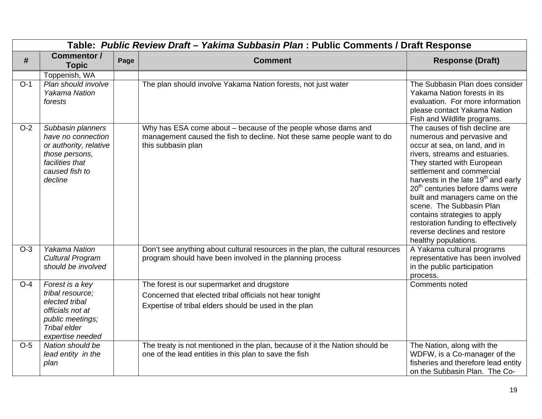|       | Table: Public Review Draft - Yakima Subbasin Plan : Public Comments / Draft Response                                                |      |                                                                                                                                                                |                                                                                                                                                                                                                                                                                                                                                                                                                                                                                          |  |  |
|-------|-------------------------------------------------------------------------------------------------------------------------------------|------|----------------------------------------------------------------------------------------------------------------------------------------------------------------|------------------------------------------------------------------------------------------------------------------------------------------------------------------------------------------------------------------------------------------------------------------------------------------------------------------------------------------------------------------------------------------------------------------------------------------------------------------------------------------|--|--|
| #     | <b>Commentor /</b><br><b>Topic</b>                                                                                                  | Page | <b>Comment</b>                                                                                                                                                 | <b>Response (Draft)</b>                                                                                                                                                                                                                                                                                                                                                                                                                                                                  |  |  |
|       | Toppenish, WA                                                                                                                       |      |                                                                                                                                                                |                                                                                                                                                                                                                                                                                                                                                                                                                                                                                          |  |  |
| $O-1$ | Plan should involve<br><b>Yakama Nation</b><br>forests                                                                              |      | The plan should involve Yakama Nation forests, not just water                                                                                                  | The Subbasin Plan does consider<br>Yakama Nation forests in its<br>evaluation. For more information<br>please contact Yakama Nation<br>Fish and Wildlife programs.                                                                                                                                                                                                                                                                                                                       |  |  |
| $O-2$ | Subbasin planners<br>have no connection<br>or authority, relative<br>those persons,<br>facilities that<br>caused fish to<br>decline |      | Why has ESA come about - because of the people whose dams and<br>management caused the fish to decline. Not these same people want to do<br>this subbasin plan | The causes of fish decline are<br>numerous and pervasive and<br>occur at sea, on land, and in<br>rivers, streams and estuaries.<br>They started with European<br>settlement and commercial<br>harvests in the late 19 <sup>th</sup> and early<br>20 <sup>th</sup> centuries before dams were<br>built and managers came on the<br>scene. The Subbasin Plan<br>contains strategies to apply<br>restoration funding to effectively<br>reverse declines and restore<br>healthy populations. |  |  |
| $O-3$ | <b>Yakama Nation</b><br><b>Cultural Program</b><br>should be involved                                                               |      | Don't see anything about cultural resources in the plan, the cultural resources<br>program should have been involved in the planning process                   | A Yakama cultural programs<br>representative has been involved<br>in the public participation<br>process.                                                                                                                                                                                                                                                                                                                                                                                |  |  |
| $O-4$ | Forest is a key                                                                                                                     |      | The forest is our supermarket and drugstore                                                                                                                    | Comments noted                                                                                                                                                                                                                                                                                                                                                                                                                                                                           |  |  |
|       | tribal resource;                                                                                                                    |      | Concerned that elected tribal officials not hear tonight                                                                                                       |                                                                                                                                                                                                                                                                                                                                                                                                                                                                                          |  |  |
|       | elected tribal<br>officials not at<br>public meetings;<br>Tribal elder<br>expertise needed                                          |      | Expertise of tribal elders should be used in the plan                                                                                                          |                                                                                                                                                                                                                                                                                                                                                                                                                                                                                          |  |  |
| $O-5$ | Nation should be<br>lead entity in the<br>plan                                                                                      |      | The treaty is not mentioned in the plan, because of it the Nation should be<br>one of the lead entities in this plan to save the fish                          | The Nation, along with the<br>WDFW, is a Co-manager of the<br>fisheries and therefore lead entity<br>on the Subbasin Plan. The Co-                                                                                                                                                                                                                                                                                                                                                       |  |  |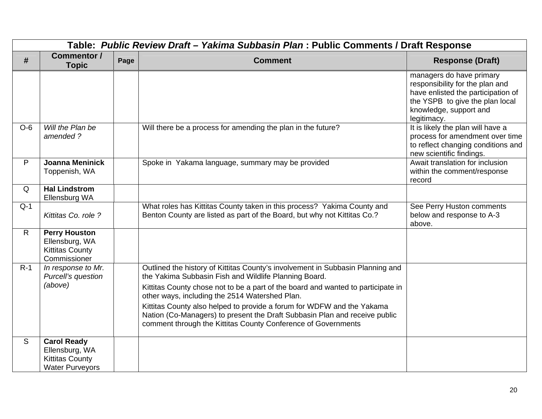|              | Table: Public Review Draft - Yakima Subbasin Plan : Public Comments / Draft Response     |      |                                                                                                                                                                                                                                                                                                                                                                                                                                                                                                        |                                                                                                                                                                               |  |
|--------------|------------------------------------------------------------------------------------------|------|--------------------------------------------------------------------------------------------------------------------------------------------------------------------------------------------------------------------------------------------------------------------------------------------------------------------------------------------------------------------------------------------------------------------------------------------------------------------------------------------------------|-------------------------------------------------------------------------------------------------------------------------------------------------------------------------------|--|
| #            | <b>Commentor /</b><br><b>Topic</b>                                                       | Page | <b>Comment</b>                                                                                                                                                                                                                                                                                                                                                                                                                                                                                         | <b>Response (Draft)</b>                                                                                                                                                       |  |
|              |                                                                                          |      |                                                                                                                                                                                                                                                                                                                                                                                                                                                                                                        | managers do have primary<br>responsibility for the plan and<br>have enlisted the participation of<br>the YSPB to give the plan local<br>knowledge, support and<br>legitimacy. |  |
| $O-6$        | Will the Plan be<br>amended?                                                             |      | Will there be a process for amending the plan in the future?                                                                                                                                                                                                                                                                                                                                                                                                                                           | It is likely the plan will have a<br>process for amendment over time<br>to reflect changing conditions and<br>new scientific findings.                                        |  |
| P            | <b>Joanna Meninick</b><br>Toppenish, WA                                                  |      | Spoke in Yakama language, summary may be provided                                                                                                                                                                                                                                                                                                                                                                                                                                                      | Await translation for inclusion<br>within the comment/response<br>record                                                                                                      |  |
| Q            | <b>Hal Lindstrom</b><br>Ellensburg WA                                                    |      |                                                                                                                                                                                                                                                                                                                                                                                                                                                                                                        |                                                                                                                                                                               |  |
| $Q-1$        | Kittitas Co. role ?                                                                      |      | What roles has Kittitas County taken in this process? Yakima County and<br>Benton County are listed as part of the Board, but why not Kittitas Co.?                                                                                                                                                                                                                                                                                                                                                    | See Perry Huston comments<br>below and response to A-3<br>above.                                                                                                              |  |
| $\mathsf{R}$ | <b>Perry Houston</b><br>Ellensburg, WA<br><b>Kittitas County</b><br>Commissioner         |      |                                                                                                                                                                                                                                                                                                                                                                                                                                                                                                        |                                                                                                                                                                               |  |
| $R-1$        | In response to Mr.<br>Purcell's question<br>(above)                                      |      | Outlined the history of Kittitas County's involvement in Subbasin Planning and<br>the Yakima Subbasin Fish and Wildlife Planning Board.<br>Kittitas County chose not to be a part of the board and wanted to participate in<br>other ways, including the 2514 Watershed Plan.<br>Kittitas County also helped to provide a forum for WDFW and the Yakama<br>Nation (Co-Managers) to present the Draft Subbasin Plan and receive public<br>comment through the Kittitas County Conference of Governments |                                                                                                                                                                               |  |
| S            | <b>Carol Ready</b><br>Ellensburg, WA<br><b>Kittitas County</b><br><b>Water Purveyors</b> |      |                                                                                                                                                                                                                                                                                                                                                                                                                                                                                                        |                                                                                                                                                                               |  |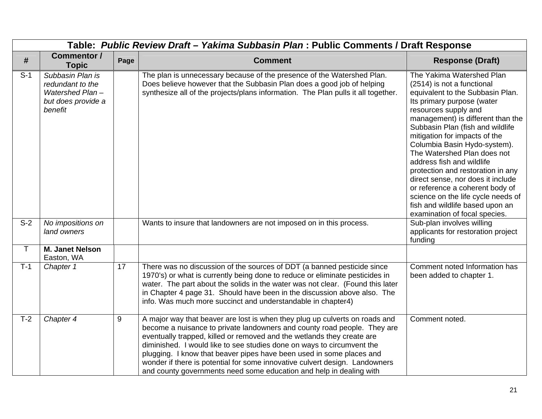|              | Table: Public Review Draft - Yakima Subbasin Plan : Public Comments / Draft Response     |      |                                                                                                                                                                                                                                                                                                                                                                                                                                                                                                                                           |                                                                                                                                                                                                                                                                                                                                                                                                                                                                                                                                                                                |  |  |
|--------------|------------------------------------------------------------------------------------------|------|-------------------------------------------------------------------------------------------------------------------------------------------------------------------------------------------------------------------------------------------------------------------------------------------------------------------------------------------------------------------------------------------------------------------------------------------------------------------------------------------------------------------------------------------|--------------------------------------------------------------------------------------------------------------------------------------------------------------------------------------------------------------------------------------------------------------------------------------------------------------------------------------------------------------------------------------------------------------------------------------------------------------------------------------------------------------------------------------------------------------------------------|--|--|
| #            | <b>Commentor /</b><br><b>Topic</b>                                                       | Page | <b>Comment</b>                                                                                                                                                                                                                                                                                                                                                                                                                                                                                                                            | <b>Response (Draft)</b>                                                                                                                                                                                                                                                                                                                                                                                                                                                                                                                                                        |  |  |
| $S-1$        | Subbasin Plan is<br>redundant to the<br>Watershed Plan-<br>but does provide a<br>benefit |      | The plan is unnecessary because of the presence of the Watershed Plan.<br>Does believe however that the Subbasin Plan does a good job of helping<br>synthesize all of the projects/plans information. The Plan pulls it all together.                                                                                                                                                                                                                                                                                                     | The Yakima Watershed Plan<br>(2514) is not a functional<br>equivalent to the Subbasin Plan.<br>Its primary purpose (water<br>resources supply and<br>management) is different than the<br>Subbasin Plan (fish and wildlife<br>mitigation for impacts of the<br>Columbia Basin Hydo-system).<br>The Watershed Plan does not<br>address fish and wildlife<br>protection and restoration in any<br>direct sense, nor does it include<br>or reference a coherent body of<br>science on the life cycle needs of<br>fish and wildlife based upon an<br>examination of focal species. |  |  |
| $S-2$        | No impositions on<br>land owners                                                         |      | Wants to insure that landowners are not imposed on in this process.                                                                                                                                                                                                                                                                                                                                                                                                                                                                       | Sub-plan involves willing<br>applicants for restoration project<br>funding                                                                                                                                                                                                                                                                                                                                                                                                                                                                                                     |  |  |
| $\mathsf{T}$ | <b>M. Janet Nelson</b><br>Easton, WA                                                     |      |                                                                                                                                                                                                                                                                                                                                                                                                                                                                                                                                           |                                                                                                                                                                                                                                                                                                                                                                                                                                                                                                                                                                                |  |  |
| $T-1$        | Chapter 1                                                                                | 17   | There was no discussion of the sources of DDT (a banned pesticide since<br>1970's) or what is currently being done to reduce or eliminate pesticides in<br>water. The part about the solids in the water was not clear. (Found this later<br>in Chapter 4 page 31. Should have been in the discussion above also. The<br>info. Was much more succinct and understandable in chapter4)                                                                                                                                                     | Comment noted Information has<br>been added to chapter 1.                                                                                                                                                                                                                                                                                                                                                                                                                                                                                                                      |  |  |
| $T-2$        | Chapter 4                                                                                | 9    | A major way that beaver are lost is when they plug up culverts on roads and<br>become a nuisance to private landowners and county road people. They are<br>eventually trapped, killed or removed and the wetlands they create are<br>diminished. I would like to see studies done on ways to circumvent the<br>plugging. I know that beaver pipes have been used in some places and<br>wonder if there is potential for some innovative culvert design. Landowners<br>and county governments need some education and help in dealing with | Comment noted.                                                                                                                                                                                                                                                                                                                                                                                                                                                                                                                                                                 |  |  |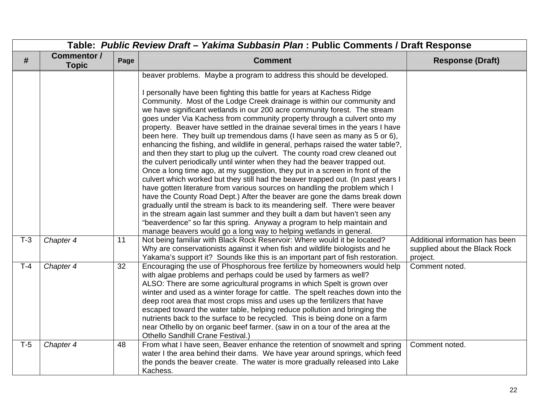|       |                             | Table: Public Review Draft - Yakima Subbasin Plan : Public Comments / Draft Response |                                                                                                                                                                                                                                                                                                                                                                                                                                                                                                                                                                                                                                                                                                                                                                                                                                                                                                                                                                                                                                                                                                                                                                                                                                                                                                                                                                                                                                                     |                                                                              |
|-------|-----------------------------|--------------------------------------------------------------------------------------|-----------------------------------------------------------------------------------------------------------------------------------------------------------------------------------------------------------------------------------------------------------------------------------------------------------------------------------------------------------------------------------------------------------------------------------------------------------------------------------------------------------------------------------------------------------------------------------------------------------------------------------------------------------------------------------------------------------------------------------------------------------------------------------------------------------------------------------------------------------------------------------------------------------------------------------------------------------------------------------------------------------------------------------------------------------------------------------------------------------------------------------------------------------------------------------------------------------------------------------------------------------------------------------------------------------------------------------------------------------------------------------------------------------------------------------------------------|------------------------------------------------------------------------------|
| #     | Commentor /<br><b>Topic</b> | Page                                                                                 | <b>Comment</b>                                                                                                                                                                                                                                                                                                                                                                                                                                                                                                                                                                                                                                                                                                                                                                                                                                                                                                                                                                                                                                                                                                                                                                                                                                                                                                                                                                                                                                      | <b>Response (Draft)</b>                                                      |
|       |                             |                                                                                      | beaver problems. Maybe a program to address this should be developed.<br>I personally have been fighting this battle for years at Kachess Ridge<br>Community. Most of the Lodge Creek drainage is within our community and<br>we have significant wetlands in our 200 acre community forest. The stream<br>goes under Via Kachess from community property through a culvert onto my<br>property. Beaver have settled in the drainae several times in the years I have<br>been here. They built up tremendous dams (I have seen as many as 5 or 6),<br>enhancing the fishing, and wildlife in general, perhaps raised the water table?,<br>and then they start to plug up the culvert. The county road crew cleaned out<br>the culvert periodically until winter when they had the beaver trapped out.<br>Once a long time ago, at my suggestion, they put in a screen in front of the<br>culvert which worked but they still had the beaver trapped out. (In past years I<br>have gotten literature from various sources on handling the problem which I<br>have the County Road Dept.) After the beaver are gone the dams break down<br>gradually until the stream is back to its meandering self. There were beaver<br>in the stream again last summer and they built a dam but haven't seen any<br>"beaverdence" so far this spring. Anyway a program to help maintain and<br>manage beavers would go a long way to helping wetlands in general. |                                                                              |
| $T-3$ | Chapter 4                   | 11                                                                                   | Not being familiar with Black Rock Reservoir: Where would it be located?<br>Why are conservationists against it when fish and wildlife biologists and he<br>Yakama's support it? Sounds like this is an important part of fish restoration.                                                                                                                                                                                                                                                                                                                                                                                                                                                                                                                                                                                                                                                                                                                                                                                                                                                                                                                                                                                                                                                                                                                                                                                                         | Additional information has been<br>supplied about the Black Rock<br>project. |
| $T-4$ | Chapter 4                   | 32                                                                                   | Encouraging the use of Phosphorous free fertilize by homeowners would help<br>with algae problems and perhaps could be used by farmers as well?<br>ALSO: There are some agricultural programs in which Spelt is grown over<br>winter and used as a winter forage for cattle. The spelt reaches down into the<br>deep root area that most crops miss and uses up the fertilizers that have<br>escaped toward the water table, helping reduce pollution and bringing the<br>nutrients back to the surface to be recycled. This is being done on a farm<br>near Othello by on organic beef farmer. (saw in on a tour of the area at the<br>Othello Sandhill Crane Festival.)                                                                                                                                                                                                                                                                                                                                                                                                                                                                                                                                                                                                                                                                                                                                                                           | Comment noted.                                                               |
| $T-5$ | Chapter 4                   | 48                                                                                   | From what I have seen, Beaver enhance the retention of snowmelt and spring<br>water I the area behind their dams. We have year around springs, which feed<br>the ponds the beaver create. The water is more gradually released into Lake<br>Kachess.                                                                                                                                                                                                                                                                                                                                                                                                                                                                                                                                                                                                                                                                                                                                                                                                                                                                                                                                                                                                                                                                                                                                                                                                | Comment noted.                                                               |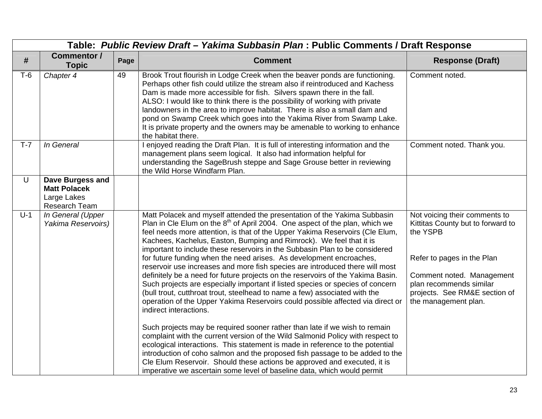|       |                                                                                | Table: Public Review Draft - Yakima Subbasin Plan : Public Comments / Draft Response |                                                                                                                                                                                                                                                                                                                                                                                                                                                                                                                                                                                                                                                                                                                                                                                                                                                                                                                                                                                                                                                                                                                                                                                                                                                                                                                                                                                                               |                                                                                                                                                                                                                               |
|-------|--------------------------------------------------------------------------------|--------------------------------------------------------------------------------------|---------------------------------------------------------------------------------------------------------------------------------------------------------------------------------------------------------------------------------------------------------------------------------------------------------------------------------------------------------------------------------------------------------------------------------------------------------------------------------------------------------------------------------------------------------------------------------------------------------------------------------------------------------------------------------------------------------------------------------------------------------------------------------------------------------------------------------------------------------------------------------------------------------------------------------------------------------------------------------------------------------------------------------------------------------------------------------------------------------------------------------------------------------------------------------------------------------------------------------------------------------------------------------------------------------------------------------------------------------------------------------------------------------------|-------------------------------------------------------------------------------------------------------------------------------------------------------------------------------------------------------------------------------|
| #     | <b>Commentor /</b><br><b>Topic</b>                                             | Page                                                                                 | <b>Comment</b>                                                                                                                                                                                                                                                                                                                                                                                                                                                                                                                                                                                                                                                                                                                                                                                                                                                                                                                                                                                                                                                                                                                                                                                                                                                                                                                                                                                                | <b>Response (Draft)</b>                                                                                                                                                                                                       |
| $T-6$ | Chapter 4                                                                      | 49                                                                                   | Brook Trout flourish in Lodge Creek when the beaver ponds are functioning.<br>Perhaps other fish could utilize the stream also if reintroduced and Kachess<br>Dam is made more accessible for fish. Silvers spawn there in the fall.<br>ALSO: I would like to think there is the possibility of working with private<br>landowners in the area to improve habitat. There is also a small dam and<br>pond on Swamp Creek which goes into the Yakima River from Swamp Lake.<br>It is private property and the owners may be amenable to working to enhance<br>the habitat there.                                                                                                                                                                                                                                                                                                                                                                                                                                                                                                                                                                                                                                                                                                                                                                                                                                | Comment noted.                                                                                                                                                                                                                |
| $T-7$ | In General                                                                     |                                                                                      | I enjoyed reading the Draft Plan. It is full of interesting information and the<br>management plans seem logical. It also had information helpful for<br>understanding the SageBrush steppe and Sage Grouse better in reviewing<br>the Wild Horse Windfarm Plan.                                                                                                                                                                                                                                                                                                                                                                                                                                                                                                                                                                                                                                                                                                                                                                                                                                                                                                                                                                                                                                                                                                                                              | Comment noted. Thank you.                                                                                                                                                                                                     |
| U     | Dave Burgess and<br><b>Matt Polacek</b><br>Large Lakes<br><b>Research Team</b> |                                                                                      |                                                                                                                                                                                                                                                                                                                                                                                                                                                                                                                                                                                                                                                                                                                                                                                                                                                                                                                                                                                                                                                                                                                                                                                                                                                                                                                                                                                                               |                                                                                                                                                                                                                               |
| $U-1$ | In General (Upper<br>Yakima Reservoirs)                                        |                                                                                      | Matt Polacek and myself attended the presentation of the Yakima Subbasin<br>Plan in Cle Elum on the $8th$ of April 2004. One aspect of the plan, which we<br>feel needs more attention, is that of the Upper Yakima Reservoirs (Cle Elum,<br>Kachees, Kachelus, Easton, Bumping and Rimrock). We feel that it is<br>important to include these reservoirs in the Subbasin Plan to be considered<br>for future funding when the need arises. As development encroaches,<br>reservoir use increases and more fish species are introduced there will most<br>definitely be a need for future projects on the reservoirs of the Yakima Basin.<br>Such projects are especially important if listed species or species of concern<br>(bull trout, cutthroat trout, steelhead to name a few) associated with the<br>operation of the Upper Yakima Reservoirs could possible affected via direct or<br>indirect interactions.<br>Such projects may be required sooner rather than late if we wish to remain<br>complaint with the current version of the Wild Salmonid Policy with respect to<br>ecological interactions. This statement is made in reference to the potential<br>introduction of coho salmon and the proposed fish passage to be added to the<br>Cle Elum Reservoir. Should these actions be approved and executed, it is<br>imperative we ascertain some level of baseline data, which would permit | Not voicing their comments to<br>Kittitas County but to forward to<br>the YSPB<br>Refer to pages in the Plan<br>Comment noted. Management<br>plan recommends similar<br>projects. See RM&E section of<br>the management plan. |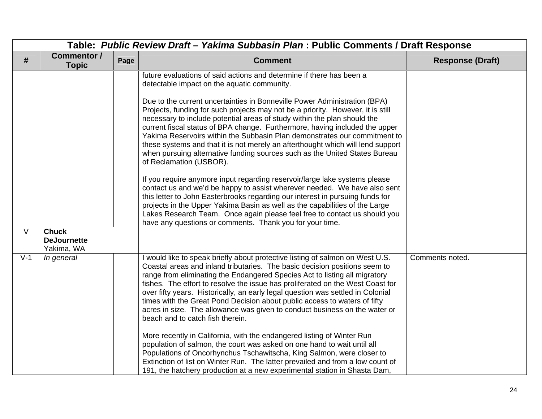|        | Table: Public Review Draft - Yakima Subbasin Plan : Public Comments / Draft Response |      |                                                                                                                                                                                                                                                                                                                                                                                                                                                                                                                                                                                                                                                                                                                                                                                                                                                                                                                                                                                                                                                                                                                                                                                             |                         |  |
|--------|--------------------------------------------------------------------------------------|------|---------------------------------------------------------------------------------------------------------------------------------------------------------------------------------------------------------------------------------------------------------------------------------------------------------------------------------------------------------------------------------------------------------------------------------------------------------------------------------------------------------------------------------------------------------------------------------------------------------------------------------------------------------------------------------------------------------------------------------------------------------------------------------------------------------------------------------------------------------------------------------------------------------------------------------------------------------------------------------------------------------------------------------------------------------------------------------------------------------------------------------------------------------------------------------------------|-------------------------|--|
| #      | Commentor /<br><b>Topic</b>                                                          | Page | <b>Comment</b>                                                                                                                                                                                                                                                                                                                                                                                                                                                                                                                                                                                                                                                                                                                                                                                                                                                                                                                                                                                                                                                                                                                                                                              | <b>Response (Draft)</b> |  |
|        |                                                                                      |      | future evaluations of said actions and determine if there has been a<br>detectable impact on the aquatic community.<br>Due to the current uncertainties in Bonneville Power Administration (BPA)<br>Projects, funding for such projects may not be a priority. However, it is still<br>necessary to include potential areas of study within the plan should the<br>current fiscal status of BPA change. Furthermore, having included the upper<br>Yakima Reservoirs within the Subbasin Plan demonstrates our commitment to<br>these systems and that it is not merely an afterthought which will lend support<br>when pursuing alternative funding sources such as the United States Bureau<br>of Reclamation (USBOR).<br>If you require anymore input regarding reservoir/large lake systems please<br>contact us and we'd be happy to assist wherever needed. We have also sent<br>this letter to John Easterbrooks regarding our interest in pursuing funds for<br>projects in the Upper Yakima Basin as well as the capabilities of the Large<br>Lakes Research Team. Once again please feel free to contact us should you<br>have any questions or comments. Thank you for your time. |                         |  |
| $\vee$ | <b>Chuck</b><br><b>DeJournette</b><br>Yakima, WA                                     |      |                                                                                                                                                                                                                                                                                                                                                                                                                                                                                                                                                                                                                                                                                                                                                                                                                                                                                                                                                                                                                                                                                                                                                                                             |                         |  |
| $V-1$  | In general                                                                           |      | I would like to speak briefly about protective listing of salmon on West U.S.<br>Coastal areas and inland tributaries. The basic decision positions seem to<br>range from eliminating the Endangered Species Act to listing all migratory<br>fishes. The effort to resolve the issue has proliferated on the West Coast for<br>over fifty years. Historically, an early legal question was settled in Colonial<br>times with the Great Pond Decision about public access to waters of fifty<br>acres in size. The allowance was given to conduct business on the water or<br>beach and to catch fish therein.<br>More recently in California, with the endangered listing of Winter Run<br>population of salmon, the court was asked on one hand to wait until all<br>Populations of Oncorhynchus Tschawitscha, King Salmon, were closer to<br>Extinction of list on Winter Run. The latter prevailed and from a low count of<br>191, the hatchery production at a new experimental station in Shasta Dam,                                                                                                                                                                                  | Comments noted.         |  |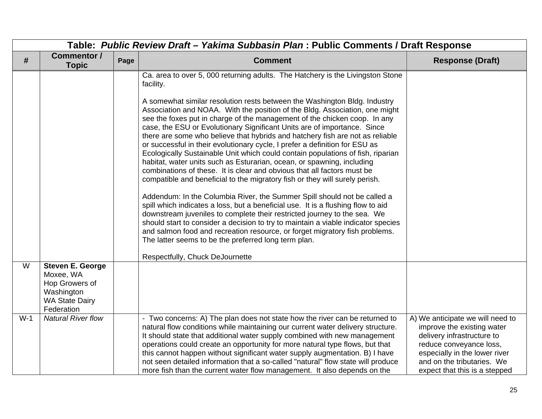|                         | Table: Public Review Draft - Yakima Subbasin Plan : Public Comments / Draft Response                        |      |                                                                                                                                                                                                                                                                                                                                                                                                                                                                                                                                                                                                                                                                                                                                                                                                                                                                                                                                                                                                                                                                                                                                                                                                                                                                                                                                                                                 |                                                                                                                                                                                                                         |  |  |
|-------------------------|-------------------------------------------------------------------------------------------------------------|------|---------------------------------------------------------------------------------------------------------------------------------------------------------------------------------------------------------------------------------------------------------------------------------------------------------------------------------------------------------------------------------------------------------------------------------------------------------------------------------------------------------------------------------------------------------------------------------------------------------------------------------------------------------------------------------------------------------------------------------------------------------------------------------------------------------------------------------------------------------------------------------------------------------------------------------------------------------------------------------------------------------------------------------------------------------------------------------------------------------------------------------------------------------------------------------------------------------------------------------------------------------------------------------------------------------------------------------------------------------------------------------|-------------------------------------------------------------------------------------------------------------------------------------------------------------------------------------------------------------------------|--|--|
| #                       | <b>Commentor /</b><br><b>Topic</b>                                                                          | Page | <b>Comment</b>                                                                                                                                                                                                                                                                                                                                                                                                                                                                                                                                                                                                                                                                                                                                                                                                                                                                                                                                                                                                                                                                                                                                                                                                                                                                                                                                                                  | <b>Response (Draft)</b>                                                                                                                                                                                                 |  |  |
|                         |                                                                                                             |      | Ca. area to over 5, 000 returning adults. The Hatchery is the Livingston Stone<br>facility.<br>A somewhat similar resolution rests between the Washington Bldg. Industry<br>Association and NOAA. With the position of the Bldg. Association, one might<br>see the foxes put in charge of the management of the chicken coop. In any<br>case, the ESU or Evolutionary Significant Units are of importance. Since<br>there are some who believe that hybrids and hatchery fish are not as reliable<br>or successful in their evolutionary cycle, I prefer a definition for ESU as<br>Ecologically Sustainable Unit which could contain populations of fish, riparian<br>habitat, water units such as Esturarian, ocean, or spawning, including<br>combinations of these. It is clear and obvious that all factors must be<br>compatible and beneficial to the migratory fish or they will surely perish.<br>Addendum: In the Columbia River, the Summer Spill should not be called a<br>spill which indicates a loss, but a beneficial use. It is a flushing flow to aid<br>downstream juveniles to complete their restricted journey to the sea. We<br>should start to consider a decision to try to maintain a viable indicator species<br>and salmon food and recreation resource, or forget migratory fish problems.<br>The latter seems to be the preferred long term plan. |                                                                                                                                                                                                                         |  |  |
|                         |                                                                                                             |      | Respectfully, Chuck DeJournette                                                                                                                                                                                                                                                                                                                                                                                                                                                                                                                                                                                                                                                                                                                                                                                                                                                                                                                                                                                                                                                                                                                                                                                                                                                                                                                                                 |                                                                                                                                                                                                                         |  |  |
| $\overline{\mathsf{W}}$ | <b>Steven E. George</b><br>Moxee, WA<br>Hop Growers of<br>Washington<br><b>WA State Dairy</b><br>Federation |      |                                                                                                                                                                                                                                                                                                                                                                                                                                                                                                                                                                                                                                                                                                                                                                                                                                                                                                                                                                                                                                                                                                                                                                                                                                                                                                                                                                                 |                                                                                                                                                                                                                         |  |  |
| $W-1$                   | <b>Natural River flow</b>                                                                                   |      | - Two concerns: A) The plan does not state how the river can be returned to<br>natural flow conditions while maintaining our current water delivery structure.<br>It should state that additional water supply combined with new management<br>operations could create an opportunity for more natural type flows, but that<br>this cannot happen without significant water supply augmentation. B) I have<br>not seen detailed information that a so-called "natural" flow state will produce<br>more fish than the current water flow management. It also depends on the                                                                                                                                                                                                                                                                                                                                                                                                                                                                                                                                                                                                                                                                                                                                                                                                      | A) We anticipate we will need to<br>improve the existing water<br>delivery infrastructure to<br>reduce conveyance loss,<br>especially in the lower river<br>and on the tributaries. We<br>expect that this is a stepped |  |  |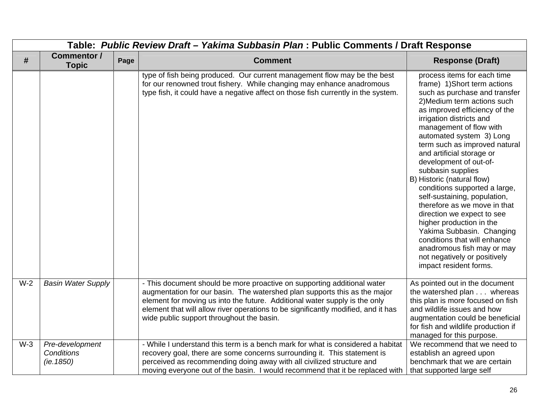|       | Table: Public Review Draft - Yakima Subbasin Plan: Public Comments / Draft Response |      |                                                                                                                                                                                                                                                                                                                                                                      |                                                                                                                                                                                                                                                                                                                                                                                                                                                                                                                                                                                                                                                                                                            |  |
|-------|-------------------------------------------------------------------------------------|------|----------------------------------------------------------------------------------------------------------------------------------------------------------------------------------------------------------------------------------------------------------------------------------------------------------------------------------------------------------------------|------------------------------------------------------------------------------------------------------------------------------------------------------------------------------------------------------------------------------------------------------------------------------------------------------------------------------------------------------------------------------------------------------------------------------------------------------------------------------------------------------------------------------------------------------------------------------------------------------------------------------------------------------------------------------------------------------------|--|
| #     | Commentor /<br><b>Topic</b>                                                         | Page | <b>Comment</b>                                                                                                                                                                                                                                                                                                                                                       | <b>Response (Draft)</b>                                                                                                                                                                                                                                                                                                                                                                                                                                                                                                                                                                                                                                                                                    |  |
|       |                                                                                     |      | type of fish being produced. Our current management flow may be the best<br>for our renowned trout fishery. While changing may enhance anadromous<br>type fish, it could have a negative affect on those fish currently in the system.                                                                                                                               | process items for each time<br>frame) 1) Short term actions<br>such as purchase and transfer<br>2) Medium term actions such<br>as improved efficiency of the<br>irrigation districts and<br>management of flow with<br>automated system 3) Long<br>term such as improved natural<br>and artificial storage or<br>development of out-of-<br>subbasin supplies<br>B) Historic (natural flow)<br>conditions supported a large,<br>self-sustaining, population,<br>therefore as we move in that<br>direction we expect to see<br>higher production in the<br>Yakima Subbasin. Changing<br>conditions that will enhance<br>anadromous fish may or may<br>not negatively or positively<br>impact resident forms. |  |
| $W-2$ | <b>Basin Water Supply</b>                                                           |      | - This document should be more proactive on supporting additional water<br>augmentation for our basin. The watershed plan supports this as the major<br>element for moving us into the future. Additional water supply is the only<br>element that will allow river operations to be significantly modified, and it has<br>wide public support throughout the basin. | As pointed out in the document<br>the watershed plan whereas<br>this plan is more focused on fish<br>and wildlife issues and how<br>augmentation could be beneficial<br>for fish and wildlife production if<br>managed for this purpose.                                                                                                                                                                                                                                                                                                                                                                                                                                                                   |  |
| $W-3$ | Pre-development<br>Conditions<br>(ie. 1850)                                         |      | - While I understand this term is a bench mark for what is considered a habitat<br>recovery goal, there are some concerns surrounding it. This statement is<br>perceived as recommending doing away with all civilized structure and<br>moving everyone out of the basin. I would recommend that it be replaced with                                                 | We recommend that we need to<br>establish an agreed upon<br>benchmark that we are certain<br>that supported large self                                                                                                                                                                                                                                                                                                                                                                                                                                                                                                                                                                                     |  |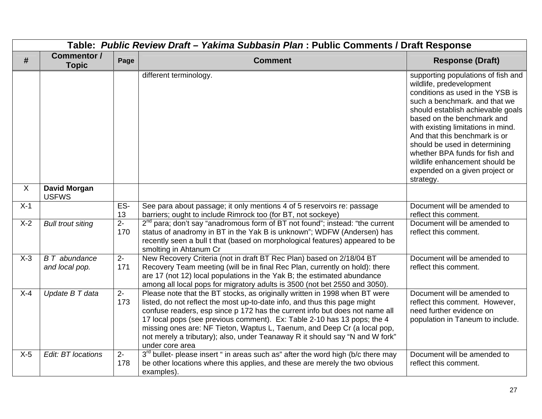|       | Table: Public Review Draft - Yakima Subbasin Plan: Public Comments / Draft Response |              |                                                                                                                                                                                                                                                                                                                                                                                                                                                                                                  |                                                                                                                                                                                                                                                                                                                                                                                                                                   |  |
|-------|-------------------------------------------------------------------------------------|--------------|--------------------------------------------------------------------------------------------------------------------------------------------------------------------------------------------------------------------------------------------------------------------------------------------------------------------------------------------------------------------------------------------------------------------------------------------------------------------------------------------------|-----------------------------------------------------------------------------------------------------------------------------------------------------------------------------------------------------------------------------------------------------------------------------------------------------------------------------------------------------------------------------------------------------------------------------------|--|
| #     | <b>Commentor /</b><br><b>Topic</b>                                                  | Page         | <b>Comment</b>                                                                                                                                                                                                                                                                                                                                                                                                                                                                                   | <b>Response (Draft)</b>                                                                                                                                                                                                                                                                                                                                                                                                           |  |
|       |                                                                                     |              | different terminology.                                                                                                                                                                                                                                                                                                                                                                                                                                                                           | supporting populations of fish and<br>wildlife, predevelopment<br>conditions as used in the YSB is<br>such a benchmark. and that we<br>should establish achievable goals<br>based on the benchmark and<br>with existing limitations in mind.<br>And that this benchmark is or<br>should be used in determining<br>whether BPA funds for fish and<br>wildlife enhancement should be<br>expended on a given project or<br>strategy. |  |
| X     | <b>David Morgan</b><br><b>USFWS</b>                                                 |              |                                                                                                                                                                                                                                                                                                                                                                                                                                                                                                  |                                                                                                                                                                                                                                                                                                                                                                                                                                   |  |
| $X-1$ |                                                                                     | ES-<br>13    | See para about passage; it only mentions 4 of 5 reservoirs re: passage<br>barriers; ought to include Rimrock too (for BT, not sockeye)                                                                                                                                                                                                                                                                                                                                                           | Document will be amended to<br>reflect this comment.                                                                                                                                                                                                                                                                                                                                                                              |  |
| $X-2$ | <b>Bull trout siting</b>                                                            | $2 -$<br>170 | 2 <sup>nd</sup> para; don't say "anadromous form of BT not found"; instead: "the current<br>status of anadromy in BT in the Yak B is unknown"; WDFW (Andersen) has<br>recently seen a bull t that (based on morphological features) appeared to be<br>smolting in Ahtanum Cr                                                                                                                                                                                                                     | Document will be amended to<br>reflect this comment.                                                                                                                                                                                                                                                                                                                                                                              |  |
| $X-3$ | <b>B</b> T abundance<br>and local pop.                                              | $2 -$<br>171 | New Recovery Criteria (not in draft BT Rec Plan) based on 2/18/04 BT<br>Recovery Team meeting (will be in final Rec Plan, currently on hold): there<br>are 17 (not 12) local populations in the Yak B; the estimated abundance<br>among all local pops for migratory adults is 3500 (not bet 2550 and 3050).                                                                                                                                                                                     | Document will be amended to<br>reflect this comment.                                                                                                                                                                                                                                                                                                                                                                              |  |
| $X-4$ | Update B T data                                                                     | $2 -$<br>173 | Please note that the BT stocks, as originally written in 1998 when BT were<br>listed, do not reflect the most up-to-date info, and thus this page might<br>confuse readers, esp since p 172 has the current info but does not name all<br>17 local pops (see previous comment). Ex: Table 2-10 has 13 pops; the 4<br>missing ones are: NF Tieton, Waptus L, Taenum, and Deep Cr (a local pop,<br>not merely a tributary); also, under Teanaway R it should say "N and W fork"<br>under core area | Document will be amended to<br>reflect this comment. However,<br>need further evidence on<br>population in Taneum to include.                                                                                                                                                                                                                                                                                                     |  |
| $X-5$ | Edit: BT locations                                                                  | $2-$<br>178  | 3 <sup>rd</sup> bullet- please insert " in areas such as" after the word high (b/c there may<br>be other locations where this applies, and these are merely the two obvious<br>examples).                                                                                                                                                                                                                                                                                                        | Document will be amended to<br>reflect this comment.                                                                                                                                                                                                                                                                                                                                                                              |  |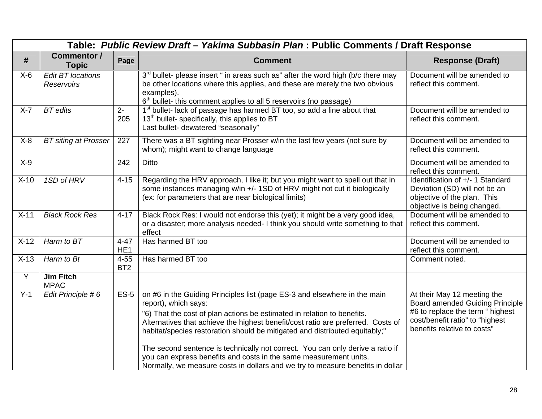|         | Table: Public Review Draft - Yakima Subbasin Plan: Public Comments / Draft Response |                             |                                                                                                                                                                                                                                                                                                                                                                                                                                                                                                                                                                                          |                                                                                                                                                                             |  |  |
|---------|-------------------------------------------------------------------------------------|-----------------------------|------------------------------------------------------------------------------------------------------------------------------------------------------------------------------------------------------------------------------------------------------------------------------------------------------------------------------------------------------------------------------------------------------------------------------------------------------------------------------------------------------------------------------------------------------------------------------------------|-----------------------------------------------------------------------------------------------------------------------------------------------------------------------------|--|--|
| #       | <b>Commentor /</b><br><b>Topic</b>                                                  | Page                        | <b>Comment</b>                                                                                                                                                                                                                                                                                                                                                                                                                                                                                                                                                                           | <b>Response (Draft)</b>                                                                                                                                                     |  |  |
| $X-6$   | <b>Edit BT locations</b><br><b>Reservoirs</b>                                       |                             | 3 <sup>rd</sup> bullet- please insert " in areas such as" after the word high (b/c there may<br>be other locations where this applies, and these are merely the two obvious<br>examples).<br>6 <sup>th</sup> bullet- this comment applies to all 5 reservoirs (no passage)                                                                                                                                                                                                                                                                                                               | Document will be amended to<br>reflect this comment.                                                                                                                        |  |  |
| $X - 7$ | <b>BT</b> edits                                                                     | $2-$<br>205                 | 1 <sup>st</sup> bullet- lack of passage has harmed BT too, so add a line about that<br>13 <sup>th</sup> bullet- specifically, this applies to BT<br>Last bullet- dewatered "seasonally"                                                                                                                                                                                                                                                                                                                                                                                                  | Document will be amended to<br>reflect this comment.                                                                                                                        |  |  |
| $X-8$   | <b>BT</b> siting at Prosser                                                         | 227                         | There was a BT sighting near Prosser w/in the last few years (not sure by<br>whom); might want to change language                                                                                                                                                                                                                                                                                                                                                                                                                                                                        | Document will be amended to<br>reflect this comment.                                                                                                                        |  |  |
| $X-9$   |                                                                                     | 242                         | <b>Ditto</b>                                                                                                                                                                                                                                                                                                                                                                                                                                                                                                                                                                             | Document will be amended to<br>reflect this comment.                                                                                                                        |  |  |
| $X-10$  | 1SD of HRV                                                                          | $4 - 15$                    | Regarding the HRV approach, I like it; but you might want to spell out that in<br>some instances managing w/in +/- 1SD of HRV might not cut it biologically<br>(ex: for parameters that are near biological limits)                                                                                                                                                                                                                                                                                                                                                                      | Identification of +/- 1 Standard<br>Deviation (SD) will not be an<br>objective of the plan. This<br>objective is being changed.                                             |  |  |
| $X-11$  | <b>Black Rock Res</b>                                                               | $4 - 17$                    | Black Rock Res: I would not endorse this (yet); it might be a very good idea,<br>or a disaster; more analysis needed- I think you should write something to that<br>effect                                                                                                                                                                                                                                                                                                                                                                                                               | Document will be amended to<br>reflect this comment.                                                                                                                        |  |  |
| $X-12$  | Harm to BT                                                                          | $4 - 47$<br>HE <sub>1</sub> | Has harmed BT too                                                                                                                                                                                                                                                                                                                                                                                                                                                                                                                                                                        | Document will be amended to<br>reflect this comment.                                                                                                                        |  |  |
| $X-13$  | Harm to Bt                                                                          | $4 - 55$<br>BT <sub>2</sub> | Has harmed BT too                                                                                                                                                                                                                                                                                                                                                                                                                                                                                                                                                                        | Comment noted.                                                                                                                                                              |  |  |
| Y       | <b>Jim Fitch</b><br><b>MPAC</b>                                                     |                             |                                                                                                                                                                                                                                                                                                                                                                                                                                                                                                                                                                                          |                                                                                                                                                                             |  |  |
| $Y-1$   | Edit Principle #6                                                                   | <b>ES-5</b>                 | on #6 in the Guiding Principles list (page ES-3 and elsewhere in the main<br>report), which says:<br>"6) That the cost of plan actions be estimated in relation to benefits.<br>Alternatives that achieve the highest benefit/cost ratio are preferred. Costs of<br>habitat/species restoration should be mitigated and distributed equitably;"<br>The second sentence is technically not correct. You can only derive a ratio if<br>you can express benefits and costs in the same measurement units.<br>Normally, we measure costs in dollars and we try to measure benefits in dollar | At their May 12 meeting the<br><b>Board amended Guiding Principle</b><br>#6 to replace the term " highest<br>cost/benefit ratio" to "highest<br>benefits relative to costs" |  |  |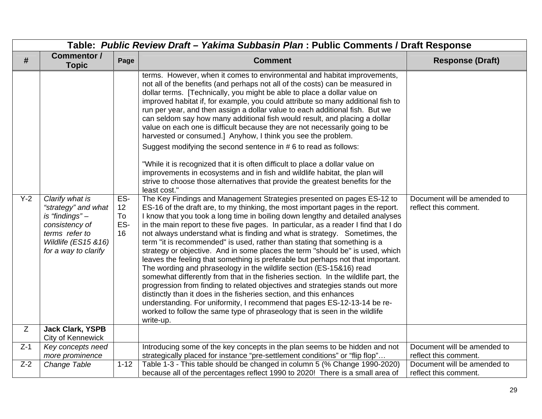|       | Table: Public Review Draft - Yakima Subbasin Plan : Public Comments / Draft Response                                                          |                              |                                                                                                                                                                                                                                                                                                                                                                                                                                                                                                                                                                                                                                                                                                                                                                                                                                                                                                                                                                                                                                                                                                                                                                                                                                                                                                                                                                                                                                                                                                                                                                                                                                                                                                                                                                                                                                                                                                                                                                                                                                                                                                                                             |                                                      |  |  |
|-------|-----------------------------------------------------------------------------------------------------------------------------------------------|------------------------------|---------------------------------------------------------------------------------------------------------------------------------------------------------------------------------------------------------------------------------------------------------------------------------------------------------------------------------------------------------------------------------------------------------------------------------------------------------------------------------------------------------------------------------------------------------------------------------------------------------------------------------------------------------------------------------------------------------------------------------------------------------------------------------------------------------------------------------------------------------------------------------------------------------------------------------------------------------------------------------------------------------------------------------------------------------------------------------------------------------------------------------------------------------------------------------------------------------------------------------------------------------------------------------------------------------------------------------------------------------------------------------------------------------------------------------------------------------------------------------------------------------------------------------------------------------------------------------------------------------------------------------------------------------------------------------------------------------------------------------------------------------------------------------------------------------------------------------------------------------------------------------------------------------------------------------------------------------------------------------------------------------------------------------------------------------------------------------------------------------------------------------------------|------------------------------------------------------|--|--|
| #     | <b>Commentor /</b><br><b>Topic</b>                                                                                                            | Page                         | <b>Comment</b>                                                                                                                                                                                                                                                                                                                                                                                                                                                                                                                                                                                                                                                                                                                                                                                                                                                                                                                                                                                                                                                                                                                                                                                                                                                                                                                                                                                                                                                                                                                                                                                                                                                                                                                                                                                                                                                                                                                                                                                                                                                                                                                              | <b>Response (Draft)</b>                              |  |  |
| $Y-2$ | Clarify what is<br>"strategy" and what<br>is "findings" -<br>consistency of<br>terms refer to<br>Wildlife (ES15 & 16)<br>for a way to clarify | ES-<br>12<br>To<br>ES-<br>16 | terms. However, when it comes to environmental and habitat improvements,<br>not all of the benefits (and perhaps not all of the costs) can be measured in<br>dollar terms. [Technically, you might be able to place a dollar value on<br>improved habitat if, for example, you could attribute so many additional fish to<br>run per year, and then assign a dollar value to each additional fish. But we<br>can seldom say how many additional fish would result, and placing a dollar<br>value on each one is difficult because they are not necessarily going to be<br>harvested or consumed.] Anyhow, I think you see the problem.<br>Suggest modifying the second sentence in #6 to read as follows:<br>"While it is recognized that it is often difficult to place a dollar value on<br>improvements in ecosystems and in fish and wildlife habitat, the plan will<br>strive to choose those alternatives that provide the greatest benefits for the<br>least cost."<br>The Key Findings and Management Strategies presented on pages ES-12 to<br>ES-16 of the draft are, to my thinking, the most important pages in the report.<br>I know that you took a long time in boiling down lengthy and detailed analyses<br>in the main report to these five pages. In particular, as a reader I find that I do<br>not always understand what is finding and what is strategy. Sometimes, the<br>term "it is recommended" is used, rather than stating that something is a<br>strategy or objective. And in some places the term "should be" is used, which<br>leaves the feeling that something is preferable but perhaps not that important.<br>The wording and phraseology in the wildlife section (ES-15&16) read<br>somewhat differently from that in the fisheries section. In the wildlife part, the<br>progression from finding to related objectives and strategies stands out more<br>distinctly than it does in the fisheries section, and this enhances<br>understanding. For uniformity, I recommend that pages ES-12-13-14 be re-<br>worked to follow the same type of phraseology that is seen in the wildlife<br>write-up. | Document will be amended to<br>reflect this comment. |  |  |
| Z     | <b>Jack Clark, YSPB</b><br>City of Kennewick                                                                                                  |                              |                                                                                                                                                                                                                                                                                                                                                                                                                                                                                                                                                                                                                                                                                                                                                                                                                                                                                                                                                                                                                                                                                                                                                                                                                                                                                                                                                                                                                                                                                                                                                                                                                                                                                                                                                                                                                                                                                                                                                                                                                                                                                                                                             |                                                      |  |  |
| $Z-1$ | Key concepts need<br>more prominence                                                                                                          |                              | Introducing some of the key concepts in the plan seems to be hidden and not<br>strategically placed for instance "pre-settlement conditions" or "flip flop"                                                                                                                                                                                                                                                                                                                                                                                                                                                                                                                                                                                                                                                                                                                                                                                                                                                                                                                                                                                                                                                                                                                                                                                                                                                                                                                                                                                                                                                                                                                                                                                                                                                                                                                                                                                                                                                                                                                                                                                 | Document will be amended to<br>reflect this comment. |  |  |
| $Z-2$ | Change Table                                                                                                                                  | $1 - 12$                     | Table 1-3 - This table should be changed in column 5 (% Change 1990-2020)<br>because all of the percentages reflect 1990 to 2020! There is a small area of                                                                                                                                                                                                                                                                                                                                                                                                                                                                                                                                                                                                                                                                                                                                                                                                                                                                                                                                                                                                                                                                                                                                                                                                                                                                                                                                                                                                                                                                                                                                                                                                                                                                                                                                                                                                                                                                                                                                                                                  | Document will be amended to<br>reflect this comment. |  |  |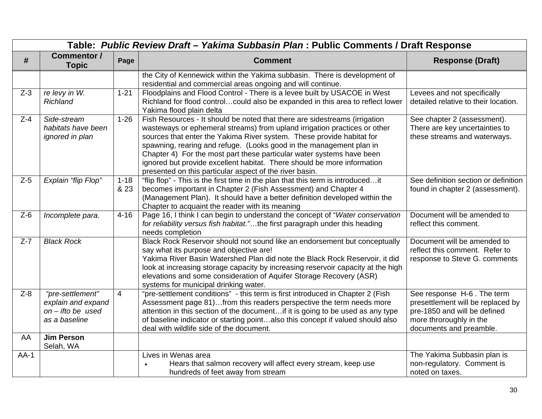|         | Table: Public Review Draft - Yakima Subbasin Plan : Public Comments / Draft Response |                  |                                                                                                                                                                                                                                                                                                                                                                                                                                                                                                                        |                                                                                                                                                       |  |  |
|---------|--------------------------------------------------------------------------------------|------------------|------------------------------------------------------------------------------------------------------------------------------------------------------------------------------------------------------------------------------------------------------------------------------------------------------------------------------------------------------------------------------------------------------------------------------------------------------------------------------------------------------------------------|-------------------------------------------------------------------------------------------------------------------------------------------------------|--|--|
| #       | <b>Commentor /</b><br><b>Topic</b>                                                   | Page             | <b>Comment</b>                                                                                                                                                                                                                                                                                                                                                                                                                                                                                                         | <b>Response (Draft)</b>                                                                                                                               |  |  |
|         |                                                                                      |                  | the City of Kennewick within the Yakima subbasin. There is development of<br>residential and commercial areas ongoing and will continue.                                                                                                                                                                                                                                                                                                                                                                               |                                                                                                                                                       |  |  |
| $Z-3$   | re levy in W.<br><b>Richland</b>                                                     | $1 - 21$         | Floodplains and Flood Control - There is a levee built by USACOE in West<br>Richland for flood controlcould also be expanded in this area to reflect lower<br>Yakima flood plain delta                                                                                                                                                                                                                                                                                                                                 | Levees and not specifically<br>detailed relative to their location.                                                                                   |  |  |
| $Z-4$   | Side-stream<br>habitats have been<br><i>ignored in plan</i>                          | $1 - 26$         | Fish Resources - It should be noted that there are sidestreams (irrigation<br>wasteways or ephemeral streams) from upland irrigation practices or other<br>sources that enter the Yakima River system. These provide habitat for<br>spawning, rearing and refuge. (Looks good in the management plan in<br>Chapter 4) For the most part these particular water systems have been<br>ignored but provide excellent habitat. There should be more information<br>presented on this particular aspect of the river basin. | See chapter 2 (assessment).<br>There are key uncertainties to<br>these streams and waterways.                                                         |  |  |
| $Z-5$   | Explain "flip Flop"                                                                  | $1 - 18$<br>& 23 | "flip flop" - This is the first time in the plan that this term is introducedit<br>becomes important in Chapter 2 (Fish Assessment) and Chapter 4<br>(Management Plan). It should have a better definition developed within the<br>Chapter to acquaint the reader with its meaning                                                                                                                                                                                                                                     | See definition section or definition<br>found in chapter 2 (assessment).                                                                              |  |  |
| $Z-6$   | Incomplete para.                                                                     | $4 - 16$         | Page 16, I think I can begin to understand the concept of "Water conservation<br>for reliability versus fish habitat."the first paragraph under this heading<br>needs completion                                                                                                                                                                                                                                                                                                                                       | Document will be amended to<br>reflect this comment.                                                                                                  |  |  |
| $Z - 7$ | <b>Black Rock</b>                                                                    |                  | Black Rock Reservoir should not sound like an endorsement but conceptually<br>say what its purpose and objective are!<br>Yakima River Basin Watershed Plan did note the Black Rock Reservoir, it did<br>look at increasing storage capacity by increasing reservoir capacity at the high<br>elevations and some consideration of Aquifer Storage Recovery (ASR)<br>systems for municipal drinking water.                                                                                                               | Document will be amended to<br>reflect this comment. Refer to<br>response to Steve G. comments                                                        |  |  |
| $Z-8$   | "pre-settlement"<br>explain and expand<br>$on$ - ifto be used<br>as a baseline       | $\overline{4}$   | "pre-settlement conditions" - this term is first introduced in Chapter 2 (Fish<br>Assessment page 81)from this readers perspective the term needs more<br>attention in this section of the document if it is going to be used as any type<br>of baseline indicator or starting pointalso this concept if valued should also<br>deal with wildlife side of the document.                                                                                                                                                | See response H-6. The term<br>presettlement will be replaced by<br>pre-1850 and will be defined<br>more throroughly in the<br>documents and preamble. |  |  |
| AA      | <b>Jim Person</b><br>Selah, WA                                                       |                  |                                                                                                                                                                                                                                                                                                                                                                                                                                                                                                                        |                                                                                                                                                       |  |  |
| $AA-1$  |                                                                                      |                  | Lives in Wenas area<br>Hears that salmon recovery will affect every stream, keep use<br>$\bullet$<br>hundreds of feet away from stream                                                                                                                                                                                                                                                                                                                                                                                 | The Yakima Subbasin plan is<br>non-regulatory. Comment is<br>noted on taxes.                                                                          |  |  |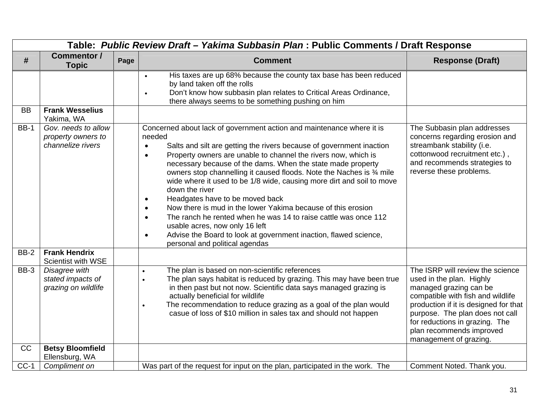|             | Table: Public Review Draft - Yakima Subbasin Plan : Public Comments / Draft Response |      |                                                                                                                                                                                                                                                                                                                                                                                                                                                                                                                                                                                                                                                                                                                                                                                                                                                          |                                                                                                                                                                                                                                                                                                 |  |  |
|-------------|--------------------------------------------------------------------------------------|------|----------------------------------------------------------------------------------------------------------------------------------------------------------------------------------------------------------------------------------------------------------------------------------------------------------------------------------------------------------------------------------------------------------------------------------------------------------------------------------------------------------------------------------------------------------------------------------------------------------------------------------------------------------------------------------------------------------------------------------------------------------------------------------------------------------------------------------------------------------|-------------------------------------------------------------------------------------------------------------------------------------------------------------------------------------------------------------------------------------------------------------------------------------------------|--|--|
| #           | <b>Commentor /</b><br><b>Topic</b>                                                   | Page | <b>Comment</b>                                                                                                                                                                                                                                                                                                                                                                                                                                                                                                                                                                                                                                                                                                                                                                                                                                           | <b>Response (Draft)</b>                                                                                                                                                                                                                                                                         |  |  |
| <b>BB</b>   | <b>Frank Wesselius</b>                                                               |      | His taxes are up 68% because the county tax base has been reduced<br>$\bullet$<br>by land taken off the rolls<br>Don't know how subbasin plan relates to Critical Areas Ordinance,<br>$\bullet$<br>there always seems to be something pushing on him                                                                                                                                                                                                                                                                                                                                                                                                                                                                                                                                                                                                     |                                                                                                                                                                                                                                                                                                 |  |  |
|             | Yakima, WA                                                                           |      |                                                                                                                                                                                                                                                                                                                                                                                                                                                                                                                                                                                                                                                                                                                                                                                                                                                          |                                                                                                                                                                                                                                                                                                 |  |  |
| <b>BB-1</b> | Gov. needs to allow<br>property owners to<br>channelize rivers                       |      | Concerned about lack of government action and maintenance where it is<br>needed<br>Salts and silt are getting the rivers because of government inaction<br>$\bullet$<br>Property owners are unable to channel the rivers now, which is<br>$\bullet$<br>necessary because of the dams. When the state made property<br>owners stop channelling it caused floods. Note the Naches is 3⁄4 mile<br>wide where it used to be 1/8 wide, causing more dirt and soil to move<br>down the river<br>Headgates have to be moved back<br>$\bullet$<br>Now there is mud in the lower Yakima because of this erosion<br>$\bullet$<br>The ranch he rented when he was 14 to raise cattle was once 112<br>$\bullet$<br>usable acres, now only 16 left<br>Advise the Board to look at government inaction, flawed science,<br>$\bullet$<br>personal and political agendas | The Subbasin plan addresses<br>concerns regarding erosion and<br>streambank stability (i.e.<br>cottonwood recruitment etc.),<br>and recommends strategies to<br>reverse these problems.                                                                                                         |  |  |
| <b>BB-2</b> | <b>Frank Hendrix</b><br><b>Scientist with WSE</b>                                    |      |                                                                                                                                                                                                                                                                                                                                                                                                                                                                                                                                                                                                                                                                                                                                                                                                                                                          |                                                                                                                                                                                                                                                                                                 |  |  |
| BB-3        | Disagree with<br>stated impacts of<br>grazing on wildlife                            |      | The plan is based on non-scientific references<br>The plan says habitat is reduced by grazing. This may have been true<br>in then past but not now. Scientific data says managed grazing is<br>actually beneficial for wildlife<br>The recommendation to reduce grazing as a goal of the plan would<br>casue of loss of \$10 million in sales tax and should not happen                                                                                                                                                                                                                                                                                                                                                                                                                                                                                  | The ISRP will review the science<br>used in the plan. Highly<br>managed grazing can be<br>compatible with fish and wildlife<br>production if it is designed for that<br>purpose. The plan does not call<br>for reductions in grazing. The<br>plan recommends improved<br>management of grazing. |  |  |
| CC          | <b>Betsy Bloomfield</b><br>Ellensburg, WA                                            |      |                                                                                                                                                                                                                                                                                                                                                                                                                                                                                                                                                                                                                                                                                                                                                                                                                                                          |                                                                                                                                                                                                                                                                                                 |  |  |
| $CC-1$      | Compliment on                                                                        |      | Was part of the request for input on the plan, participated in the work. The                                                                                                                                                                                                                                                                                                                                                                                                                                                                                                                                                                                                                                                                                                                                                                             | Comment Noted. Thank you.                                                                                                                                                                                                                                                                       |  |  |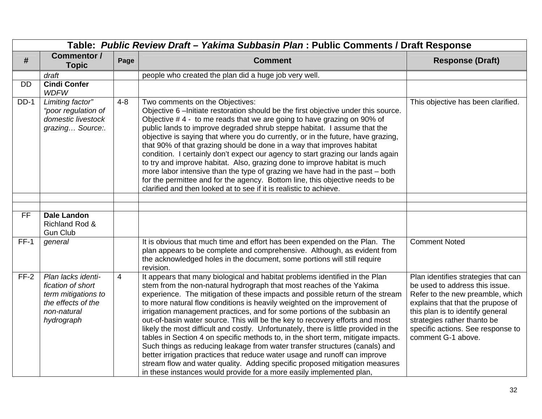|           | Table: Public Review Draft - Yakima Subbasin Plan : Public Comments / Draft Response                              |                |                                                                                                                                                                                                                                                                                                                                                                                                                                                                                                                                                                                                                                                                                                                                                                                                                                                                                                                                                                                |                                                                                                                                                                                                                                                                              |  |  |
|-----------|-------------------------------------------------------------------------------------------------------------------|----------------|--------------------------------------------------------------------------------------------------------------------------------------------------------------------------------------------------------------------------------------------------------------------------------------------------------------------------------------------------------------------------------------------------------------------------------------------------------------------------------------------------------------------------------------------------------------------------------------------------------------------------------------------------------------------------------------------------------------------------------------------------------------------------------------------------------------------------------------------------------------------------------------------------------------------------------------------------------------------------------|------------------------------------------------------------------------------------------------------------------------------------------------------------------------------------------------------------------------------------------------------------------------------|--|--|
| #         | <b>Commentor /</b><br><b>Topic</b>                                                                                | Page           | <b>Comment</b>                                                                                                                                                                                                                                                                                                                                                                                                                                                                                                                                                                                                                                                                                                                                                                                                                                                                                                                                                                 | <b>Response (Draft)</b>                                                                                                                                                                                                                                                      |  |  |
|           | draft                                                                                                             |                | people who created the plan did a huge job very well.                                                                                                                                                                                                                                                                                                                                                                                                                                                                                                                                                                                                                                                                                                                                                                                                                                                                                                                          |                                                                                                                                                                                                                                                                              |  |  |
| <b>DD</b> | <b>Cindi Confer</b><br><b>WDFW</b>                                                                                |                |                                                                                                                                                                                                                                                                                                                                                                                                                                                                                                                                                                                                                                                                                                                                                                                                                                                                                                                                                                                |                                                                                                                                                                                                                                                                              |  |  |
| $DD-1$    | Limiting factor"<br>"poor regulation of<br>domestic livestock<br>grazing Source:.                                 | $4 - 8$        | Two comments on the Objectives:<br>Objective 6 - Initiate restoration should be the first objective under this source.<br>Objective #4 - to me reads that we are going to have grazing on 90% of<br>public lands to improve degraded shrub steppe habitat. I assume that the<br>objective is saying that where you do currently, or in the future, have grazing,<br>that 90% of that grazing should be done in a way that improves habitat<br>condition. I certainly don't expect our agency to start grazing our lands again<br>to try and improve habitat. Also, grazing done to improve habitat is much<br>more labor intensive than the type of grazing we have had in the past - both<br>for the permittee and for the agency. Bottom line, this objective needs to be<br>clarified and then looked at to see if it is realistic to achieve.                                                                                                                              | This objective has been clarified.                                                                                                                                                                                                                                           |  |  |
|           |                                                                                                                   |                |                                                                                                                                                                                                                                                                                                                                                                                                                                                                                                                                                                                                                                                                                                                                                                                                                                                                                                                                                                                |                                                                                                                                                                                                                                                                              |  |  |
| <b>FF</b> | <b>Dale Landon</b><br>Richland Rod &<br><b>Gun Club</b>                                                           |                |                                                                                                                                                                                                                                                                                                                                                                                                                                                                                                                                                                                                                                                                                                                                                                                                                                                                                                                                                                                |                                                                                                                                                                                                                                                                              |  |  |
| $FF-1$    | general                                                                                                           |                | It is obvious that much time and effort has been expended on the Plan. The<br>plan appears to be complete and comprehensive. Although, as evident from<br>the acknowledged holes in the document, some portions will still require<br>revision.                                                                                                                                                                                                                                                                                                                                                                                                                                                                                                                                                                                                                                                                                                                                | <b>Comment Noted</b>                                                                                                                                                                                                                                                         |  |  |
| $FF-2$    | Plan lacks identi-<br>fication of short<br>term mitigations to<br>the effects of the<br>non-natural<br>hydrograph | $\overline{4}$ | It appears that many biological and habitat problems identified in the Plan<br>stem from the non-natural hydrograph that most reaches of the Yakima<br>experience. The mitigation of these impacts and possible return of the stream<br>to more natural flow conditions is heavily weighted on the improvement of<br>irrigation management practices, and for some portions of the subbasin an<br>out-of-basin water source. This will be the key to recovery efforts and most<br>likely the most difficult and costly. Unfortunately, there is little provided in the<br>tables in Section 4 on specific methods to, in the short term, mitigate impacts.<br>Such things as reducing leakage from water transfer structures (canals) and<br>better irrigation practices that reduce water usage and runoff can improve<br>stream flow and water quality. Adding specific proposed mitigation measures<br>in these instances would provide for a more easily implemented plan, | Plan identifies strategies that can<br>be used to address this issue.<br>Refer to the new preamble, which<br>explains that that the prupose of<br>this plan is to identify general<br>strategies rather thanto be<br>specific actions. See response to<br>comment G-1 above. |  |  |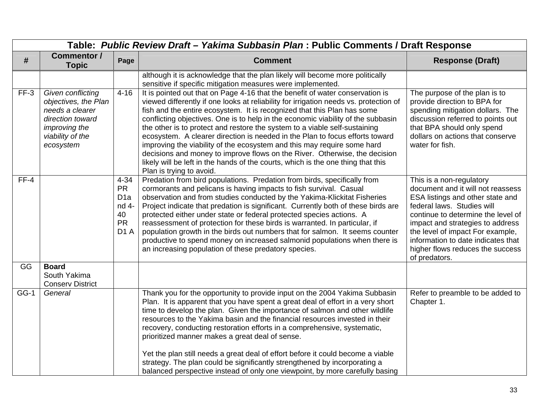|             | Table: Public Review Draft - Yakima Subbasin Plan : Public Comments / Draft Response                                               |                                                                                           |                                                                                                                                                                                                                                                                                                                                                                                                                                                                                                                                                                                                                                                                                                                                                                              |                                                                                                                                                                                                                                                                                                                                          |  |  |
|-------------|------------------------------------------------------------------------------------------------------------------------------------|-------------------------------------------------------------------------------------------|------------------------------------------------------------------------------------------------------------------------------------------------------------------------------------------------------------------------------------------------------------------------------------------------------------------------------------------------------------------------------------------------------------------------------------------------------------------------------------------------------------------------------------------------------------------------------------------------------------------------------------------------------------------------------------------------------------------------------------------------------------------------------|------------------------------------------------------------------------------------------------------------------------------------------------------------------------------------------------------------------------------------------------------------------------------------------------------------------------------------------|--|--|
| #           | <b>Commentor /</b><br><b>Topic</b>                                                                                                 | Page                                                                                      | <b>Comment</b>                                                                                                                                                                                                                                                                                                                                                                                                                                                                                                                                                                                                                                                                                                                                                               | <b>Response (Draft)</b>                                                                                                                                                                                                                                                                                                                  |  |  |
|             |                                                                                                                                    |                                                                                           | although it is acknowledge that the plan likely will become more politically<br>sensitive if specific mitigation measures were implemented.                                                                                                                                                                                                                                                                                                                                                                                                                                                                                                                                                                                                                                  |                                                                                                                                                                                                                                                                                                                                          |  |  |
| $FF-3$      | Given conflicting<br>objectives, the Plan<br>needs a clearer<br>direction toward<br>improving the<br>viability of the<br>ecosystem | $4 - 16$                                                                                  | It is pointed out that on Page 4-16 that the benefit of water conservation is<br>viewed differently if one looks at reliability for irrigation needs vs. protection of<br>fish and the entire ecosystem. It is recognized that this Plan has some<br>conflicting objectives. One is to help in the economic viability of the subbasin<br>the other is to protect and restore the system to a viable self-sustaining<br>ecosystem. A clearer direction is needed in the Plan to focus efforts toward<br>improving the viability of the ecosystem and this may require some hard<br>decisions and money to improve flows on the River. Otherwise, the decision<br>likely will be left in the hands of the courts, which is the one thing that this<br>Plan is trying to avoid. | The purpose of the plan is to<br>provide direction to BPA for<br>spending mitigation dollars. The<br>discussion referred to points out<br>that BPA should only spend<br>dollars on actions that conserve<br>water for fish.                                                                                                              |  |  |
| $FF-4$      |                                                                                                                                    | $4 - 34$<br><b>PR</b><br>D <sub>1</sub> a<br>nd 4-<br>40<br><b>PR</b><br>D <sub>1</sub> A | Predation from bird populations. Predation from birds, specifically from<br>cormorants and pelicans is having impacts to fish survival. Casual<br>observation and from studies conducted by the Yakima-Klickitat Fisheries<br>Project indicate that predation is significant. Currently both of these birds are<br>protected either under state or federal protected species actions. A<br>reassessment of protection for these birds is warranted. In particular, if<br>population growth in the birds out numbers that for salmon. It seems counter<br>productive to spend money on increased salmonid populations when there is<br>an increasing population of these predatory species.                                                                                   | This is a non-regulatory<br>document and it will not reassess<br>ESA listings and other state and<br>federal laws. Studies will<br>continue to determine the level of<br>impact and strategies to address<br>the level of impact For example,<br>information to date indicates that<br>higher flows reduces the success<br>of predators. |  |  |
| GG          | <b>Board</b><br>South Yakima<br><b>Conserv District</b>                                                                            |                                                                                           |                                                                                                                                                                                                                                                                                                                                                                                                                                                                                                                                                                                                                                                                                                                                                                              |                                                                                                                                                                                                                                                                                                                                          |  |  |
| <b>GG-1</b> | General                                                                                                                            |                                                                                           | Thank you for the opportunity to provide input on the 2004 Yakima Subbasin<br>Plan. It is apparent that you have spent a great deal of effort in a very short<br>time to develop the plan. Given the importance of salmon and other wildlife<br>resources to the Yakima basin and the financial resources invested in their<br>recovery, conducting restoration efforts in a comprehensive, systematic,<br>prioritized manner makes a great deal of sense.<br>Yet the plan still needs a great deal of effort before it could become a viable<br>strategy. The plan could be significantly strengthened by incorporating a<br>balanced perspective instead of only one viewpoint, by more carefully basing                                                                   | Refer to preamble to be added to<br>Chapter 1.                                                                                                                                                                                                                                                                                           |  |  |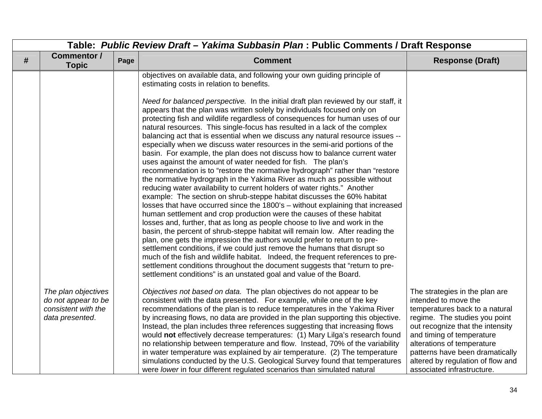|   | Table: Public Review Draft - Yakima Subbasin Plan : Public Comments / Draft Response |      |                                                                                                                                                                                                                                                                                                                                                                                                                                                                                                                                                                                                                                                                                                                                                                                                                                                                                                                                                                                                                                                                                                                                                                                                                                                                                                                                                                                                                                                                                                                                                                                                                                                                                                                                                                                                                   |                                                                                                                                                                                                                                                                                                                                |  |
|---|--------------------------------------------------------------------------------------|------|-------------------------------------------------------------------------------------------------------------------------------------------------------------------------------------------------------------------------------------------------------------------------------------------------------------------------------------------------------------------------------------------------------------------------------------------------------------------------------------------------------------------------------------------------------------------------------------------------------------------------------------------------------------------------------------------------------------------------------------------------------------------------------------------------------------------------------------------------------------------------------------------------------------------------------------------------------------------------------------------------------------------------------------------------------------------------------------------------------------------------------------------------------------------------------------------------------------------------------------------------------------------------------------------------------------------------------------------------------------------------------------------------------------------------------------------------------------------------------------------------------------------------------------------------------------------------------------------------------------------------------------------------------------------------------------------------------------------------------------------------------------------------------------------------------------------|--------------------------------------------------------------------------------------------------------------------------------------------------------------------------------------------------------------------------------------------------------------------------------------------------------------------------------|--|
| # | <b>Commentor /</b><br><b>Topic</b>                                                   | Page | <b>Comment</b>                                                                                                                                                                                                                                                                                                                                                                                                                                                                                                                                                                                                                                                                                                                                                                                                                                                                                                                                                                                                                                                                                                                                                                                                                                                                                                                                                                                                                                                                                                                                                                                                                                                                                                                                                                                                    | <b>Response (Draft)</b>                                                                                                                                                                                                                                                                                                        |  |
|   |                                                                                      |      | objectives on available data, and following your own guiding principle of<br>estimating costs in relation to benefits.<br>Need for balanced perspective. In the initial draft plan reviewed by our staff, it<br>appears that the plan was written solely by individuals focused only on<br>protecting fish and wildlife regardless of consequences for human uses of our<br>natural resources. This single-focus has resulted in a lack of the complex<br>balancing act that is essential when we discuss any natural resource issues --<br>especially when we discuss water resources in the semi-arid portions of the<br>basin. For example, the plan does not discuss how to balance current water<br>uses against the amount of water needed for fish. The plan's<br>recommendation is to "restore the normative hydrograph" rather than "restore<br>the normative hydrograph in the Yakima River as much as possible without<br>reducing water availability to current holders of water rights." Another<br>example: The section on shrub-steppe habitat discusses the 60% habitat<br>losses that have occurred since the 1800's - without explaining that increased<br>human settlement and crop production were the causes of these habitat<br>losses and, further, that as long as people choose to live and work in the<br>basin, the percent of shrub-steppe habitat will remain low. After reading the<br>plan, one gets the impression the authors would prefer to return to pre-<br>settlement conditions, if we could just remove the humans that disrupt so<br>much of the fish and wildlife habitat. Indeed, the frequent references to pre-<br>settlement conditions throughout the document suggests that "return to pre-<br>settlement conditions" is an unstated goal and value of the Board. |                                                                                                                                                                                                                                                                                                                                |  |
|   | The plan objectives<br>do not appear to be<br>consistent with the<br>data presented. |      | Objectives not based on data. The plan objectives do not appear to be<br>consistent with the data presented. For example, while one of the key<br>recommendations of the plan is to reduce temperatures in the Yakima River<br>by increasing flows, no data are provided in the plan supporting this objective.<br>Instead, the plan includes three references suggesting that increasing flows<br>would not effectively decrease temperatures: (1) Mary Lilga's research found<br>no relationship between temperature and flow. Instead, 70% of the variability<br>in water temperature was explained by air temperature. (2) The temperature<br>simulations conducted by the U.S. Geological Survey found that temperatures<br>were lower in four different regulated scenarios than simulated natural                                                                                                                                                                                                                                                                                                                                                                                                                                                                                                                                                                                                                                                                                                                                                                                                                                                                                                                                                                                                          | The strategies in the plan are<br>intended to move the<br>temperatures back to a natural<br>regime. The studies you point<br>out recognize that the intensity<br>and timing of temperature<br>alterations of temperature<br>patterns have been dramatically<br>altered by regulation of flow and<br>associated infrastructure. |  |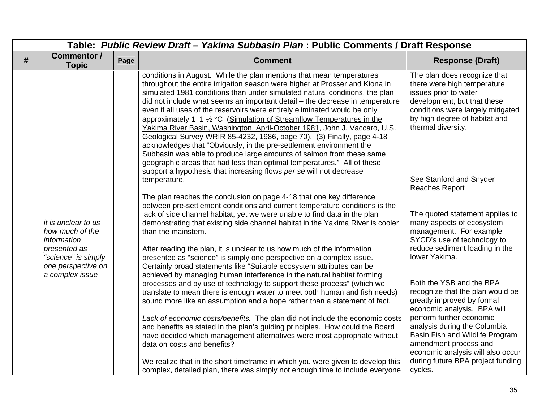|   | Table: Public Review Draft - Yakima Subbasin Plan : Public Comments / Draft Response                                                  |      |                                                                                                                                                                                                                                                                                                                                                                                                                                                                                                                                                                                                                                                                                                                                                                                                                                                                                                                                                                                                                                                                                                                                                                                                                                                                                                                                                                                                                                                                                                                                                                                                                                                                                                                                                                                                                                                                                                                                                                                                                                                                                                                                                                                                       |                                                                                                                                                                                                                                                                                                                                                                                                                                                                                                                                                                                                                                                                                                                                                                                 |  |
|---|---------------------------------------------------------------------------------------------------------------------------------------|------|-------------------------------------------------------------------------------------------------------------------------------------------------------------------------------------------------------------------------------------------------------------------------------------------------------------------------------------------------------------------------------------------------------------------------------------------------------------------------------------------------------------------------------------------------------------------------------------------------------------------------------------------------------------------------------------------------------------------------------------------------------------------------------------------------------------------------------------------------------------------------------------------------------------------------------------------------------------------------------------------------------------------------------------------------------------------------------------------------------------------------------------------------------------------------------------------------------------------------------------------------------------------------------------------------------------------------------------------------------------------------------------------------------------------------------------------------------------------------------------------------------------------------------------------------------------------------------------------------------------------------------------------------------------------------------------------------------------------------------------------------------------------------------------------------------------------------------------------------------------------------------------------------------------------------------------------------------------------------------------------------------------------------------------------------------------------------------------------------------------------------------------------------------------------------------------------------------|---------------------------------------------------------------------------------------------------------------------------------------------------------------------------------------------------------------------------------------------------------------------------------------------------------------------------------------------------------------------------------------------------------------------------------------------------------------------------------------------------------------------------------------------------------------------------------------------------------------------------------------------------------------------------------------------------------------------------------------------------------------------------------|--|
| # | <b>Commentor /</b><br><b>Topic</b>                                                                                                    | Page | <b>Comment</b>                                                                                                                                                                                                                                                                                                                                                                                                                                                                                                                                                                                                                                                                                                                                                                                                                                                                                                                                                                                                                                                                                                                                                                                                                                                                                                                                                                                                                                                                                                                                                                                                                                                                                                                                                                                                                                                                                                                                                                                                                                                                                                                                                                                        | <b>Response (Draft)</b>                                                                                                                                                                                                                                                                                                                                                                                                                                                                                                                                                                                                                                                                                                                                                         |  |
|   | it is unclear to us<br>how much of the<br>information<br>presented as<br>"science" is simply<br>one perspective on<br>a complex issue |      | conditions in August. While the plan mentions that mean temperatures<br>throughout the entire irrigation season were higher at Prosser and Kiona in<br>simulated 1981 conditions than under simulated natural conditions, the plan<br>did not include what seems an important detail - the decrease in temperature<br>even if all uses of the reservoirs were entirely eliminated would be only<br>approximately 1-1 1/2 °C (Simulation of Streamflow Temperatures in the<br>Yakima River Basin, Washington, April-October 1981, John J. Vaccaro, U.S.<br>Geological Survey WRIR 85-4232, 1986, page 70). (3) Finally, page 4-18<br>acknowledges that "Obviously, in the pre-settlement environment the<br>Subbasin was able to produce large amounts of salmon from these same<br>geographic areas that had less than optimal temperatures." All of these<br>support a hypothesis that increasing flows per se will not decrease<br>temperature.<br>The plan reaches the conclusion on page 4-18 that one key difference<br>between pre-settlement conditions and current temperature conditions is the<br>lack of side channel habitat, yet we were unable to find data in the plan<br>demonstrating that existing side channel habitat in the Yakima River is cooler<br>than the mainstem.<br>After reading the plan, it is unclear to us how much of the information<br>presented as "science" is simply one perspective on a complex issue.<br>Certainly broad statements like "Suitable ecosystem attributes can be<br>achieved by managing human interference in the natural habitat forming<br>processes and by use of technology to support these process" (which we<br>translate to mean there is enough water to meet both human and fish needs)<br>sound more like an assumption and a hope rather than a statement of fact.<br>Lack of economic costs/benefits. The plan did not include the economic costs<br>and benefits as stated in the plan's guiding principles. How could the Board<br>have decided which management alternatives were most appropriate without<br>data on costs and benefits?<br>We realize that in the short timeframe in which you were given to develop this | The plan does recognize that<br>there were high temperature<br>issues prior to water<br>development, but that these<br>conditions were largely mitigated<br>by high degree of habitat and<br>thermal diversity.<br>See Stanford and Snyder<br><b>Reaches Report</b><br>The quoted statement applies to<br>many aspects of ecosystem<br>management. For example<br>SYCD's use of technology to<br>reduce sediment loading in the<br>lower Yakima.<br>Both the YSB and the BPA<br>recognize that the plan would be<br>greatly improved by formal<br>economic analysis. BPA will<br>perform further economic<br>analysis during the Columbia<br>Basin Fish and Wildlife Program<br>amendment process and<br>economic analysis will also occur<br>during future BPA project funding |  |
|   |                                                                                                                                       |      | complex, detailed plan, there was simply not enough time to include everyone                                                                                                                                                                                                                                                                                                                                                                                                                                                                                                                                                                                                                                                                                                                                                                                                                                                                                                                                                                                                                                                                                                                                                                                                                                                                                                                                                                                                                                                                                                                                                                                                                                                                                                                                                                                                                                                                                                                                                                                                                                                                                                                          | cycles.                                                                                                                                                                                                                                                                                                                                                                                                                                                                                                                                                                                                                                                                                                                                                                         |  |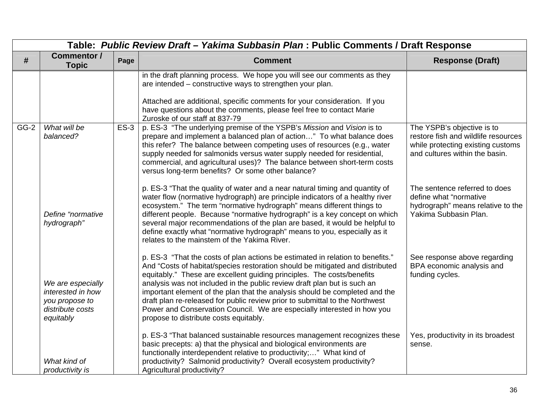| Table: Public Review Draft - Yakima Subbasin Plan : Public Comments / Draft Response |                                                                                           |        |                                                                                                                                                                                                                                                                                                                                                                                                                                                                                                                                                                                                           |                                                                                                                       |
|--------------------------------------------------------------------------------------|-------------------------------------------------------------------------------------------|--------|-----------------------------------------------------------------------------------------------------------------------------------------------------------------------------------------------------------------------------------------------------------------------------------------------------------------------------------------------------------------------------------------------------------------------------------------------------------------------------------------------------------------------------------------------------------------------------------------------------------|-----------------------------------------------------------------------------------------------------------------------|
| #                                                                                    | <b>Commentor /</b><br><b>Topic</b>                                                        | Page   | <b>Comment</b>                                                                                                                                                                                                                                                                                                                                                                                                                                                                                                                                                                                            | <b>Response (Draft)</b>                                                                                               |
| $GG-2$                                                                               | What will be                                                                              | $ES-3$ | in the draft planning process. We hope you will see our comments as they<br>are intended – constructive ways to strengthen your plan.<br>Attached are additional, specific comments for your consideration. If you<br>have questions about the comments, please feel free to contact Marie<br>Zuroske of our staff at 837-79<br>p. ES-3 "The underlying premise of the YSPB's Mission and Vision is to                                                                                                                                                                                                    | The YSPB's objective is to                                                                                            |
|                                                                                      | balanced?                                                                                 |        | prepare and implement a balanced plan of action" To what balance does<br>this refer? The balance between competing uses of resources (e.g., water<br>supply needed for salmonids versus water supply needed for residential,<br>commercial, and agricultural uses)? The balance between short-term costs<br>versus long-term benefits? Or some other balance?                                                                                                                                                                                                                                             | restore fish and wildlife resources<br>while protecting existing customs<br>and cultures within the basin.            |
|                                                                                      | Define "normative<br>hydrograph"                                                          |        | p. ES-3 "That the quality of water and a near natural timing and quantity of<br>water flow (normative hydrograph) are principle indicators of a healthy river<br>ecosystem." The term "normative hydrograph" means different things to<br>different people. Because "normative hydrograph" is a key concept on which<br>several major recommendations of the plan are based, it would be helpful to<br>define exactly what "normative hydrograph" means to you, especially as it<br>relates to the mainstem of the Yakima River.                                                                          | The sentence referred to does<br>define what "normative<br>hydrograph" means relative to the<br>Yakima Subbasin Plan. |
|                                                                                      | We are especially<br>interested in how<br>you propose to<br>distribute costs<br>equitably |        | p. ES-3 "That the costs of plan actions be estimated in relation to benefits."<br>And "Costs of habitat/species restoration should be mitigated and distributed<br>equitably." These are excellent guiding principles. The costs/benefits<br>analysis was not included in the public review draft plan but is such an<br>important element of the plan that the analysis should be completed and the<br>draft plan re-released for public review prior to submittal to the Northwest<br>Power and Conservation Council. We are especially interested in how you<br>propose to distribute costs equitably. | See response above regarding<br>BPA economic analysis and<br>funding cycles.                                          |
|                                                                                      | What kind of<br>productivity is                                                           |        | p. ES-3 "That balanced sustainable resources management recognizes these<br>basic precepts: a) that the physical and biological environments are<br>functionally interdependent relative to productivity;" What kind of<br>productivity? Salmonid productivity? Overall ecosystem productivity?<br>Agricultural productivity?                                                                                                                                                                                                                                                                             | Yes, productivity in its broadest<br>sense.                                                                           |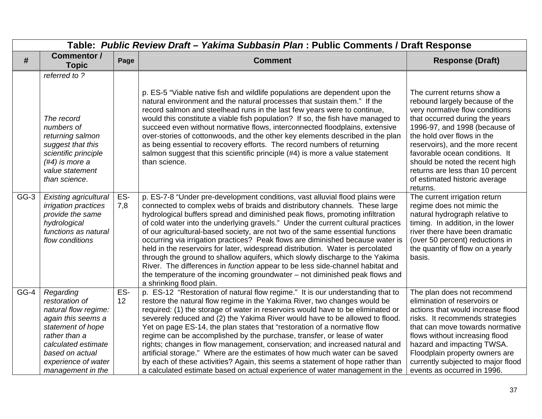|        | Table: Public Review Draft - Yakima Subbasin Plan : Public Comments / Draft Response                                                                                                                  |            |                                                                                                                                                                                                                                                                                                                                                                                                                                                                                                                                                                                                                                                                                                                                                                                                                                                                   |                                                                                                                                                                                                                                                                                                                                                                                           |  |
|--------|-------------------------------------------------------------------------------------------------------------------------------------------------------------------------------------------------------|------------|-------------------------------------------------------------------------------------------------------------------------------------------------------------------------------------------------------------------------------------------------------------------------------------------------------------------------------------------------------------------------------------------------------------------------------------------------------------------------------------------------------------------------------------------------------------------------------------------------------------------------------------------------------------------------------------------------------------------------------------------------------------------------------------------------------------------------------------------------------------------|-------------------------------------------------------------------------------------------------------------------------------------------------------------------------------------------------------------------------------------------------------------------------------------------------------------------------------------------------------------------------------------------|--|
| #      | Commentor /<br><b>Topic</b>                                                                                                                                                                           | Page       | <b>Comment</b>                                                                                                                                                                                                                                                                                                                                                                                                                                                                                                                                                                                                                                                                                                                                                                                                                                                    | <b>Response (Draft)</b>                                                                                                                                                                                                                                                                                                                                                                   |  |
|        | referred to?                                                                                                                                                                                          |            |                                                                                                                                                                                                                                                                                                                                                                                                                                                                                                                                                                                                                                                                                                                                                                                                                                                                   |                                                                                                                                                                                                                                                                                                                                                                                           |  |
|        | The record<br>numbers of<br>returning salmon<br>suggest that this<br>scientific principle<br>$(\#4)$ is more a<br>value statement<br>than science.                                                    |            | p. ES-5 "Viable native fish and wildlife populations are dependent upon the<br>natural environment and the natural processes that sustain them." If the<br>record salmon and steelhead runs in the last few years were to continue,<br>would this constitute a viable fish population? If so, the fish have managed to<br>succeed even without normative flows, interconnected floodplains, extensive<br>over-stories of cottonwoods, and the other key elements described in the plan<br>as being essential to recovery efforts. The record numbers of returning<br>salmon suggest that this scientific principle (#4) is more a value statement<br>than science.                                                                                                                                                                                                | The current returns show a<br>rebound largely because of the<br>very normative flow conditions<br>that occurred during the years<br>1996-97, and 1998 (because of<br>the hold over flows in the<br>reservoirs), and the more recent<br>favorable ocean conditions. It<br>should be noted the recent high<br>returns are less than 10 percent<br>of estimated historic average<br>returns. |  |
| $GG-3$ | <b>Existing agricultural</b><br>irrigation practices<br>provide the same<br>hydrological<br>functions as natural<br>flow conditions                                                                   | ES-<br>7,8 | p. ES-7-8 "Under pre-development conditions, vast alluvial flood plains were<br>connected to complex webs of braids and distributory channels. These large<br>hydrological buffers spread and diminished peak flows, promoting infiltration<br>of cold water into the underlying gravels." Under the current cultural practices<br>of our agricultural-based society, are not two of the same essential functions<br>occurring via irrigation practices? Peak flows are diminished because water is<br>held in the reservoirs for later, widespread distribution. Water is percolated<br>through the ground to shallow aquifers, which slowly discharge to the Yakima<br>River. The differences in function appear to be less side-channel habitat and<br>the temperature of the incoming groundwater – not diminished peak flows and<br>a shrinking flood plain. | The current irrigation return<br>regime does not mimic the<br>natural hydrograph relative to<br>timing. In addition, in the lower<br>river there have been dramatic<br>(over 50 percent) reductions in<br>the quantity of flow on a yearly<br>basis.                                                                                                                                      |  |
| GG-4   | Regarding<br>restoration of<br>natural flow regime:<br>again this seems a<br>statement of hope<br>rather than a<br>calculated estimate<br>based on actual<br>experience of water<br>management in the | ES-<br>12  | p. ES-12 "Restoration of natural flow regime." It is our understanding that to<br>restore the natural flow regime in the Yakima River, two changes would be<br>required: (1) the storage of water in reservoirs would have to be eliminated or<br>severely reduced and (2) the Yakima River would have to be allowed to flood.<br>Yet on page ES-14, the plan states that "restoration of a normative flow<br>regime can be accomplished by the purchase, transfer, or lease of water<br>rights; changes in flow management, conservation; and increased natural and<br>artificial storage." Where are the estimates of how much water can be saved<br>by each of these activities? Again, this seems a statement of hope rather than<br>a calculated estimate based on actual experience of water management in the                                              | The plan does not recommend<br>elimination of reservoirs or<br>actions that would increase flood<br>risks. It recommends strategies<br>that can move towards normative<br>flows without increasing flood<br>hazard and impacting TWSA.<br>Floodplain property owners are<br>currently subjected to major flood<br>events as occurred in 1996.                                             |  |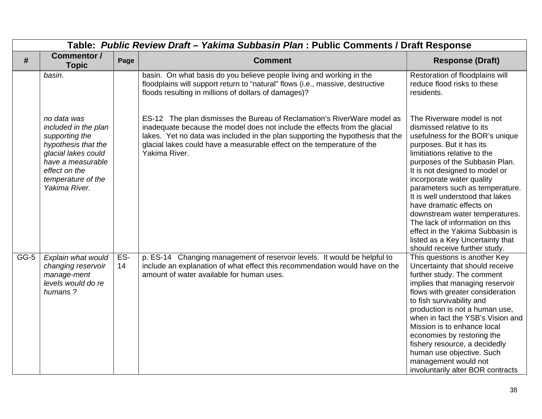|        | Table: Public Review Draft - Yakima Subbasin Plan: Public Comments / Draft Response                                                                                              |           |                                                                                                                                                                                                                                                                                                                                    |                                                                                                                                                                                                                                                                                                                                                                                                                                                                                                                                          |  |
|--------|----------------------------------------------------------------------------------------------------------------------------------------------------------------------------------|-----------|------------------------------------------------------------------------------------------------------------------------------------------------------------------------------------------------------------------------------------------------------------------------------------------------------------------------------------|------------------------------------------------------------------------------------------------------------------------------------------------------------------------------------------------------------------------------------------------------------------------------------------------------------------------------------------------------------------------------------------------------------------------------------------------------------------------------------------------------------------------------------------|--|
| #      | Commentor /<br><b>Topic</b>                                                                                                                                                      | Page      | <b>Comment</b>                                                                                                                                                                                                                                                                                                                     | <b>Response (Draft)</b>                                                                                                                                                                                                                                                                                                                                                                                                                                                                                                                  |  |
|        | basin.                                                                                                                                                                           |           | basin. On what basis do you believe people living and working in the<br>floodplains will support return to "natural" flows (i.e., massive, destructive<br>floods resulting in millions of dollars of damages)?                                                                                                                     | Restoration of floodplains will<br>reduce flood risks to these<br>residents.                                                                                                                                                                                                                                                                                                                                                                                                                                                             |  |
|        | no data was<br>included in the plan<br>supporting the<br>hypothesis that the<br>glacial lakes could<br>have a measurable<br>effect on the<br>temperature of the<br>Yakima River. |           | ES-12 The plan dismisses the Bureau of Reclamation's RiverWare model as<br>inadequate because the model does not include the effects from the glacial<br>lakes. Yet no data was included in the plan supporting the hypothesis that the<br>glacial lakes could have a measurable effect on the temperature of the<br>Yakima River. | The Riverware model is not<br>dismissed relative to its<br>usefulness for the BOR's unique<br>purposes. But it has its<br>limitiations relative to the<br>purposes of the Subbasin Plan.<br>It is not designed to model or<br>incorporate water quality<br>parameters such as temperature.<br>It is well understood that lakes<br>have dramatic effects on<br>downstream water temperatures.<br>The lack of information on this<br>effect in the Yakima Subbasin is<br>listed as a Key Uncertainty that<br>should receive further study. |  |
| $GG-5$ | Explain what would<br>changing reservoir<br>manage-ment<br>levels would do re<br>humans?                                                                                         | ES-<br>14 | p. ES-14 Changing management of reservoir levels. It would be helpful to<br>include an explanation of what effect this recommendation would have on the<br>amount of water available for human uses.                                                                                                                               | This questions is another Key<br>Uncertainty that should receive<br>further study. The comment<br>implies that managing reservoir<br>flows with greater consideration<br>to fish survivability and<br>production is not a human use,<br>when in fact the YSB's Vision and<br>Mission is to enhance local<br>economies by restoring the<br>fishery resource, a decidedly<br>human use objective. Such<br>management would not<br>involuntarily alter BOR contracts                                                                        |  |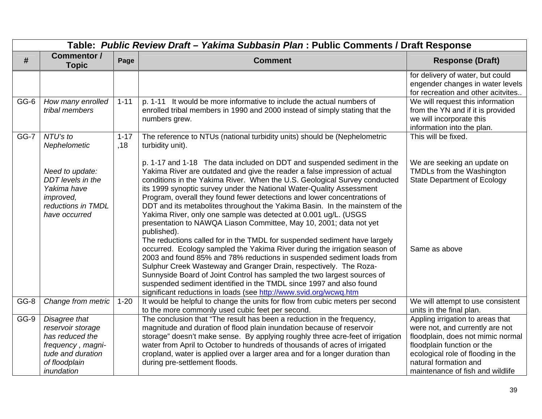|        | Table: Public Review Draft - Yakima Subbasin Plan : Public Comments / Draft Response                    |                 |                                                                                                                                                                                                                                                                                                                                                                                                                                                                                                                                                                                                                                                                                                                                                                                                                                                                                                                                                                                                                                                                                                                                                                |                                                                                                                                 |  |
|--------|---------------------------------------------------------------------------------------------------------|-----------------|----------------------------------------------------------------------------------------------------------------------------------------------------------------------------------------------------------------------------------------------------------------------------------------------------------------------------------------------------------------------------------------------------------------------------------------------------------------------------------------------------------------------------------------------------------------------------------------------------------------------------------------------------------------------------------------------------------------------------------------------------------------------------------------------------------------------------------------------------------------------------------------------------------------------------------------------------------------------------------------------------------------------------------------------------------------------------------------------------------------------------------------------------------------|---------------------------------------------------------------------------------------------------------------------------------|--|
| #      | Commentor /<br><b>Topic</b>                                                                             | Page            | <b>Comment</b>                                                                                                                                                                                                                                                                                                                                                                                                                                                                                                                                                                                                                                                                                                                                                                                                                                                                                                                                                                                                                                                                                                                                                 | <b>Response (Draft)</b>                                                                                                         |  |
|        |                                                                                                         |                 |                                                                                                                                                                                                                                                                                                                                                                                                                                                                                                                                                                                                                                                                                                                                                                                                                                                                                                                                                                                                                                                                                                                                                                | for delivery of water, but could<br>engender changes in water levels<br>for recreation and other acitvites                      |  |
| GG-6   | How many enrolled<br>tribal members                                                                     | $1 - 11$        | p. 1-11 It would be more informative to include the actual numbers of<br>enrolled tribal members in 1990 and 2000 instead of simply stating that the<br>numbers grew.                                                                                                                                                                                                                                                                                                                                                                                                                                                                                                                                                                                                                                                                                                                                                                                                                                                                                                                                                                                          | We will request this information<br>from the YN and if it is provided<br>we will incorporate this<br>information into the plan. |  |
| $GG-7$ | NTU's to<br>Nephelometic                                                                                | $1 - 17$<br>,18 | The reference to NTUs (national turbidity units) should be (Nephelometric<br>turbidity unit).                                                                                                                                                                                                                                                                                                                                                                                                                                                                                                                                                                                                                                                                                                                                                                                                                                                                                                                                                                                                                                                                  | This will be fixed.                                                                                                             |  |
|        | Need to update:<br>DDT levels in the<br>Yakima have<br>improved,<br>reductions in TMDL<br>have occurred |                 | p. 1-17 and 1-18 The data included on DDT and suspended sediment in the<br>Yakima River are outdated and give the reader a false impression of actual<br>conditions in the Yakima River. When the U.S. Geological Survey conducted<br>its 1999 synoptic survey under the National Water-Quality Assessment<br>Program, overall they found fewer detections and lower concentrations of<br>DDT and its metabolites throughout the Yakima Basin. In the mainstem of the<br>Yakima River, only one sample was detected at 0.001 ug/L. (USGS<br>presentation to NAWQA Liason Committee, May 10, 2001; data not yet<br>published).<br>The reductions called for in the TMDL for suspended sediment have largely<br>occurred. Ecology sampled the Yakima River during the irrigation season of<br>2003 and found 85% and 78% reductions in suspended sediment loads from<br>Sulphur Creek Wasteway and Granger Drain, respectively. The Roza-<br>Sunnyside Board of Joint Control has sampled the two largest sources of<br>suspended sediment identified in the TMDL since 1997 and also found<br>significant reductions in loads (see http://www.svid.org/wcwq.htm | We are seeking an update on<br>TMDLs from the Washington<br><b>State Department of Ecology</b><br>Same as above                 |  |
| GG-8   | Change from metric                                                                                      | $1 - 20$        | It would be helpful to change the units for flow from cubic meters per second<br>to the more commonly used cubic feet per second.                                                                                                                                                                                                                                                                                                                                                                                                                                                                                                                                                                                                                                                                                                                                                                                                                                                                                                                                                                                                                              | We will attempt to use consistent<br>units in the final plan.                                                                   |  |
| GG-9   | Disagree that                                                                                           |                 | The conclusion that "The result has been a reduction in the frequency,                                                                                                                                                                                                                                                                                                                                                                                                                                                                                                                                                                                                                                                                                                                                                                                                                                                                                                                                                                                                                                                                                         | Appling irrigation to areas that                                                                                                |  |
|        | reservoir storage<br>has reduced the                                                                    |                 | magnitude and duration of flood plain inundation because of reservoir                                                                                                                                                                                                                                                                                                                                                                                                                                                                                                                                                                                                                                                                                                                                                                                                                                                                                                                                                                                                                                                                                          | were not, and currently are not<br>floodplain, does not mimic normal                                                            |  |
|        | frequency, magni-                                                                                       |                 | storage" doesn't make sense. By applying roughly three acre-feet of irrigation<br>water from April to October to hundreds of thousands of acres of irrigated                                                                                                                                                                                                                                                                                                                                                                                                                                                                                                                                                                                                                                                                                                                                                                                                                                                                                                                                                                                                   | floodplain function or the                                                                                                      |  |
|        | tude and duration                                                                                       |                 | cropland, water is applied over a larger area and for a longer duration than                                                                                                                                                                                                                                                                                                                                                                                                                                                                                                                                                                                                                                                                                                                                                                                                                                                                                                                                                                                                                                                                                   | ecological role of flooding in the                                                                                              |  |
|        | of floodplain                                                                                           |                 | during pre-settlement floods.                                                                                                                                                                                                                                                                                                                                                                                                                                                                                                                                                                                                                                                                                                                                                                                                                                                                                                                                                                                                                                                                                                                                  | natural formation and                                                                                                           |  |
|        | inundation                                                                                              |                 |                                                                                                                                                                                                                                                                                                                                                                                                                                                                                                                                                                                                                                                                                                                                                                                                                                                                                                                                                                                                                                                                                                                                                                | maintenance of fish and wildlife                                                                                                |  |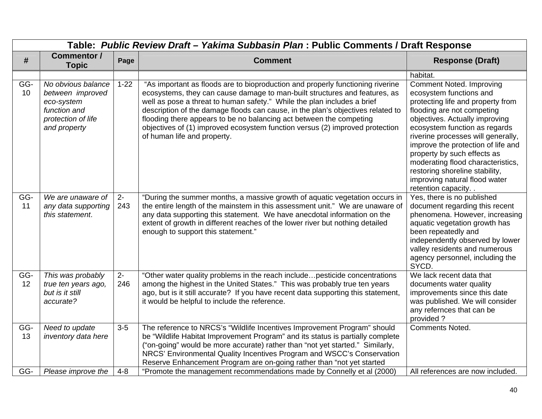| Table: Public Review Draft - Yakima Subbasin Plan : Public Comments / Draft Response |                                                                                                            |                  |                                                                                                                                                                                                                                                                                                                                                                                                                                                                                                                  |                                                                                                                                                                                                                                                                                                                                                                                                                                              |  |
|--------------------------------------------------------------------------------------|------------------------------------------------------------------------------------------------------------|------------------|------------------------------------------------------------------------------------------------------------------------------------------------------------------------------------------------------------------------------------------------------------------------------------------------------------------------------------------------------------------------------------------------------------------------------------------------------------------------------------------------------------------|----------------------------------------------------------------------------------------------------------------------------------------------------------------------------------------------------------------------------------------------------------------------------------------------------------------------------------------------------------------------------------------------------------------------------------------------|--|
| #                                                                                    | Commentor /<br><b>Topic</b>                                                                                | Page             | <b>Comment</b>                                                                                                                                                                                                                                                                                                                                                                                                                                                                                                   | <b>Response (Draft)</b>                                                                                                                                                                                                                                                                                                                                                                                                                      |  |
|                                                                                      |                                                                                                            |                  |                                                                                                                                                                                                                                                                                                                                                                                                                                                                                                                  | habitat.                                                                                                                                                                                                                                                                                                                                                                                                                                     |  |
| GG-<br>10                                                                            | No obvious balance<br>between improved<br>eco-system<br>function and<br>protection of life<br>and property | $1 - 22$         | "As important as floods are to bioproduction and properly functioning riverine<br>ecosystems, they can cause damage to man-built structures and features, as<br>well as pose a threat to human safety." While the plan includes a brief<br>description of the damage floods can cause, in the plan's objectives related to<br>flooding there appears to be no balancing act between the competing<br>objectives of (1) improved ecosystem function versus (2) improved protection<br>of human life and property. | <b>Comment Noted. Improving</b><br>ecosystem functions and<br>protecting life and property from<br>flooding are not competing<br>objectives. Actually improving<br>ecosystem function as regards<br>riverine processes will generally,<br>improve the protection of life and<br>property by such effects as<br>moderating flood characteristics,<br>restoring shoreline stability,<br>improving natural flood water<br>retention capacity. . |  |
| GG-<br>11                                                                            | We are unaware of<br>any data supporting<br>this statement.                                                | $2 -$<br>243     | "During the summer months, a massive growth of aquatic vegetation occurs in<br>the entire length of the mainstem in this assessment unit." We are unaware of<br>any data supporting this statement. We have anecdotal information on the<br>extent of growth in different reaches of the lower river but nothing detailed<br>enough to support this statement."                                                                                                                                                  | Yes, there is no published<br>document regarding this recent<br>phenomena. However, increasing<br>aquatic vegetation growth has<br>been repeatedly and<br>independently observed by lower<br>valley residents and numerous<br>agency personnel, including the<br>SYCD.                                                                                                                                                                       |  |
| GG-<br>12                                                                            | This was probably<br>true ten years ago,<br>but is it still<br>accurate?                                   | $2 -$<br>246     | "Other water quality problems in the reach includepesticide concentrations<br>among the highest in the United States." This was probably true ten years<br>ago, but is it still accurate? If you have recent data supporting this statement,<br>it would be helpful to include the reference.                                                                                                                                                                                                                    | We lack recent data that<br>documents water quality<br>improvements since this date<br>was published. We will consider<br>any refernces that can be<br>provided?                                                                                                                                                                                                                                                                             |  |
| GG-<br>13<br>GG-                                                                     | Need to update<br>inventory data here<br>Please improve the                                                | $3-5$<br>$4 - 8$ | The reference to NRCS's "Wildlife Incentives Improvement Program" should<br>be "Wildlife Habitat Improvement Program" and its status is partially complete<br>("on-going" would be more accurate) rather than "not yet started." Similarly,<br>NRCS' Environmental Quality Incentives Program and WSCC's Conservation<br>Reserve Enhancement Program are on-going rather than "not yet started<br>"Promote the management recommendations made by Connelly et al (2000)                                          | <b>Comments Noted.</b><br>All references are now included.                                                                                                                                                                                                                                                                                                                                                                                   |  |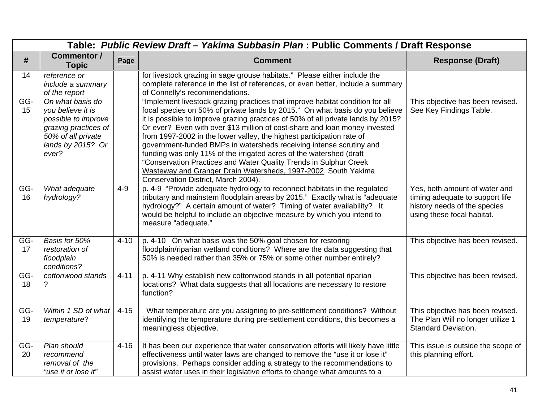|           | Table: Public Review Draft - Yakima Subbasin Plan : Public Comments / Draft Response                                                     |          |                                                                                                                                                                                                                                                                                                                                                                                                                                                                                                                                                                                                                                                                                                                                      |                                                                                                                                |  |
|-----------|------------------------------------------------------------------------------------------------------------------------------------------|----------|--------------------------------------------------------------------------------------------------------------------------------------------------------------------------------------------------------------------------------------------------------------------------------------------------------------------------------------------------------------------------------------------------------------------------------------------------------------------------------------------------------------------------------------------------------------------------------------------------------------------------------------------------------------------------------------------------------------------------------------|--------------------------------------------------------------------------------------------------------------------------------|--|
| #         | <b>Commentor /</b><br><b>Topic</b>                                                                                                       | Page     | <b>Comment</b>                                                                                                                                                                                                                                                                                                                                                                                                                                                                                                                                                                                                                                                                                                                       | <b>Response (Draft)</b>                                                                                                        |  |
| 14        | reference or<br>include a summary<br>of the report                                                                                       |          | for livestock grazing in sage grouse habitats." Please either include the<br>complete reference in the list of references, or even better, include a summary<br>of Connelly's recommendations.                                                                                                                                                                                                                                                                                                                                                                                                                                                                                                                                       |                                                                                                                                |  |
| GG-<br>15 | On what basis do<br>you believe it is<br>possible to improve<br>grazing practices of<br>50% of all private<br>lands by 2015? Or<br>ever? |          | "Implement livestock grazing practices that improve habitat condition for all<br>focal species on 50% of private lands by 2015." On what basis do you believe<br>it is possible to improve grazing practices of 50% of all private lands by 2015?<br>Or ever? Even with over \$13 million of cost-share and loan money invested<br>from 1997-2002 in the lower valley, the highest participation rate of<br>government-funded BMPs in watersheds receiving intense scrutiny and<br>funding was only 11% of the irrigated acres of the watershed (draft<br>"Conservation Practices and Water Quality Trends in Sulphur Creek<br>Wasteway and Granger Drain Watersheds, 1997-2002, South Yakima<br>Conservation District, March 2004). | This objective has been revised.<br>See Key Findings Table.                                                                    |  |
| GG-<br>16 | What adequate<br>hydrology?                                                                                                              | $4 - 9$  | p. 4-9 "Provide adequate hydrology to reconnect habitats in the regulated<br>tributary and mainstem floodplain areas by 2015." Exactly what is "adequate<br>hydrology?" A certain amount of water? Timing of water availability? It<br>would be helpful to include an objective measure by which you intend to<br>measure "adequate."                                                                                                                                                                                                                                                                                                                                                                                                | Yes, both amount of water and<br>timing adequate to support life<br>history needs of the species<br>using these focal habitat. |  |
| GG-<br>17 | Basis for 50%<br>restoration of<br>floodplain<br>conditions?                                                                             | $4 - 10$ | p. 4-10 On what basis was the 50% goal chosen for restoring<br>floodplain/riparian wetland conditions? Where are the data suggesting that<br>50% is needed rather than 35% or 75% or some other number entirely?                                                                                                                                                                                                                                                                                                                                                                                                                                                                                                                     | This objective has been revised.                                                                                               |  |
| GG-<br>18 | cottonwood stands<br>?                                                                                                                   | $4 - 11$ | p. 4-11 Why establish new cottonwood stands in all potential riparian<br>locations? What data suggests that all locations are necessary to restore<br>function?                                                                                                                                                                                                                                                                                                                                                                                                                                                                                                                                                                      | This objective has been revised.                                                                                               |  |
| GG-<br>19 | Within 1 SD of what<br>temperature?                                                                                                      | $4 - 15$ | What temperature are you assigning to pre-settlement conditions? Without<br>identifying the temperature during pre-settlement conditions, this becomes a<br>meaningless objective.                                                                                                                                                                                                                                                                                                                                                                                                                                                                                                                                                   | This objective has been revised.<br>The Plan Will no longer utilize 1<br><b>Standard Deviation.</b>                            |  |
| GG-<br>20 | Plan should<br>recommend<br>removal of the<br>"use it or lose it"                                                                        | $4 - 16$ | It has been our experience that water conservation efforts will likely have little<br>effectiveness until water laws are changed to remove the "use it or lose it"<br>provisions. Perhaps consider adding a strategy to the recommendations to<br>assist water uses in their legislative efforts to change what amounts to a                                                                                                                                                                                                                                                                                                                                                                                                         | This issue is outside the scope of<br>this planning effort.                                                                    |  |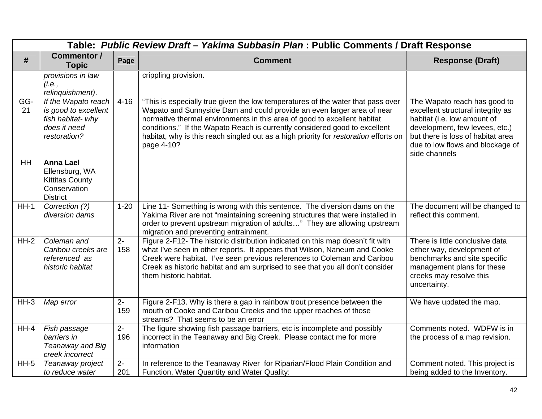|           | Table: Public Review Draft - Yakima Subbasin Plan : Public Comments / Draft Response             |             |                                                                                                                                                                                                                                                                                                                                                                                                                           |                                                                                                                                                                                                                              |  |  |
|-----------|--------------------------------------------------------------------------------------------------|-------------|---------------------------------------------------------------------------------------------------------------------------------------------------------------------------------------------------------------------------------------------------------------------------------------------------------------------------------------------------------------------------------------------------------------------------|------------------------------------------------------------------------------------------------------------------------------------------------------------------------------------------------------------------------------|--|--|
| #         | <b>Commentor /</b><br><b>Topic</b>                                                               | Page        | <b>Comment</b>                                                                                                                                                                                                                                                                                                                                                                                                            | <b>Response (Draft)</b>                                                                                                                                                                                                      |  |  |
|           | provisions in law<br>(i.e.,<br>relinquishment).                                                  |             | crippling provision.                                                                                                                                                                                                                                                                                                                                                                                                      |                                                                                                                                                                                                                              |  |  |
| GG-<br>21 | If the Wapato reach<br>is good to excellent<br>fish habitat- why<br>does it need<br>restoration? | $4 - 16$    | "This is especially true given the low temperatures of the water that pass over<br>Wapato and Sunnyside Dam and could provide an even larger area of near<br>normative thermal environments in this area of good to excellent habitat<br>conditions." If the Wapato Reach is currently considered good to excellent<br>habitat, why is this reach singled out as a high priority for restoration efforts on<br>page 4-10? | The Wapato reach has good to<br>excellent structural integrity as<br>habitat (i.e. low amount of<br>development, few levees, etc.)<br>but there is loss of habitat area<br>due to low flows and blockage of<br>side channels |  |  |
| HH        | <b>Anna Lael</b><br>Ellensburg, WA<br><b>Kittitas County</b><br>Conservation<br><b>District</b>  |             |                                                                                                                                                                                                                                                                                                                                                                                                                           |                                                                                                                                                                                                                              |  |  |
| $HH-1$    | Correction (?)<br>diversion dams                                                                 | $1 - 20$    | Line 11- Something is wrong with this sentence. The diversion dams on the<br>Yakima River are not "maintaining screening structures that were installed in<br>order to prevent upstream migration of adults" They are allowing upstream<br>migration and preventing entrainment.                                                                                                                                          | The document will be changed to<br>reflect this comment.                                                                                                                                                                     |  |  |
| $HH-2$    | Coleman and<br>Caribou creeks are<br>referenced as<br>historic habitat                           | $2-$<br>158 | Figure 2-F12- The historic distribution indicated on this map doesn't fit with<br>what I've seen in other reports. It appears that Wilson, Naneum and Cooke<br>Creek were habitat. I've seen previous references to Coleman and Caribou<br>Creek as historic habitat and am surprised to see that you all don't consider<br>them historic habitat.                                                                        | There is little conclusive data<br>either way, development of<br>benchmarks and site specific<br>management plans for these<br>creeks may resolve this<br>uncertainty.                                                       |  |  |
| $HH-3$    | Map error                                                                                        | $2-$<br>159 | Figure 2-F13. Why is there a gap in rainbow trout presence between the<br>mouth of Cooke and Caribou Creeks and the upper reaches of those<br>streams? That seems to be an error                                                                                                                                                                                                                                          | We have updated the map.                                                                                                                                                                                                     |  |  |
| $HH-4$    | Fish passage<br>barriers in<br>Teanaway and Big<br>creek incorrect                               | $2-$<br>196 | The figure showing fish passage barriers, etc is incomplete and possibly<br>incorrect in the Teanaway and Big Creek. Please contact me for more<br>information                                                                                                                                                                                                                                                            | Comments noted. WDFW is in<br>the process of a map revision.                                                                                                                                                                 |  |  |
| $HH-5$    | Teanaway project<br>to reduce water                                                              | $2-$<br>201 | In reference to the Teanaway River for Riparian/Flood Plain Condition and<br>Function, Water Quantity and Water Quality:                                                                                                                                                                                                                                                                                                  | Comment noted. This project is<br>being added to the Inventory.                                                                                                                                                              |  |  |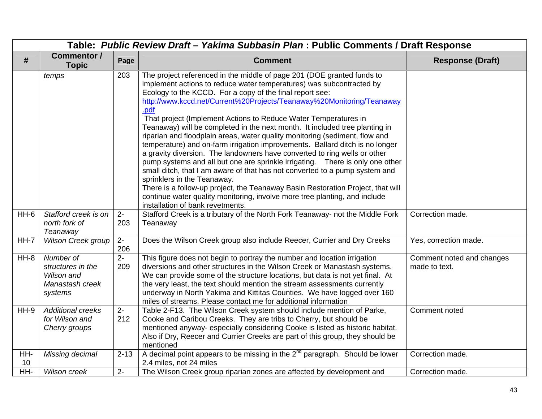|           | Table: Public Review Draft - Yakima Subbasin Plan : Public Comments / Draft Response |                       |                                                                                                                                                                                                                                                                                                                                                                                                                                                                                                                                                                                                                                                                                                                                                                                                                                                                                                                                                                                                                                                                                                |                                            |  |
|-----------|--------------------------------------------------------------------------------------|-----------------------|------------------------------------------------------------------------------------------------------------------------------------------------------------------------------------------------------------------------------------------------------------------------------------------------------------------------------------------------------------------------------------------------------------------------------------------------------------------------------------------------------------------------------------------------------------------------------------------------------------------------------------------------------------------------------------------------------------------------------------------------------------------------------------------------------------------------------------------------------------------------------------------------------------------------------------------------------------------------------------------------------------------------------------------------------------------------------------------------|--------------------------------------------|--|
| #         | <b>Commentor /</b><br><b>Topic</b>                                                   | Page                  | <b>Comment</b>                                                                                                                                                                                                                                                                                                                                                                                                                                                                                                                                                                                                                                                                                                                                                                                                                                                                                                                                                                                                                                                                                 | <b>Response (Draft)</b>                    |  |
|           | temps                                                                                | 203                   | The project referenced in the middle of page 201 (DOE granted funds to<br>implement actions to reduce water temperatures) was subcontracted by<br>Ecology to the KCCD. For a copy of the final report see:<br>http://www.kccd.net/Current%20Projects/Teanaway%20Monitoring/Teanaway<br>.pdf<br>That project (Implement Actions to Reduce Water Temperatures in<br>Teanaway) will be completed in the next month. It included tree planting in<br>riparian and floodplain areas, water quality monitoring (sediment, flow and<br>temperature) and on-farm irrigation improvements. Ballard ditch is no longer<br>a gravity diversion. The landowners have converted to ring wells or other<br>pump systems and all but one are sprinkle irrigating.  There is only one other<br>small ditch, that I am aware of that has not converted to a pump system and<br>sprinklers in the Teanaway.<br>There is a follow-up project, the Teanaway Basin Restoration Project, that will<br>continue water quality monitoring, involve more tree planting, and include<br>installation of bank revetments. |                                            |  |
| $HH-6$    | Stafford creek is on<br>north fork of<br>Teanaway                                    | $2 -$<br>203          | Stafford Creek is a tributary of the North Fork Teanaway- not the Middle Fork<br>Teanaway                                                                                                                                                                                                                                                                                                                                                                                                                                                                                                                                                                                                                                                                                                                                                                                                                                                                                                                                                                                                      | Correction made.                           |  |
| $HH-7$    | <b>Wilson Creek group</b>                                                            | $2-$<br>206           | Does the Wilson Creek group also include Reecer, Currier and Dry Creeks                                                                                                                                                                                                                                                                                                                                                                                                                                                                                                                                                                                                                                                                                                                                                                                                                                                                                                                                                                                                                        | Yes, correction made.                      |  |
| $HH-8$    | Number of<br>structures in the<br>Wilson and<br>Manastash creek<br>systems           | $\overline{2}$<br>209 | This figure does not begin to portray the number and location irrigation<br>diversions and other structures in the Wilson Creek or Manastash systems.<br>We can provide some of the structure locations, but data is not yet final. At<br>the very least, the text should mention the stream assessments currently<br>underway in North Yakima and Kittitas Counties. We have logged over 160<br>miles of streams. Please contact me for additional information                                                                                                                                                                                                                                                                                                                                                                                                                                                                                                                                                                                                                                | Comment noted and changes<br>made to text. |  |
| $HH-9$    | <b>Additional creeks</b><br>for Wilson and<br>Cherry groups                          | $2-$<br>212           | Table 2-F13. The Wilson Creek system should include mention of Parke,<br>Cooke and Caribou Creeks. They are tribs to Cherry, but should be<br>mentioned anyway- especially considering Cooke is listed as historic habitat.<br>Also if Dry, Reecer and Currier Creeks are part of this group, they should be<br>mentioned                                                                                                                                                                                                                                                                                                                                                                                                                                                                                                                                                                                                                                                                                                                                                                      | Comment noted                              |  |
| HH-<br>10 | Missing decimal                                                                      | $2 - 13$              | A decimal point appears to be missing in the $2^{nd}$ paragraph. Should be lower<br>2.4 miles, not 24 miles                                                                                                                                                                                                                                                                                                                                                                                                                                                                                                                                                                                                                                                                                                                                                                                                                                                                                                                                                                                    | Correction made.                           |  |
| HH-       | Wilson creek                                                                         | $2 -$                 | The Wilson Creek group riparian zones are affected by development and                                                                                                                                                                                                                                                                                                                                                                                                                                                                                                                                                                                                                                                                                                                                                                                                                                                                                                                                                                                                                          | Correction made.                           |  |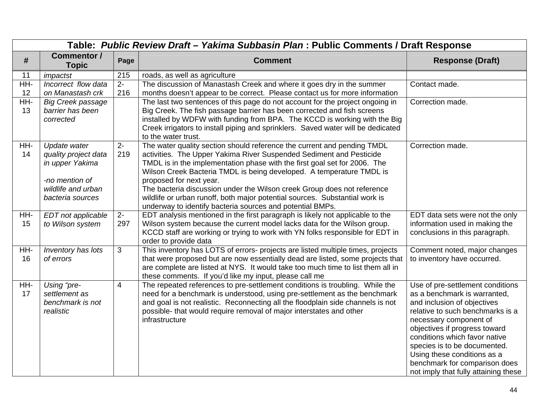|           | Table: Public Review Draft - Yakima Subbasin Plan : Public Comments / Draft Response                                |                |                                                                                                                                                                                                                                                                                                                                                                                                                                                                                                                                                       |                                                                                                                                                                                                                                                                                                                                                                         |  |
|-----------|---------------------------------------------------------------------------------------------------------------------|----------------|-------------------------------------------------------------------------------------------------------------------------------------------------------------------------------------------------------------------------------------------------------------------------------------------------------------------------------------------------------------------------------------------------------------------------------------------------------------------------------------------------------------------------------------------------------|-------------------------------------------------------------------------------------------------------------------------------------------------------------------------------------------------------------------------------------------------------------------------------------------------------------------------------------------------------------------------|--|
| #         | <b>Commentor /</b><br><b>Topic</b>                                                                                  | Page           | <b>Comment</b>                                                                                                                                                                                                                                                                                                                                                                                                                                                                                                                                        | <b>Response (Draft)</b>                                                                                                                                                                                                                                                                                                                                                 |  |
| 11        | impactst                                                                                                            | 215            | roads, as well as agriculture                                                                                                                                                                                                                                                                                                                                                                                                                                                                                                                         |                                                                                                                                                                                                                                                                                                                                                                         |  |
| HH-<br>12 | Incorrect flow data<br>on Manastash crk                                                                             | $2 -$<br>216   | The discussion of Manastash Creek and where it goes dry in the summer<br>months doesn't appear to be correct. Please contact us for more information                                                                                                                                                                                                                                                                                                                                                                                                  | Contact made.                                                                                                                                                                                                                                                                                                                                                           |  |
| HH-<br>13 | <b>Big Creek passage</b><br>barrier has been<br>corrected                                                           |                | The last two sentences of this page do not account for the project ongoing in<br>Big Creek. The fish passage barrier has been corrected and fish screens<br>installed by WDFW with funding from BPA. The KCCD is working with the Big<br>Creek irrigators to install piping and sprinklers. Saved water will be dedicated<br>to the water trust.                                                                                                                                                                                                      | Correction made.                                                                                                                                                                                                                                                                                                                                                        |  |
| HH-<br>14 | Update water<br>quality project data<br>in upper Yakima<br>-no mention of<br>wildlife and urban<br>bacteria sources | $2 -$<br>219   | The water quality section should reference the current and pending TMDL<br>activities. The Upper Yakima River Suspended Sediment and Pesticide<br>TMDL is in the implementation phase with the first goal set for 2006. The<br>Wilson Creek Bacteria TMDL is being developed. A temperature TMDL is<br>proposed for next year.<br>The bacteria discussion under the Wilson creek Group does not reference<br>wildlife or urban runoff, both major potential sources. Substantial work is<br>underway to identify bacteria sources and potential BMPs. | Correction made.                                                                                                                                                                                                                                                                                                                                                        |  |
| HH-<br>15 | EDT not applicable<br>to Wilson system                                                                              | $2 -$<br>297   | EDT analysis mentioned in the first paragraph is likely not applicable to the<br>Wilson system because the current model lacks data for the Wilson group.<br>KCCD staff are working or trying to work with YN folks responsible for EDT in<br>order to provide data                                                                                                                                                                                                                                                                                   | EDT data sets were not the only<br>information used in making the<br>conclusions in this paragraph.                                                                                                                                                                                                                                                                     |  |
| HH-<br>16 | Inventory has lots<br>of errors                                                                                     | 3              | This inventory has LOTS of errors- projects are listed multiple times, projects<br>that were proposed but are now essentially dead are listed, some projects that<br>are complete are listed at NYS. It would take too much time to list them all in<br>these comments. If you'd like my input, please call me                                                                                                                                                                                                                                        | Comment noted, major changes<br>to inventory have occurred.                                                                                                                                                                                                                                                                                                             |  |
| HH-<br>17 | Using "pre-<br>settlement as<br>benchmark is not<br>realistic                                                       | $\overline{4}$ | The repeated references to pre-settlement conditions is troubling. While the<br>need for a benchmark is understood, using pre-settlement as the benchmark<br>and goal is not realistic. Reconnecting all the floodplain side channels is not<br>possible- that would require removal of major interstates and other<br>infrastructure                                                                                                                                                                                                                 | Use of pre-settlement conditions<br>as a benchmark is warranted,<br>and inclusion of objectives<br>relative to such benchmarks is a<br>necessary component of<br>objectives if progress toward<br>conditions which favor native<br>species is to be documented.<br>Using these conditions as a<br>benchmark for comparison does<br>not imply that fully attaining these |  |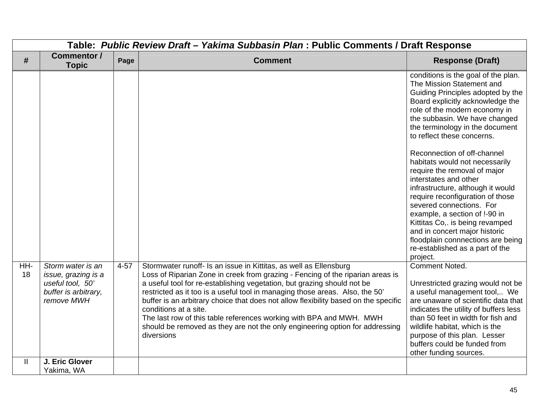|           | Table: Public Review Draft - Yakima Subbasin Plan : Public Comments / Draft Response               |          |                                                                                                                                                                                                                                                                                                                                                                                                                                                                                                                                                                                                     |                                                                                                                                                                                                                                                                                                                                                                                                                                                                                                                                                                                                                                                                                          |  |  |
|-----------|----------------------------------------------------------------------------------------------------|----------|-----------------------------------------------------------------------------------------------------------------------------------------------------------------------------------------------------------------------------------------------------------------------------------------------------------------------------------------------------------------------------------------------------------------------------------------------------------------------------------------------------------------------------------------------------------------------------------------------------|------------------------------------------------------------------------------------------------------------------------------------------------------------------------------------------------------------------------------------------------------------------------------------------------------------------------------------------------------------------------------------------------------------------------------------------------------------------------------------------------------------------------------------------------------------------------------------------------------------------------------------------------------------------------------------------|--|--|
| #         | Commentor /<br><b>Topic</b>                                                                        | Page     | <b>Comment</b>                                                                                                                                                                                                                                                                                                                                                                                                                                                                                                                                                                                      | <b>Response (Draft)</b>                                                                                                                                                                                                                                                                                                                                                                                                                                                                                                                                                                                                                                                                  |  |  |
|           |                                                                                                    |          |                                                                                                                                                                                                                                                                                                                                                                                                                                                                                                                                                                                                     | conditions is the goal of the plan.<br>The Mission Statement and<br>Guiding Principles adopted by the<br>Board explicitly acknowledge the<br>role of the modern economy in<br>the subbasin. We have changed<br>the terminology in the document<br>to reflect these concerns.<br>Reconnection of off-channel<br>habitats would not necessarily<br>require the removal of major<br>interstates and other<br>infrastructure, although it would<br>require reconfiguration of those<br>severed connections. For<br>example, a section of !-90 in<br>Kittitas Co,. is being revamped<br>and in concert major historic<br>floodplain connnections are being<br>re-established as a part of the |  |  |
| HH-<br>18 | Storm water is an<br>issue, grazing is a<br>useful tool, 50'<br>buffer is arbitrary,<br>remove MWH | $4 - 57$ | Stormwater runoff- Is an issue in Kittitas, as well as Ellensburg<br>Loss of Riparian Zone in creek from grazing - Fencing of the riparian areas is<br>a useful tool for re-establishing vegetation, but grazing should not be<br>restricted as it too is a useful tool in managing those areas. Also, the 50'<br>buffer is an arbitrary choice that does not allow flexibility based on the specific<br>conditions at a site.<br>The last row of this table references working with BPA and MWH. MWH<br>should be removed as they are not the only engineering option for addressing<br>diversions | project.<br><b>Comment Noted.</b><br>Unrestricted grazing would not be<br>a useful management tool, We<br>are unaware of scientific data that<br>indicates the utility of buffers less<br>than 50 feet in width for fish and<br>wildlife habitat, which is the<br>purpose of this plan. Lesser<br>buffers could be funded from<br>other funding sources.                                                                                                                                                                                                                                                                                                                                 |  |  |
| Ш         | J. Eric Glover<br>Yakima, WA                                                                       |          |                                                                                                                                                                                                                                                                                                                                                                                                                                                                                                                                                                                                     |                                                                                                                                                                                                                                                                                                                                                                                                                                                                                                                                                                                                                                                                                          |  |  |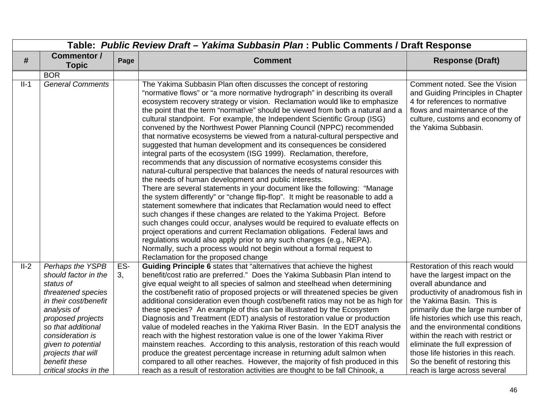|        | Table: Public Review Draft - Yakima Subbasin Plan : Public Comments / Draft Response |      |                                                                                                                                                                                                                                                                                                                                                                                                                                                                                                                                                                                                                                                                                                                                                                                                                                                                                                                                                                                                                                                                                                                                                                                                                                                                                                                                                                                                                                                                                                                                                                                             |                                                                                                                                                                                                |  |
|--------|--------------------------------------------------------------------------------------|------|---------------------------------------------------------------------------------------------------------------------------------------------------------------------------------------------------------------------------------------------------------------------------------------------------------------------------------------------------------------------------------------------------------------------------------------------------------------------------------------------------------------------------------------------------------------------------------------------------------------------------------------------------------------------------------------------------------------------------------------------------------------------------------------------------------------------------------------------------------------------------------------------------------------------------------------------------------------------------------------------------------------------------------------------------------------------------------------------------------------------------------------------------------------------------------------------------------------------------------------------------------------------------------------------------------------------------------------------------------------------------------------------------------------------------------------------------------------------------------------------------------------------------------------------------------------------------------------------|------------------------------------------------------------------------------------------------------------------------------------------------------------------------------------------------|--|
| #      | <b>Commentor /</b><br><b>Topic</b>                                                   | Page | <b>Comment</b>                                                                                                                                                                                                                                                                                                                                                                                                                                                                                                                                                                                                                                                                                                                                                                                                                                                                                                                                                                                                                                                                                                                                                                                                                                                                                                                                                                                                                                                                                                                                                                              | <b>Response (Draft)</b>                                                                                                                                                                        |  |
|        | <b>BOR</b>                                                                           |      |                                                                                                                                                                                                                                                                                                                                                                                                                                                                                                                                                                                                                                                                                                                                                                                                                                                                                                                                                                                                                                                                                                                                                                                                                                                                                                                                                                                                                                                                                                                                                                                             |                                                                                                                                                                                                |  |
| $II-1$ | <b>General Comments</b>                                                              |      | The Yakima Subbasin Plan often discusses the concept of restoring<br>"normative flows" or "a more normative hydrograph" in describing its overall<br>ecosystem recovery strategy or vision. Reclamation would like to emphasize<br>the point that the term "normative" should be viewed from both a natural and a<br>cultural standpoint. For example, the Independent Scientific Group (ISG)<br>convened by the Northwest Power Planning Council (NPPC) recommended<br>that normative ecosystems be viewed from a natural-cultural perspective and<br>suggested that human development and its consequences be considered<br>integral parts of the ecosystem (ISG 1999). Reclamation, therefore,<br>recommends that any discussion of normative ecosystems consider this<br>natural-cultural perspective that balances the needs of natural resources with<br>the needs of human development and public interests.<br>There are several statements in your document like the following: "Manage<br>the system differently" or "change flip-flop". It might be reasonable to add a<br>statement somewhere that indicates that Reclamation would need to effect<br>such changes if these changes are related to the Yakima Project. Before<br>such changes could occur, analyses would be required to evaluate effects on<br>project operations and current Reclamation obligations. Federal laws and<br>regulations would also apply prior to any such changes (e.g., NEPA).<br>Normally, such a process would not begin without a formal request to<br>Reclamation for the proposed change | Comment noted. See the Vision<br>and Guiding Principles in Chapter<br>4 for references to normative<br>flows and maintenance of the<br>culture, customs and economy of<br>the Yakima Subbasin. |  |
| $II-2$ | Perhaps the YSPB                                                                     | ES-  | Guiding Principle 6 states that "alternatives that achieve the highest                                                                                                                                                                                                                                                                                                                                                                                                                                                                                                                                                                                                                                                                                                                                                                                                                                                                                                                                                                                                                                                                                                                                                                                                                                                                                                                                                                                                                                                                                                                      | Restoration of this reach would                                                                                                                                                                |  |
|        | should factor in the                                                                 | 3,   | benefit/cost ratio are preferred." Does the Yakima Subbasin Plan intend to                                                                                                                                                                                                                                                                                                                                                                                                                                                                                                                                                                                                                                                                                                                                                                                                                                                                                                                                                                                                                                                                                                                                                                                                                                                                                                                                                                                                                                                                                                                  | have the largest impact on the                                                                                                                                                                 |  |
|        | status of                                                                            |      | give equal weight to all species of salmon and steelhead when determining                                                                                                                                                                                                                                                                                                                                                                                                                                                                                                                                                                                                                                                                                                                                                                                                                                                                                                                                                                                                                                                                                                                                                                                                                                                                                                                                                                                                                                                                                                                   | overall abundance and                                                                                                                                                                          |  |
|        | threatened species<br>in their cost/benefit                                          |      | the cost/benefit ratio of proposed projects or will threatened species be given<br>additional consideration even though cost/benefit ratios may not be as high for                                                                                                                                                                                                                                                                                                                                                                                                                                                                                                                                                                                                                                                                                                                                                                                                                                                                                                                                                                                                                                                                                                                                                                                                                                                                                                                                                                                                                          | productivity of anadromous fish in<br>the Yakima Basin. This is                                                                                                                                |  |
|        | analysis of                                                                          |      | these species? An example of this can be illustrated by the Ecosystem                                                                                                                                                                                                                                                                                                                                                                                                                                                                                                                                                                                                                                                                                                                                                                                                                                                                                                                                                                                                                                                                                                                                                                                                                                                                                                                                                                                                                                                                                                                       | primarily due the large number of                                                                                                                                                              |  |
|        | proposed projects                                                                    |      | Diagnosis and Treatment (EDT) analysis of restoration value or production                                                                                                                                                                                                                                                                                                                                                                                                                                                                                                                                                                                                                                                                                                                                                                                                                                                                                                                                                                                                                                                                                                                                                                                                                                                                                                                                                                                                                                                                                                                   | life histories which use this reach,                                                                                                                                                           |  |
|        | so that additional                                                                   |      | value of modeled reaches in the Yakima River Basin. In the EDT analysis the                                                                                                                                                                                                                                                                                                                                                                                                                                                                                                                                                                                                                                                                                                                                                                                                                                                                                                                                                                                                                                                                                                                                                                                                                                                                                                                                                                                                                                                                                                                 | and the environmental conditions                                                                                                                                                               |  |
|        | consideration is                                                                     |      | reach with the highest restoration value is one of the lower Yakima River                                                                                                                                                                                                                                                                                                                                                                                                                                                                                                                                                                                                                                                                                                                                                                                                                                                                                                                                                                                                                                                                                                                                                                                                                                                                                                                                                                                                                                                                                                                   | within the reach with restrict or                                                                                                                                                              |  |
|        | given to potential                                                                   |      | mainstem reaches. According to this analysis, restoration of this reach would                                                                                                                                                                                                                                                                                                                                                                                                                                                                                                                                                                                                                                                                                                                                                                                                                                                                                                                                                                                                                                                                                                                                                                                                                                                                                                                                                                                                                                                                                                               | eliminate the full expression of                                                                                                                                                               |  |
|        | projects that will<br>benefit these                                                  |      | produce the greatest percentage increase in returning adult salmon when<br>compared to all other reaches. However, the majority of fish produced in this                                                                                                                                                                                                                                                                                                                                                                                                                                                                                                                                                                                                                                                                                                                                                                                                                                                                                                                                                                                                                                                                                                                                                                                                                                                                                                                                                                                                                                    | those life histories in this reach.<br>So the benefit of restoring this                                                                                                                        |  |
|        | critical stocks in the                                                               |      | reach as a result of restoration activities are thought to be fall Chinook, a                                                                                                                                                                                                                                                                                                                                                                                                                                                                                                                                                                                                                                                                                                                                                                                                                                                                                                                                                                                                                                                                                                                                                                                                                                                                                                                                                                                                                                                                                                               | reach is large across several                                                                                                                                                                  |  |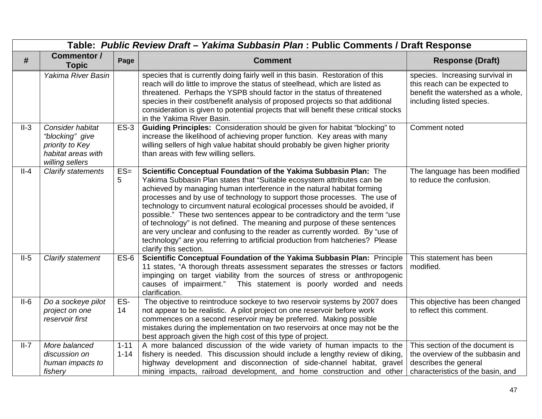|        | Table: Public Review Draft - Yakima Subbasin Plan : Public Comments / Draft Response            |                      |                                                                                                                                                                                                                                                                                                                                                                                                                                                                                                                                                                                                                                                                                                                                          |                                                                                                                                    |  |
|--------|-------------------------------------------------------------------------------------------------|----------------------|------------------------------------------------------------------------------------------------------------------------------------------------------------------------------------------------------------------------------------------------------------------------------------------------------------------------------------------------------------------------------------------------------------------------------------------------------------------------------------------------------------------------------------------------------------------------------------------------------------------------------------------------------------------------------------------------------------------------------------------|------------------------------------------------------------------------------------------------------------------------------------|--|
| #      | Commentor /<br><b>Topic</b>                                                                     | Page                 | <b>Comment</b>                                                                                                                                                                                                                                                                                                                                                                                                                                                                                                                                                                                                                                                                                                                           | <b>Response (Draft)</b>                                                                                                            |  |
|        | Yakima River Basin                                                                              |                      | species that is currently doing fairly well in this basin. Restoration of this<br>reach will do little to improve the status of steelhead, which are listed as<br>threatened. Perhaps the YSPB should factor in the status of threatened<br>species in their cost/benefit analysis of proposed projects so that additional<br>consideration is given to potential projects that will benefit these critical stocks<br>in the Yakima River Basin.                                                                                                                                                                                                                                                                                         | species. Increasing survival in<br>this reach can be expected to<br>benefit the watershed as a whole,<br>including listed species. |  |
| $II-3$ | Consider habitat<br>"blocking" give<br>priority to Key<br>habitat areas with<br>willing sellers | $ES-3$               | Guiding Principles: Consideration should be given for habitat "blocking" to<br>increase the likelihood of achieving proper function. Key areas with many<br>willing sellers of high value habitat should probably be given higher priority<br>than areas with few willing sellers.                                                                                                                                                                                                                                                                                                                                                                                                                                                       | Comment noted                                                                                                                      |  |
| $II-4$ | <b>Clarify statements</b>                                                                       | $ES=$<br>5           | Scientific Conceptual Foundation of the Yakima Subbasin Plan: The<br>Yakima Subbasin Plan states that "Suitable ecosystem attributes can be<br>achieved by managing human interference in the natural habitat forming<br>processes and by use of technology to support those processes. The use of<br>technology to circumvent natural ecological processes should be avoided, if<br>possible." These two sentences appear to be contradictory and the term "use<br>of technology" is not defined. The meaning and purpose of these sentences<br>are very unclear and confusing to the reader as currently worded. By "use of<br>technology" are you referring to artificial production from hatcheries? Please<br>clarify this section. | The language has been modified<br>to reduce the confusion.                                                                         |  |
| $II-5$ | Clarify statement                                                                               | $ES-6$               | Scientific Conceptual Foundation of the Yakima Subbasin Plan: Principle<br>11 states, "A thorough threats assessment separates the stresses or factors<br>impinging on target viability from the sources of stress or anthropogenic<br>This statement is poorly worded and needs<br>causes of impairment."<br>clarification.                                                                                                                                                                                                                                                                                                                                                                                                             | This statement has been<br>modified.                                                                                               |  |
| $II-6$ | Do a sockeye pilot<br>project on one<br>reservoir first                                         | ES-<br>14            | The objective to reintroduce sockeye to two reservoir systems by 2007 does<br>not appear to be realistic. A pilot project on one reservoir before work<br>commences on a second reservoir may be preferred. Making possible<br>mistakes during the implementation on two reservoirs at once may not be the<br>best approach given the high cost of this type of project.                                                                                                                                                                                                                                                                                                                                                                 | This objective has been changed<br>to reflect this comment.                                                                        |  |
| $II-7$ | More balanced<br>discussion on<br>human impacts to<br>fishery                                   | $1 - 11$<br>$1 - 14$ | A more balanced discussion of the wide variety of human impacts to the<br>fishery is needed. This discussion should include a lengthy review of diking,<br>highway development and disconnection of side-channel habitat, gravel<br>mining impacts, railroad development, and home construction and other                                                                                                                                                                                                                                                                                                                                                                                                                                | This section of the document is<br>the overview of the subbasin and<br>describes the general<br>characteristics of the basin, and  |  |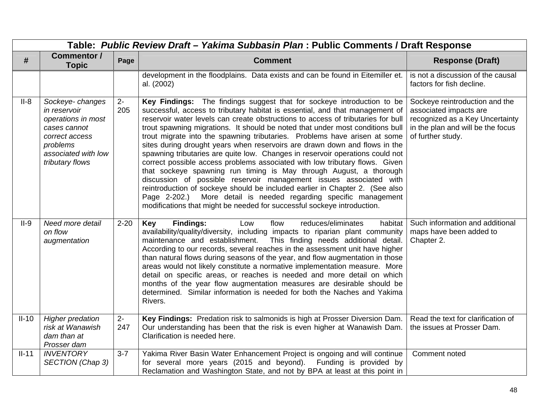|         | Table: Public Review Draft - Yakima Subbasin Plan : Public Comments / Draft Response                                                          |             |                                                                                                                                                                                                                                                                                                                                                                                                                                                                                                                                                                                                                                                                                                                                                                                                                                                                                                                                                                                                                                   |                                                                                                                                                       |  |
|---------|-----------------------------------------------------------------------------------------------------------------------------------------------|-------------|-----------------------------------------------------------------------------------------------------------------------------------------------------------------------------------------------------------------------------------------------------------------------------------------------------------------------------------------------------------------------------------------------------------------------------------------------------------------------------------------------------------------------------------------------------------------------------------------------------------------------------------------------------------------------------------------------------------------------------------------------------------------------------------------------------------------------------------------------------------------------------------------------------------------------------------------------------------------------------------------------------------------------------------|-------------------------------------------------------------------------------------------------------------------------------------------------------|--|
| #       | <b>Commentor /</b><br><b>Topic</b>                                                                                                            | Page        | <b>Comment</b>                                                                                                                                                                                                                                                                                                                                                                                                                                                                                                                                                                                                                                                                                                                                                                                                                                                                                                                                                                                                                    | <b>Response (Draft)</b>                                                                                                                               |  |
|         |                                                                                                                                               |             | development in the floodplains. Data exists and can be found in Eitemiller et.<br>al. (2002)                                                                                                                                                                                                                                                                                                                                                                                                                                                                                                                                                                                                                                                                                                                                                                                                                                                                                                                                      | is not a discussion of the causal<br>factors for fish decline.                                                                                        |  |
| $II-8$  | Sockeye-changes<br>in reservoir<br>operations in most<br>cases cannot<br>correct access<br>problems<br>associated with low<br>tributary flows | $2-$<br>205 | Key Findings: The findings suggest that for sockeye introduction to be<br>successful, access to tributary habitat is essential, and that management of<br>reservoir water levels can create obstructions to access of tributaries for bull<br>trout spawning migrations. It should be noted that under most conditions bull<br>trout migrate into the spawning tributaries. Problems have arisen at some<br>sites during drought years when reservoirs are drawn down and flows in the<br>spawning tributaries are quite low. Changes in reservoir operations could not<br>correct possible access problems associated with low tributary flows. Given<br>that sockeye spawning run timing is May through August, a thorough<br>discussion of possible reservoir management issues associated with<br>reintroduction of sockeye should be included earlier in Chapter 2. (See also<br>Page 2-202.) More detail is needed regarding specific management<br>modifications that might be needed for successful sockeye introduction. | Sockeye reintroduction and the<br>associated impacts are<br>recognized as a Key Uncertainty<br>in the plan and will be the focus<br>of further study. |  |
| $II-9$  | Need more detail<br>on flow<br>augmentation                                                                                                   | $2 - 20$    | <b>Findings:</b><br>Key<br>flow<br>reduces/eliminates<br>habitat<br>Low<br>availability/quality/diversity, including impacts to riparian plant community<br>maintenance and establishment. This finding needs additional detail.<br>According to our records, several reaches in the assessment unit have higher<br>than natural flows during seasons of the year, and flow augmentation in those<br>areas would not likely constitute a normative implementation measure. More<br>detail on specific areas, or reaches is needed and more detail on which<br>months of the year flow augmentation measures are desirable should be<br>determined. Similar information is needed for both the Naches and Yakima<br>Rivers.                                                                                                                                                                                                                                                                                                        | Such information and additional<br>maps have been added to<br>Chapter 2.                                                                              |  |
| $II-10$ | <b>Higher predation</b><br>risk at Wanawish<br>dam than at<br>Prosser dam                                                                     | $2-$<br>247 | Key Findings: Predation risk to salmonids is high at Prosser Diversion Dam.<br>Our understanding has been that the risk is even higher at Wanawish Dam.<br>Clarification is needed here.                                                                                                                                                                                                                                                                                                                                                                                                                                                                                                                                                                                                                                                                                                                                                                                                                                          | Read the text for clarification of<br>the issues at Prosser Dam.                                                                                      |  |
| $II-11$ | <b>INVENTORY</b><br>SECTION (Chap 3)                                                                                                          | $3 - 7$     | Yakima River Basin Water Enhancement Project is ongoing and will continue<br>for several more years (2015 and beyond). Funding is provided by<br>Reclamation and Washington State, and not by BPA at least at this point in                                                                                                                                                                                                                                                                                                                                                                                                                                                                                                                                                                                                                                                                                                                                                                                                       | Comment noted                                                                                                                                         |  |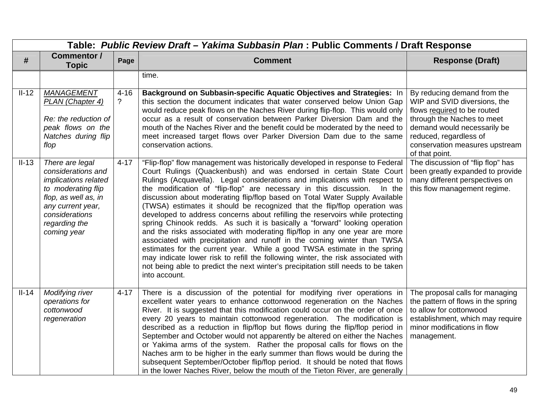|         | Table: Public Review Draft - Yakima Subbasin Plan : Public Comments / Draft Response                                                                                               |                         |                                                                                                                                                                                                                                                                                                                                                                                                                                                                                                                                                                                                                                                                                                                                                                                                                                                                                                                                                                                                                                                                             |                                                                                                                                                                                                                                       |  |  |
|---------|------------------------------------------------------------------------------------------------------------------------------------------------------------------------------------|-------------------------|-----------------------------------------------------------------------------------------------------------------------------------------------------------------------------------------------------------------------------------------------------------------------------------------------------------------------------------------------------------------------------------------------------------------------------------------------------------------------------------------------------------------------------------------------------------------------------------------------------------------------------------------------------------------------------------------------------------------------------------------------------------------------------------------------------------------------------------------------------------------------------------------------------------------------------------------------------------------------------------------------------------------------------------------------------------------------------|---------------------------------------------------------------------------------------------------------------------------------------------------------------------------------------------------------------------------------------|--|--|
| #       | Commentor /<br><b>Topic</b>                                                                                                                                                        | Page                    | <b>Comment</b>                                                                                                                                                                                                                                                                                                                                                                                                                                                                                                                                                                                                                                                                                                                                                                                                                                                                                                                                                                                                                                                              | <b>Response (Draft)</b>                                                                                                                                                                                                               |  |  |
|         |                                                                                                                                                                                    |                         | time.                                                                                                                                                                                                                                                                                                                                                                                                                                                                                                                                                                                                                                                                                                                                                                                                                                                                                                                                                                                                                                                                       |                                                                                                                                                                                                                                       |  |  |
| $II-12$ | <b>MANAGEMENT</b><br>PLAN (Chapter 4)<br>Re: the reduction of<br>peak flows on the<br>Natches during flip<br>flop                                                                  | $4 - 16$<br>$\tilde{?}$ | Background on Subbasin-specific Aquatic Objectives and Strategies: In<br>this section the document indicates that water conserved below Union Gap<br>would reduce peak flows on the Naches River during flip-flop. This would only<br>occur as a result of conservation between Parker Diversion Dam and the<br>mouth of the Naches River and the benefit could be moderated by the need to<br>meet increased target flows over Parker Diversion Dam due to the same<br>conservation actions.                                                                                                                                                                                                                                                                                                                                                                                                                                                                                                                                                                               | By reducing demand from the<br>WIP and SVID diversions, the<br>flows required to be routed<br>through the Naches to meet<br>demand would necessarily be<br>reduced, regardless of<br>conservation measures upstream<br>of that point. |  |  |
| $II-13$ | There are legal<br>considerations and<br>implications related<br>to moderating flip<br>flop, as well as, in<br>any current year,<br>considerations<br>regarding the<br>coming year | $4 - 17$                | "Flip-flop" flow management was historically developed in response to Federal<br>Court Rulings (Quackenbush) and was endorsed in certain State Court<br>Rulings (Acquavella). Legal considerations and implications with respect to<br>the modification of "flip-flop" are necessary in this discussion. In the<br>discussion about moderating flip/flop based on Total Water Supply Available<br>(TWSA) estimates it should be recognized that the flip/flop operation was<br>developed to address concerns about refilling the reservoirs while protecting<br>spring Chinook redds. As such it is basically a "forward" looking operation<br>and the risks associated with moderating flip/flop in any one year are more<br>associated with precipitation and runoff in the coming winter than TWSA<br>estimates for the current year. While a good TWSA estimate in the spring<br>may indicate lower risk to refill the following winter, the risk associated with<br>not being able to predict the next winter's precipitation still needs to be taken<br>into account. | The discussion of "flip flop" has<br>been greatly expanded to provide<br>many different perspectives on<br>this flow management regime.                                                                                               |  |  |
| $II-14$ | Modifying river<br>operations for<br>cottonwood<br>regeneration                                                                                                                    | $4 - 17$                | There is a discussion of the potential for modifying river operations in<br>excellent water years to enhance cottonwood regeneration on the Naches<br>River. It is suggested that this modification could occur on the order of once<br>every 20 years to maintain cottonwood regeneration. The modification is<br>described as a reduction in flip/flop but flows during the flip/flop period in<br>September and October would not apparently be altered on either the Naches<br>or Yakima arms of the system. Rather the proposal calls for flows on the<br>Naches arm to be higher in the early summer than flows would be during the<br>subsequent September/October flip/flop period. It should be noted that flows<br>in the lower Naches River, below the mouth of the Tieton River, are generally                                                                                                                                                                                                                                                                  | The proposal calls for managing<br>the pattern of flows in the spring<br>to allow for cottonwood<br>establishment, which may require<br>minor modifications in flow<br>management.                                                    |  |  |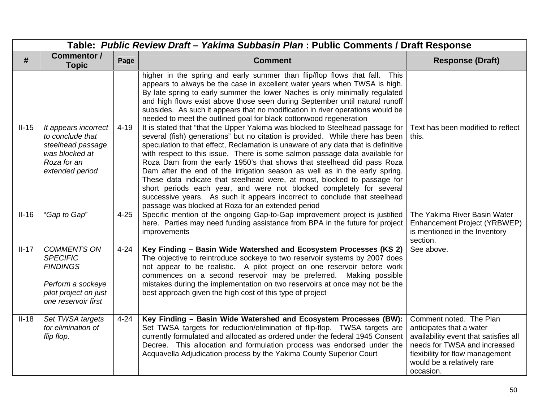|         | Table: Public Review Draft - Yakima Subbasin Plan : Public Comments / Draft Response                                          |          |                                                                                                                                                                                                                                                                                                                                                                                                                                                                                                                                                                                                                                                                                                                                                                                   |                                                                                                                                                                                                            |  |  |
|---------|-------------------------------------------------------------------------------------------------------------------------------|----------|-----------------------------------------------------------------------------------------------------------------------------------------------------------------------------------------------------------------------------------------------------------------------------------------------------------------------------------------------------------------------------------------------------------------------------------------------------------------------------------------------------------------------------------------------------------------------------------------------------------------------------------------------------------------------------------------------------------------------------------------------------------------------------------|------------------------------------------------------------------------------------------------------------------------------------------------------------------------------------------------------------|--|--|
| #       | <b>Commentor /</b><br><b>Topic</b>                                                                                            | Page     | <b>Comment</b>                                                                                                                                                                                                                                                                                                                                                                                                                                                                                                                                                                                                                                                                                                                                                                    | <b>Response (Draft)</b>                                                                                                                                                                                    |  |  |
|         |                                                                                                                               |          | higher in the spring and early summer than flip/flop flows that fall. This<br>appears to always be the case in excellent water years when TWSA is high.<br>By late spring to early summer the lower Naches is only minimally regulated<br>and high flows exist above those seen during September until natural runoff<br>subsides. As such it appears that no modification in river operations would be<br>needed to meet the outlined goal for black cottonwood regeneration                                                                                                                                                                                                                                                                                                     |                                                                                                                                                                                                            |  |  |
| $II-15$ | It appears incorrect<br>to conclude that<br>steelhead passage<br>was blocked at<br>Roza for an<br>extended period             | $4 - 19$ | It is stated that "that the Upper Yakima was blocked to Steelhead passage for<br>several (fish) generations" but no citation is provided. While there has been<br>speculation to that effect, Reclamation is unaware of any data that is definitive<br>with respect to this issue. There is some salmon passage data available for<br>Roza Dam from the early 1950's that shows that steelhead did pass Roza<br>Dam after the end of the irrigation season as well as in the early spring.<br>These data indicate that steelhead were, at most, blocked to passage for<br>short periods each year, and were not blocked completely for several<br>successive years. As such it appears incorrect to conclude that steelhead<br>passage was blocked at Roza for an extended period | Text has been modified to reflect<br>this.                                                                                                                                                                 |  |  |
| $II-16$ | "Gap to Gap"                                                                                                                  | $4 - 25$ | Specific mention of the ongoing Gap-to-Gap improvement project is justified<br>here. Parties may need funding assistance from BPA in the future for project<br>improvements                                                                                                                                                                                                                                                                                                                                                                                                                                                                                                                                                                                                       | The Yakima River Basin Water<br>Enhancement Project (YRBWEP)<br>is mentioned in the Inventory<br>section.                                                                                                  |  |  |
| $II-17$ | <b>COMMENTS ON</b><br><b>SPECIFIC</b><br><b>FINDINGS</b><br>Perform a sockeye<br>pilot project on just<br>one reservoir first | $4 - 24$ | Key Finding - Basin Wide Watershed and Ecosystem Processes (KS 2)<br>The objective to reintroduce sockeye to two reservoir systems by 2007 does<br>not appear to be realistic. A pilot project on one reservoir before work<br>commences on a second reservoir may be preferred. Making possible<br>mistakes during the implementation on two reservoirs at once may not be the<br>best approach given the high cost of this type of project                                                                                                                                                                                                                                                                                                                                      | See above.                                                                                                                                                                                                 |  |  |
| $II-18$ | Set TWSA targets<br>for elimination of<br>flip flop.                                                                          | $4 - 24$ | Key Finding - Basin Wide Watershed and Ecosystem Processes (BW):<br>Set TWSA targets for reduction/elimination of flip-flop. TWSA targets are<br>currently formulated and allocated as ordered under the federal 1945 Consent<br>Decree. This allocation and formulation process was endorsed under the<br>Acquavella Adjudication process by the Yakima County Superior Court                                                                                                                                                                                                                                                                                                                                                                                                    | Comment noted. The Plan<br>anticipates that a water<br>availability event that satisfies all<br>needs for TWSA and increased<br>flexibility for flow management<br>would be a relatively rare<br>occasion. |  |  |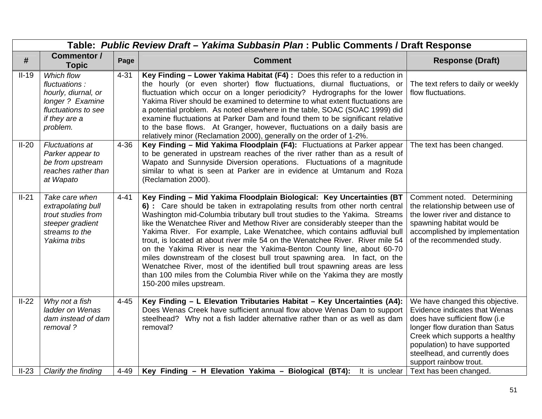|         | Table: Public Review Draft - Yakima Subbasin Plan : Public Comments / Draft Response                                       |          |                                                                                                                                                                                                                                                                                                                                                                                                                                                                                                                                                                                                                                                                                                                                                                                                                                |                                                                                                                                                                                                                                                                     |  |
|---------|----------------------------------------------------------------------------------------------------------------------------|----------|--------------------------------------------------------------------------------------------------------------------------------------------------------------------------------------------------------------------------------------------------------------------------------------------------------------------------------------------------------------------------------------------------------------------------------------------------------------------------------------------------------------------------------------------------------------------------------------------------------------------------------------------------------------------------------------------------------------------------------------------------------------------------------------------------------------------------------|---------------------------------------------------------------------------------------------------------------------------------------------------------------------------------------------------------------------------------------------------------------------|--|
| #       | <b>Commentor /</b><br><b>Topic</b>                                                                                         | Page     | <b>Comment</b>                                                                                                                                                                                                                                                                                                                                                                                                                                                                                                                                                                                                                                                                                                                                                                                                                 | <b>Response (Draft)</b>                                                                                                                                                                                                                                             |  |
| $II-19$ | Which flow<br>fluctuations:<br>hourly, diurnal, or<br>longer ? Examine<br>fluctuations to see<br>if they are a<br>problem. | $4 - 31$ | Key Finding - Lower Yakima Habitat (F4) : Does this refer to a reduction in<br>the hourly (or even shorter) flow fluctuations, diurnal fluctuations, or<br>fluctuation which occur on a longer periodicity? Hydrographs for the lower<br>Yakima River should be examined to determine to what extent fluctuations are<br>a potential problem. As noted elsewhere in the table, SOAC (SOAC 1999) did<br>examine fluctuations at Parker Dam and found them to be significant relative<br>to the base flows. At Granger, however, fluctuations on a daily basis are<br>relatively minor (Reclamation 2000), generally on the order of 1-2%.                                                                                                                                                                                       | The text refers to daily or weekly<br>flow fluctuations.                                                                                                                                                                                                            |  |
| $II-20$ | <b>Fluctuations at</b><br>Parker appear to<br>be from upstream<br>reaches rather than<br>at Wapato                         | $4 - 36$ | Key Finding - Mid Yakima Floodplain (F4): Fluctuations at Parker appear<br>to be generated in upstream reaches of the river rather than as a result of<br>Wapato and Sunnyside Diversion operations. Fluctuations of a magnitude<br>similar to what is seen at Parker are in evidence at Umtanum and Roza<br>(Reclamation 2000).                                                                                                                                                                                                                                                                                                                                                                                                                                                                                               | The text has been changed.                                                                                                                                                                                                                                          |  |
| $II-21$ | Take care when<br>extrapolating bull<br>trout studies from<br>steeper gradient<br>streams to the<br>Yakima tribs           | $4 - 41$ | Key Finding - Mid Yakima Floodplain Biological: Key Uncertainties (BT<br>6) : Care should be taken in extrapolating results from other north central<br>Washington mid-Columbia tributary bull trout studies to the Yakima. Streams<br>like the Wenatchee River and Methow River are considerably steeper than the<br>Yakima River. For example, Lake Wenatchee, which contains adfluvial bull<br>trout, is located at about river mile 54 on the Wenatchee River. River mile 54<br>on the Yakima River is near the Yakima-Benton County line, about 60-70<br>miles downstream of the closest bull trout spawning area. In fact, on the<br>Wenatchee River, most of the identified bull trout spawning areas are less<br>than 100 miles from the Columbia River while on the Yakima they are mostly<br>150-200 miles upstream. | Comment noted. Determining<br>the relationship between use of<br>the lower river and distance to<br>spawning habitat would be<br>accomplished by implementation<br>of the recommended study.                                                                        |  |
| $II-22$ | Why not a fish<br>ladder on Wenas<br>dam instead of dam<br>removal?                                                        | $4 - 45$ | Key Finding - L Elevation Tributaries Habitat - Key Uncertainties (A4):<br>Does Wenas Creek have sufficient annual flow above Wenas Dam to support<br>steelhead? Why not a fish ladder alternative rather than or as well as dam<br>removal?                                                                                                                                                                                                                                                                                                                                                                                                                                                                                                                                                                                   | We have changed this objective.<br>Evidence indicates that Wenas<br>does have sufficient flow (i.e<br>longer flow duration than Satus<br>Creek which supports a healthy<br>population) to have supported<br>steelhead, and currently does<br>support rainbow trout. |  |
| $II-23$ | Clarify the finding                                                                                                        | $4 - 49$ | Key Finding - H Elevation Yakima - Biological (BT4): It is unclear                                                                                                                                                                                                                                                                                                                                                                                                                                                                                                                                                                                                                                                                                                                                                             | Text has been changed.                                                                                                                                                                                                                                              |  |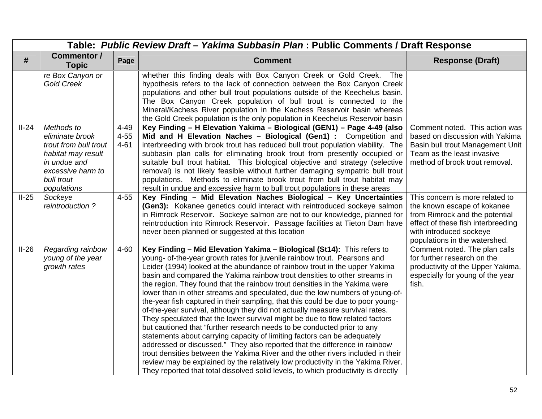|         | Table: Public Review Draft - Yakima Subbasin Plan: Public Comments / Draft Response                                                            |                                  |                                                                                                                                                                                                                                                                                                                                                                                                                                                                                                                                                                                                                                                                                                                                                                                                                                                                                                                                                                                                                                                                                                                                                                                                                                 |                                                                                                                                                                                                    |  |
|---------|------------------------------------------------------------------------------------------------------------------------------------------------|----------------------------------|---------------------------------------------------------------------------------------------------------------------------------------------------------------------------------------------------------------------------------------------------------------------------------------------------------------------------------------------------------------------------------------------------------------------------------------------------------------------------------------------------------------------------------------------------------------------------------------------------------------------------------------------------------------------------------------------------------------------------------------------------------------------------------------------------------------------------------------------------------------------------------------------------------------------------------------------------------------------------------------------------------------------------------------------------------------------------------------------------------------------------------------------------------------------------------------------------------------------------------|----------------------------------------------------------------------------------------------------------------------------------------------------------------------------------------------------|--|
| #       | <b>Commentor /</b><br><b>Topic</b>                                                                                                             | Page                             | <b>Comment</b>                                                                                                                                                                                                                                                                                                                                                                                                                                                                                                                                                                                                                                                                                                                                                                                                                                                                                                                                                                                                                                                                                                                                                                                                                  | <b>Response (Draft)</b>                                                                                                                                                                            |  |
|         | re Box Canyon or<br><b>Gold Creek</b>                                                                                                          |                                  | whether this finding deals with Box Canyon Creek or Gold Creek.<br><b>The</b><br>hypothesis refers to the lack of connection between the Box Canyon Creek<br>populations and other bull trout populations outside of the Keechelus basin.<br>The Box Canyon Creek population of bull trout is connected to the<br>Mineral/Kachess River population in the Kachess Reservoir basin whereas<br>the Gold Creek population is the only population in Keechelus Reservoir basin                                                                                                                                                                                                                                                                                                                                                                                                                                                                                                                                                                                                                                                                                                                                                      |                                                                                                                                                                                                    |  |
| $II-24$ | Methods to<br>eliminate brook<br>trout from bull trout<br>habitat may result<br>in undue and<br>excessive harm to<br>bull trout<br>populations | $4 - 49$<br>$4 - 55$<br>$4 - 61$ | Key Finding - H Elevation Yakima - Biological (GEN1) - Page 4-49 (also<br>Mid and H Elevation Naches - Biological (Gen1) : Competition and<br>interbreeding with brook trout has reduced bull trout population viability. The<br>subbasin plan calls for eliminating brook trout from presently occupied or<br>suitable bull trout habitat. This biological objective and strategy (selective<br>removal) is not likely feasible without further damaging sympatric bull trout<br>populations. Methods to eliminate brook trout from bull trout habitat may<br>result in undue and excessive harm to bull trout populations in these areas                                                                                                                                                                                                                                                                                                                                                                                                                                                                                                                                                                                      | Comment noted. This action was<br>based on discussion with Yakima<br>Basin bull trout Management Unit<br>Team as the least invasive<br>method of brook trout removal.                              |  |
| $II-25$ | Sockeye<br>reintroduction?                                                                                                                     | $4 - 55$                         | Key Finding - Mid Elevation Naches Biological - Key Uncertainties<br>(Gen3): Kokanee genetics could interact with reintroduced sockeye salmon<br>in Rimrock Reservoir. Sockeye salmon are not to our knowledge, planned for<br>reintroduction into Rimrock Reservoir. Passage facilities at Tieton Dam have<br>never been planned or suggested at this location                                                                                                                                                                                                                                                                                                                                                                                                                                                                                                                                                                                                                                                                                                                                                                                                                                                                 | This concern is more related to<br>the known escape of kokanee<br>from Rimrock and the potential<br>effect of these fish interbreeding<br>with introduced sockeye<br>populations in the watershed. |  |
| $II-26$ | Regarding rainbow<br>young of the year<br>growth rates                                                                                         | $4 - 60$                         | Key Finding - Mid Elevation Yakima - Biological (St14): This refers to<br>young- of-the-year growth rates for juvenile rainbow trout. Pearsons and<br>Leider (1994) looked at the abundance of rainbow trout in the upper Yakima<br>basin and compared the Yakima rainbow trout densities to other streams in<br>the region. They found that the rainbow trout densities in the Yakima were<br>lower than in other streams and speculated, due the low numbers of young-of-<br>the-year fish captured in their sampling, that this could be due to poor young-<br>of-the-year survival, although they did not actually measure survival rates.<br>They speculated that the lower survival might be due to flow related factors<br>but cautioned that "further research needs to be conducted prior to any<br>statements about carrying capacity of limiting factors can be adequately<br>addressed or discussed." They also reported that the difference in rainbow<br>trout densities between the Yakima River and the other rivers included in their<br>review may be explained by the relatively low productivity in the Yakima River.<br>They reported that total dissolved solid levels, to which productivity is directly | Comment noted. The plan calls<br>for further research on the<br>productivity of the Upper Yakima,<br>especially for young of the year<br>fish.                                                     |  |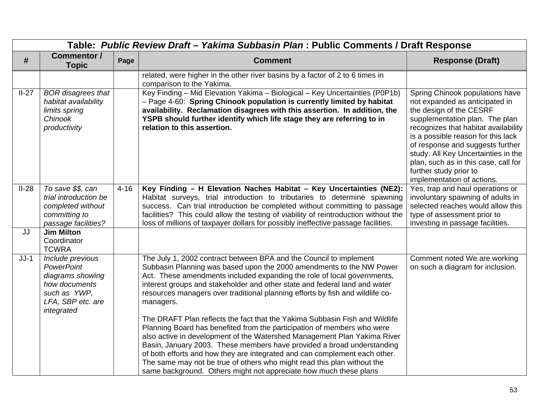|         | Table: Public Review Draft - Yakima Subbasin Plan : Public Comments / Draft Response                                          |          |                                                                                                                                                                                                                                                                                                                                                                                                                                                                                                                                                                                                                                         |                                                                                                                                                                                                                                                                                                                                                                                         |  |  |
|---------|-------------------------------------------------------------------------------------------------------------------------------|----------|-----------------------------------------------------------------------------------------------------------------------------------------------------------------------------------------------------------------------------------------------------------------------------------------------------------------------------------------------------------------------------------------------------------------------------------------------------------------------------------------------------------------------------------------------------------------------------------------------------------------------------------------|-----------------------------------------------------------------------------------------------------------------------------------------------------------------------------------------------------------------------------------------------------------------------------------------------------------------------------------------------------------------------------------------|--|--|
| #       | <b>Commentor /</b><br><b>Topic</b>                                                                                            | Page     | <b>Comment</b>                                                                                                                                                                                                                                                                                                                                                                                                                                                                                                                                                                                                                          | <b>Response (Draft)</b>                                                                                                                                                                                                                                                                                                                                                                 |  |  |
|         |                                                                                                                               |          | related, were higher in the other river basins by a factor of 2 to 6 times in<br>comparison to the Yakima.                                                                                                                                                                                                                                                                                                                                                                                                                                                                                                                              |                                                                                                                                                                                                                                                                                                                                                                                         |  |  |
| $II-27$ | <b>BOR</b> disagrees that<br>habitat availability<br>limits spring<br>Chinook<br>productivity                                 |          | Key Finding - Mid Elevation Yakima - Biological - Key Uncertainties (P0P1b)<br>- Page 4-60: Spring Chinook population is currently limited by habitat<br>availability. Reclamation disagrees with this assertion. In addition, the<br>YSPB should further identify which life stage they are referring to in<br>relation to this assertion.                                                                                                                                                                                                                                                                                             | Spring Chinook populations have<br>not expanded as anticipated in<br>the design of the CESRF<br>supplementation plan. The plan<br>recognizes that habitat availability<br>is a possible reason for this lack<br>of response and suggests further<br>study. All Key Uncertainties in the<br>plan, such as in this case, call for<br>further study prior to<br>implementation of actions. |  |  |
| $II-28$ | To save \$\$, can<br>trial introduction be<br>completed without<br>committing to<br>passage facilities?                       | $4 - 16$ | Key Finding - H Elevation Naches Habitat - Key Uncertainties (NE2):<br>Habitat surveys, trial introduction to tributaries to determine spawning<br>success. Can trial introduction be completed without committing to passage<br>facilities? This could allow the testing of viability of reintroduction without the<br>loss of millions of taxpayer dollars for possibly ineffective passage facilities.                                                                                                                                                                                                                               | Yes, trap and haul operations or<br>involuntary spawning of adults in<br>selected reaches would allow this<br>type of assessment prior to<br>investing in passage facilities.                                                                                                                                                                                                           |  |  |
| JJ      | <b>Jim Milton</b><br>Coordinator<br><b>TCWRA</b>                                                                              |          |                                                                                                                                                                                                                                                                                                                                                                                                                                                                                                                                                                                                                                         |                                                                                                                                                                                                                                                                                                                                                                                         |  |  |
| $JJ-1$  | Include previous<br><b>PowerPoint</b><br>diagrams showing<br>how documents<br>such as YWP,<br>LFA, SBP etc. are<br>integrated |          | The July 1, 2002 contract between BPA and the Council to implement<br>Subbasin Planning was based upon the 2000 amendments to the NW Power<br>Act. These amendments included expanding the role of local governments,<br>interest groups and stakeholder and other state and federal land and water<br>resources managers over traditional planning efforts by fish and wildlife co-<br>managers.<br>The DRAFT Plan reflects the fact that the Yakima Subbasin Fish and Wildlife<br>Planning Board has benefited from the participation of members who were<br>also active in development of the Watershed Management Plan Yakima River | Comment noted We are working<br>on such a diagram for inclusion.                                                                                                                                                                                                                                                                                                                        |  |  |
|         |                                                                                                                               |          | Basin, January 2003. These members have provided a broad understanding<br>of both efforts and how they are integrated and can complement each other.<br>The same may not be true of others who might read this plan without the<br>same background. Others might not appreciate how much these plans                                                                                                                                                                                                                                                                                                                                    |                                                                                                                                                                                                                                                                                                                                                                                         |  |  |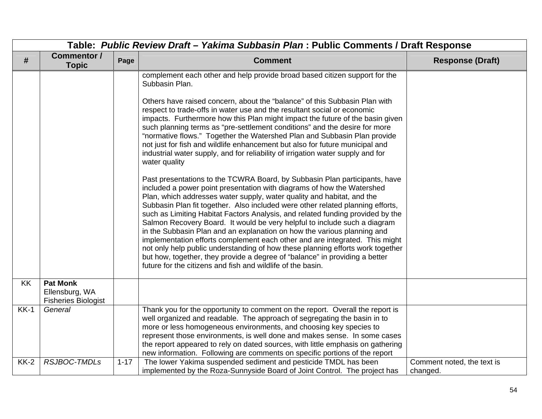|        | Table: Public Review Draft - Yakima Subbasin Plan: Public Comments / Draft Response |          |                                                                                                                                                                                                                                                                                                                                                                                                                                                                                                                                                                                                                                                                                                                                                                                                                                                                                                                                                                                                                                                                                                                                                                                                                                                                                                                                                                                                                                                                                                                                                                   |                                        |  |
|--------|-------------------------------------------------------------------------------------|----------|-------------------------------------------------------------------------------------------------------------------------------------------------------------------------------------------------------------------------------------------------------------------------------------------------------------------------------------------------------------------------------------------------------------------------------------------------------------------------------------------------------------------------------------------------------------------------------------------------------------------------------------------------------------------------------------------------------------------------------------------------------------------------------------------------------------------------------------------------------------------------------------------------------------------------------------------------------------------------------------------------------------------------------------------------------------------------------------------------------------------------------------------------------------------------------------------------------------------------------------------------------------------------------------------------------------------------------------------------------------------------------------------------------------------------------------------------------------------------------------------------------------------------------------------------------------------|----------------------------------------|--|
| #      | Commentor /<br><b>Topic</b>                                                         | Page     | <b>Comment</b>                                                                                                                                                                                                                                                                                                                                                                                                                                                                                                                                                                                                                                                                                                                                                                                                                                                                                                                                                                                                                                                                                                                                                                                                                                                                                                                                                                                                                                                                                                                                                    | <b>Response (Draft)</b>                |  |
|        |                                                                                     |          | complement each other and help provide broad based citizen support for the<br>Subbasin Plan.<br>Others have raised concern, about the "balance" of this Subbasin Plan with<br>respect to trade-offs in water use and the resultant social or economic<br>impacts. Furthermore how this Plan might impact the future of the basin given<br>such planning terms as "pre-settlement conditions" and the desire for more<br>"normative flows." Together the Watershed Plan and Subbasin Plan provide<br>not just for fish and wildlife enhancement but also for future municipal and<br>industrial water supply, and for reliability of irrigation water supply and for<br>water quality<br>Past presentations to the TCWRA Board, by Subbasin Plan participants, have<br>included a power point presentation with diagrams of how the Watershed<br>Plan, which addresses water supply, water quality and habitat, and the<br>Subbasin Plan fit together. Also included were other related planning efforts,<br>such as Limiting Habitat Factors Analysis, and related funding provided by the<br>Salmon Recovery Board. It would be very helpful to include such a diagram<br>in the Subbasin Plan and an explanation on how the various planning and<br>implementation efforts complement each other and are integrated. This might<br>not only help public understanding of how these planning efforts work together<br>but how, together, they provide a degree of "balance" in providing a better<br>future for the citizens and fish and wildlife of the basin. |                                        |  |
| KK     | <b>Pat Monk</b><br>Ellensburg, WA<br><b>Fisheries Biologist</b>                     |          |                                                                                                                                                                                                                                                                                                                                                                                                                                                                                                                                                                                                                                                                                                                                                                                                                                                                                                                                                                                                                                                                                                                                                                                                                                                                                                                                                                                                                                                                                                                                                                   |                                        |  |
| $KK-1$ | General                                                                             |          | Thank you for the opportunity to comment on the report. Overall the report is<br>well organized and readable. The approach of segregating the basin in to<br>more or less homogeneous environments, and choosing key species to<br>represent those environments, is well done and makes sense. In some cases<br>the report appeared to rely on dated sources, with little emphasis on gathering<br>new information. Following are comments on specific portions of the report                                                                                                                                                                                                                                                                                                                                                                                                                                                                                                                                                                                                                                                                                                                                                                                                                                                                                                                                                                                                                                                                                     |                                        |  |
| $KK-2$ | RSJBOC-TMDLs                                                                        | $1 - 17$ | The lower Yakima suspended sediment and pesticide TMDL has been<br>implemented by the Roza-Sunnyside Board of Joint Control. The project has                                                                                                                                                                                                                                                                                                                                                                                                                                                                                                                                                                                                                                                                                                                                                                                                                                                                                                                                                                                                                                                                                                                                                                                                                                                                                                                                                                                                                      | Comment noted, the text is<br>changed. |  |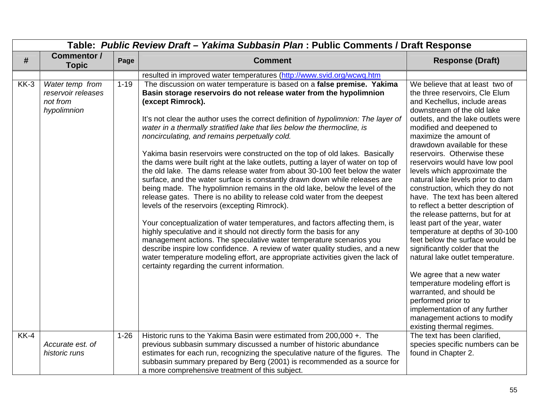|        | Table: Public Review Draft - Yakima Subbasin Plan : Public Comments / Draft Response |          |                                                                                                                                                                                                                                                                                                                                                                                                                                                                                                                                                                                                                                                                                                                                                                                                                                                                                                                                                                                                                                                                                                                                                                                                                                                                                                                                                                                        |                                                                                                                                                                                                                                                                                                                                                                                                                                                                                                                                                                                                                                                                                                                                                                                                                                                                                                                                             |  |  |
|--------|--------------------------------------------------------------------------------------|----------|----------------------------------------------------------------------------------------------------------------------------------------------------------------------------------------------------------------------------------------------------------------------------------------------------------------------------------------------------------------------------------------------------------------------------------------------------------------------------------------------------------------------------------------------------------------------------------------------------------------------------------------------------------------------------------------------------------------------------------------------------------------------------------------------------------------------------------------------------------------------------------------------------------------------------------------------------------------------------------------------------------------------------------------------------------------------------------------------------------------------------------------------------------------------------------------------------------------------------------------------------------------------------------------------------------------------------------------------------------------------------------------|---------------------------------------------------------------------------------------------------------------------------------------------------------------------------------------------------------------------------------------------------------------------------------------------------------------------------------------------------------------------------------------------------------------------------------------------------------------------------------------------------------------------------------------------------------------------------------------------------------------------------------------------------------------------------------------------------------------------------------------------------------------------------------------------------------------------------------------------------------------------------------------------------------------------------------------------|--|--|
| #      | <b>Commentor /</b><br><b>Topic</b>                                                   | Page     | <b>Comment</b>                                                                                                                                                                                                                                                                                                                                                                                                                                                                                                                                                                                                                                                                                                                                                                                                                                                                                                                                                                                                                                                                                                                                                                                                                                                                                                                                                                         | <b>Response (Draft)</b>                                                                                                                                                                                                                                                                                                                                                                                                                                                                                                                                                                                                                                                                                                                                                                                                                                                                                                                     |  |  |
|        |                                                                                      |          | resulted in improved water temperatures (http://www.svid.org/wcwq.htm                                                                                                                                                                                                                                                                                                                                                                                                                                                                                                                                                                                                                                                                                                                                                                                                                                                                                                                                                                                                                                                                                                                                                                                                                                                                                                                  |                                                                                                                                                                                                                                                                                                                                                                                                                                                                                                                                                                                                                                                                                                                                                                                                                                                                                                                                             |  |  |
| $KK-3$ | Water temp from<br>reservoir releases<br>not from<br>hypolimnion                     | $1 - 19$ | The discussion on water temperature is based on a false premise. Yakima<br>Basin storage reservoirs do not release water from the hypolimnion<br>(except Rimrock).<br>It's not clear the author uses the correct definition of hypolimnion: The layer of<br>water in a thermally stratified lake that lies below the thermocline, is<br>noncirculating, and remains perpetually cold.<br>Yakima basin reservoirs were constructed on the top of old lakes. Basically<br>the dams were built right at the lake outlets, putting a layer of water on top of<br>the old lake. The dams release water from about 30-100 feet below the water<br>surface, and the water surface is constantly drawn down while releases are<br>being made. The hypolimnion remains in the old lake, below the level of the<br>release gates. There is no ability to release cold water from the deepest<br>levels of the reservoirs (excepting Rimrock).<br>Your conceptualization of water temperatures, and factors affecting them, is<br>highly speculative and it should not directly form the basis for any<br>management actions. The speculative water temperature scenarios you<br>describe inspire low confidence. A review of water quality studies, and a new<br>water temperature modeling effort, are appropriate activities given the lack of<br>certainty regarding the current information. | We believe that at least two of<br>the three reservoirs, Cle Elum<br>and Kechellus, include areas<br>downstream of the old lake<br>outlets, and the lake outlets were<br>modified and deepened to<br>maximize the amount of<br>drawdown available for these<br>reservoirs. Otherwise these<br>reservoirs would have low pool<br>levels which approximate the<br>natural lake levels prior to dam<br>construction, which they do not<br>have. The text has been altered<br>to reflect a better description of<br>the release patterns, but for at<br>least part of the year, water<br>temperature at depths of 30-100<br>feet below the surface would be<br>significantly colder that the<br>natural lake outlet temperature.<br>We agree that a new water<br>temperature modeling effort is<br>warranted, and should be<br>performed prior to<br>implementation of any further<br>management actions to modify<br>existing thermal regimes. |  |  |
| $KK-4$ | Accurate est. of<br>historic runs                                                    | $1 - 26$ | Historic runs to the Yakima Basin were estimated from 200,000 +. The<br>previous subbasin summary discussed a number of historic abundance<br>estimates for each run, recognizing the speculative nature of the figures. The<br>subbasin summary prepared by Berg (2001) is recommended as a source for<br>a more comprehensive treatment of this subject.                                                                                                                                                                                                                                                                                                                                                                                                                                                                                                                                                                                                                                                                                                                                                                                                                                                                                                                                                                                                                             | The text has been clarified,<br>species specific numbers can be<br>found in Chapter 2.                                                                                                                                                                                                                                                                                                                                                                                                                                                                                                                                                                                                                                                                                                                                                                                                                                                      |  |  |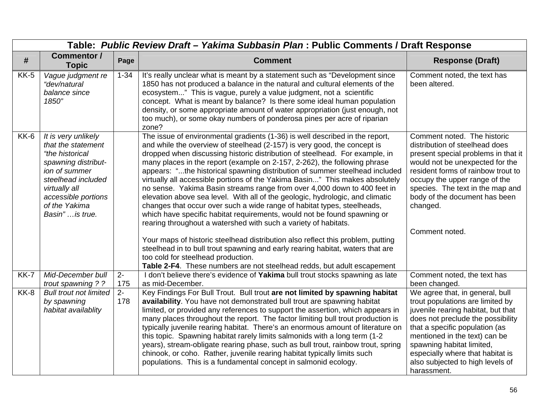|             |                                                                                                                                                                                                        | Table: Public Review Draft - Yakima Subbasin Plan : Public Comments / Draft Response |                                                                                                                                                                                                                                                                                                                                                                                                                                                                                                                                                                                                                                                                                                                                                                                                                                                                                                                                                                                                                                                                                       |                                                                                                                                                                                                                                                                                                                                       |
|-------------|--------------------------------------------------------------------------------------------------------------------------------------------------------------------------------------------------------|--------------------------------------------------------------------------------------|---------------------------------------------------------------------------------------------------------------------------------------------------------------------------------------------------------------------------------------------------------------------------------------------------------------------------------------------------------------------------------------------------------------------------------------------------------------------------------------------------------------------------------------------------------------------------------------------------------------------------------------------------------------------------------------------------------------------------------------------------------------------------------------------------------------------------------------------------------------------------------------------------------------------------------------------------------------------------------------------------------------------------------------------------------------------------------------|---------------------------------------------------------------------------------------------------------------------------------------------------------------------------------------------------------------------------------------------------------------------------------------------------------------------------------------|
| #           | <b>Commentor /</b><br><b>Topic</b>                                                                                                                                                                     | Page                                                                                 | <b>Comment</b>                                                                                                                                                                                                                                                                                                                                                                                                                                                                                                                                                                                                                                                                                                                                                                                                                                                                                                                                                                                                                                                                        | <b>Response (Draft)</b>                                                                                                                                                                                                                                                                                                               |
| <b>KK-5</b> | Vague judgment re<br>"dev/natural<br>balance since<br>1850"                                                                                                                                            | $1 - 34$                                                                             | It's really unclear what is meant by a statement such as "Development since<br>1850 has not produced a balance in the natural and cultural elements of the<br>ecosystem" This is vague, purely a value judgment, not a scientific<br>concept. What is meant by balance? Is there some ideal human population<br>density, or some appropriate amount of water appropriation (just enough, not<br>too much), or some okay numbers of ponderosa pines per acre of riparian<br>zone?                                                                                                                                                                                                                                                                                                                                                                                                                                                                                                                                                                                                      | Comment noted, the text has<br>been altered.                                                                                                                                                                                                                                                                                          |
| $KK-6$      | It is very unlikely<br>that the statement<br>"the historical<br>spawning distribut-<br>ion of summer<br>steelhead included<br>virtually all<br>accessible portions<br>of the Yakima<br>Basin" is true. |                                                                                      | The issue of environmental gradients (1-36) is well described in the report,<br>and while the overview of steelhead (2-157) is very good, the concept is<br>dropped when discussing historic distribution of steelhead. For example, in<br>many places in the report (example on 2-157, 2-262), the following phrase<br>appears: "the historical spawning distribution of summer steelhead included<br>virtually all accessible portions of the Yakima Basin" This makes absolutely<br>no sense. Yakima Basin streams range from over 4,000 down to 400 feet in<br>elevation above sea level. With all of the geologic, hydrologic, and climatic<br>changes that occur over such a wide range of habitat types, steelheads,<br>which have specific habitat requirements, would not be found spawning or<br>rearing throughout a watershed with such a variety of habitats.<br>Your maps of historic steelhead distribution also reflect this problem, putting<br>steelhead in to bull trout spawning and early rearing habitat, waters that are<br>too cold for steelhead production. | Comment noted. The historic<br>distribution of steelhead does<br>present special problems in that it<br>would not be unexpected for the<br>resident forms of rainbow trout to<br>occupy the upper range of the<br>species. The text in the map and<br>body of the document has been<br>changed.<br>Comment noted.                     |
| KK-7        | Mid-December bull                                                                                                                                                                                      | $\overline{2}$                                                                       | Table 2-F4. These numbers are not steelhead redds, but adult escapement<br>I don't believe there's evidence of Yakima bull trout stocks spawning as late                                                                                                                                                                                                                                                                                                                                                                                                                                                                                                                                                                                                                                                                                                                                                                                                                                                                                                                              | Comment noted, the text has                                                                                                                                                                                                                                                                                                           |
|             | trout spawning ? ?                                                                                                                                                                                     | 175                                                                                  | as mid-December.                                                                                                                                                                                                                                                                                                                                                                                                                                                                                                                                                                                                                                                                                                                                                                                                                                                                                                                                                                                                                                                                      | been changed.                                                                                                                                                                                                                                                                                                                         |
| KK-8        | <b>Bull trout not limited</b><br>by spawning<br>habitat availablity                                                                                                                                    | $2 -$<br>178                                                                         | Key Findings For Bull Trout. Bull trout are not limited by spawning habitat<br>availability. You have not demonstrated bull trout are spawning habitat<br>limited, or provided any references to support the assertion, which appears in<br>many places throughout the report. The factor limiting bull trout production is<br>typically juvenile rearing habitat. There's an enormous amount of literature on<br>this topic. Spawning habitat rarely limits salmonids with a long term (1-2)<br>years), stream-obligate rearing phase, such as bull trout, rainbow trout, spring<br>chinook, or coho. Rather, juvenile rearing habitat typically limits such<br>populations. This is a fundamental concept in salmonid ecology.                                                                                                                                                                                                                                                                                                                                                      | We agree that, in general, bull<br>trout populations are limited by<br>juvenile rearing habitat, but that<br>does not preclude the possibility<br>that a specific population (as<br>mentioned in the text) can be<br>spawning habitat limited,<br>especially where that habitat is<br>also subjected to high levels of<br>harassment. |